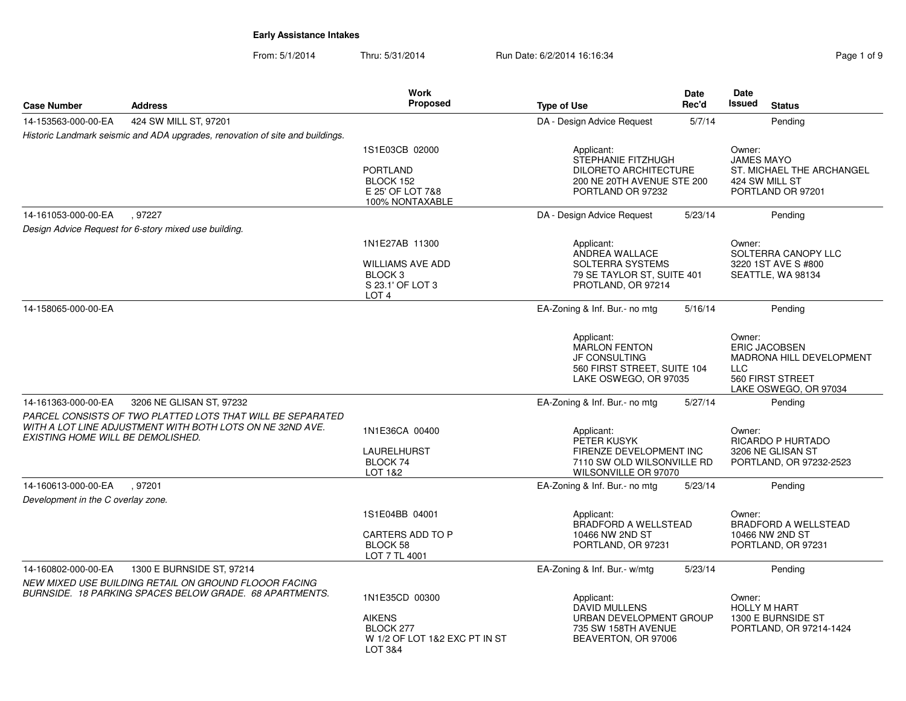From: 5/1/2014Thru: 5/31/2014 Run Date: 6/2/2014 16:16:34 Register 2014 19:16:34

|                                    |                                                                                                                         | <b>Work</b>                                                                                             |                                                                                                                     | Date    | Date                                                                                                                  |
|------------------------------------|-------------------------------------------------------------------------------------------------------------------------|---------------------------------------------------------------------------------------------------------|---------------------------------------------------------------------------------------------------------------------|---------|-----------------------------------------------------------------------------------------------------------------------|
| <b>Case Number</b>                 | <b>Address</b>                                                                                                          | Proposed                                                                                                | <b>Type of Use</b>                                                                                                  | Rec'd   | Issued<br><b>Status</b>                                                                                               |
| 14-153563-000-00-EA                | 424 SW MILL ST, 97201                                                                                                   |                                                                                                         | DA - Design Advice Request                                                                                          | 5/7/14  | Pending                                                                                                               |
|                                    | Historic Landmark seismic and ADA upgrades, renovation of site and buildings.                                           |                                                                                                         |                                                                                                                     |         |                                                                                                                       |
|                                    |                                                                                                                         | 1S1E03CB 02000<br><b>PORTLAND</b><br>BLOCK 152<br>E 25' OF LOT 7&8<br>100% NONTAXABLE                   | Applicant:<br>STEPHANIE FITZHUGH<br><b>DILORETO ARCHITECTURE</b><br>200 NE 20TH AVENUE STE 200<br>PORTLAND OR 97232 |         | Owner:<br><b>JAMES MAYO</b><br>ST. MICHAEL THE ARCHANGEL<br>424 SW MILL ST<br>PORTLAND OR 97201                       |
| 14-161053-000-00-EA                | , 97227                                                                                                                 |                                                                                                         | DA - Design Advice Request                                                                                          | 5/23/14 | Pending                                                                                                               |
|                                    | Design Advice Request for 6-story mixed use building.                                                                   |                                                                                                         |                                                                                                                     |         |                                                                                                                       |
|                                    |                                                                                                                         | 1N1E27AB 11300<br><b>WILLIAMS AVE ADD</b><br>BLOCK <sub>3</sub><br>S 23.1' OF LOT 3<br>LOT <sub>4</sub> | Applicant:<br>ANDREA WALLACE<br><b>SOLTERRA SYSTEMS</b><br>79 SE TAYLOR ST, SUITE 401<br>PROTLAND, OR 97214         |         | Owner:<br>SOLTERRA CANOPY LLC<br>3220 1ST AVE S #800<br>SEATTLE, WA 98134                                             |
| 14-158065-000-00-EA                |                                                                                                                         |                                                                                                         | EA-Zoning & Inf. Bur.- no mtg                                                                                       | 5/16/14 | Pending                                                                                                               |
|                                    |                                                                                                                         |                                                                                                         | Applicant:<br>MARLON FENTON<br><b>JF CONSULTING</b><br>560 FIRST STREET, SUITE 104<br>LAKE OSWEGO, OR 97035         |         | Owner:<br><b>ERIC JACOBSEN</b><br>MADRONA HILL DEVELOPMENT<br><b>LLC</b><br>560 FIRST STREET<br>LAKE OSWEGO, OR 97034 |
| 14-161363-000-00-EA                | 3206 NE GLISAN ST, 97232                                                                                                |                                                                                                         | EA-Zoning & Inf. Bur.- no mtg                                                                                       | 5/27/14 | Pending                                                                                                               |
| EXISTING HOME WILL BE DEMOLISHED.  | PARCEL CONSISTS OF TWO PLATTED LOTS THAT WILL BE SEPARATED<br>WITH A LOT LINE ADJUSTMENT WITH BOTH LOTS ON NE 32ND AVE. | 1N1E36CA 00400<br><b>LAURELHURST</b><br>BLOCK 74<br>LOT 1&2                                             | Applicant:<br>PETER KUSYK<br>FIRENZE DEVELOPMENT INC<br>7110 SW OLD WILSONVILLE RD<br>WILSONVILLE OR 97070          |         | Owner:<br><b>RICARDO P HURTADO</b><br>3206 NE GLISAN ST<br>PORTLAND, OR 97232-2523                                    |
| 14-160613-000-00-EA                | .97201                                                                                                                  |                                                                                                         | EA-Zoning & Inf. Bur.- no mtg                                                                                       | 5/23/14 | Pending                                                                                                               |
| Development in the C overlay zone. |                                                                                                                         |                                                                                                         |                                                                                                                     |         |                                                                                                                       |
|                                    |                                                                                                                         | 1S1E04BB 04001<br>CARTERS ADD TO P<br>BLOCK 58<br>LOT 7 TL 4001                                         | Applicant:<br>BRADFORD A WELLSTEAD<br>10466 NW 2ND ST<br>PORTLAND, OR 97231                                         |         | Owner:<br><b>BRADFORD A WELLSTEAD</b><br>10466 NW 2ND ST<br>PORTLAND, OR 97231                                        |
| 14-160802-000-00-EA                | 1300 E BURNSIDE ST, 97214                                                                                               |                                                                                                         | EA-Zoning & Inf. Bur.- w/mtg                                                                                        | 5/23/14 | Pending                                                                                                               |
|                                    | NEW MIXED USE BUILDING RETAIL ON GROUND FLOOOR FACING<br>BURNSIDE. 18 PARKING SPACES BELOW GRADE. 68 APARTMENTS.        | 1N1E35CD 00300<br><b>AIKENS</b><br>BLOCK 277<br>W 1/2 OF LOT 1&2 EXC PT IN ST<br><b>LOT 3&amp;4</b>     | Applicant:<br>DAVID MULLENS<br>URBAN DEVELOPMENT GROUP<br>735 SW 158TH AVENUE<br>BEAVERTON, OR 97006                |         | Owner:<br><b>HOLLY M HART</b><br>1300 E BURNSIDE ST<br>PORTLAND, OR 97214-1424                                        |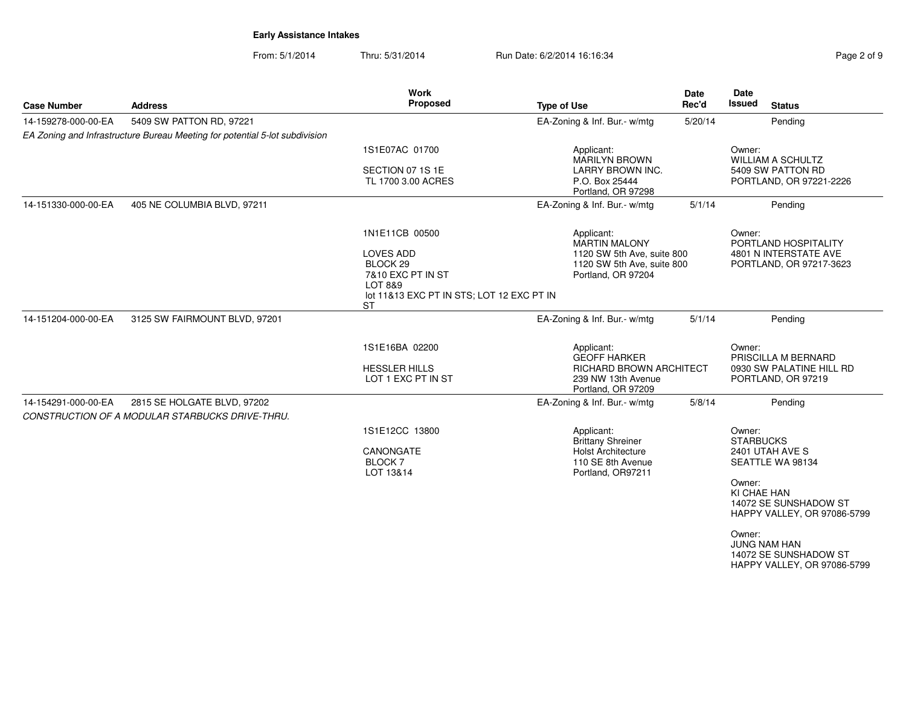From: 5/1/2014Thru: 5/31/2014 Run Date: 6/2/2014 16:16:34 Register 2 of 9

| <b>Case Number</b>  | <b>Address</b>                                                                 | <b>Work</b><br>Proposed                                                              | <b>Type of Use</b>                                                         | Date<br>Rec'd | Date<br><b>Issued</b><br><b>Status</b>                                                |
|---------------------|--------------------------------------------------------------------------------|--------------------------------------------------------------------------------------|----------------------------------------------------------------------------|---------------|---------------------------------------------------------------------------------------|
| 14-159278-000-00-EA | 5409 SW PATTON RD, 97221                                                       |                                                                                      | EA-Zoning & Inf. Bur.- w/mtg                                               | 5/20/14       | Pending                                                                               |
|                     | EA Zoning and Infrastructure Bureau Meeting for potential 5-lot subdivision    |                                                                                      |                                                                            |               |                                                                                       |
|                     |                                                                                | 1S1E07AC 01700                                                                       | Applicant:<br><b>MARILYN BROWN</b>                                         |               | Owner:<br><b>WILLIAM A SCHULTZ</b>                                                    |
|                     |                                                                                | SECTION 07 1S 1E<br>TL 1700 3.00 ACRES                                               | LARRY BROWN INC.<br>P.O. Box 25444<br>Portland, OR 97298                   |               | 5409 SW PATTON RD<br>PORTLAND, OR 97221-2226                                          |
| 14-151330-000-00-EA | 405 NE COLUMBIA BLVD, 97211                                                    |                                                                                      | EA-Zoning & Inf. Bur.- w/mtg                                               | 5/1/14        | Pending                                                                               |
|                     |                                                                                | 1N1E11CB 00500                                                                       | Applicant:<br><b>MARTIN MALONY</b>                                         |               | Owner:<br>PORTLAND HOSPITALITY                                                        |
|                     |                                                                                | <b>LOVES ADD</b><br>BLOCK <sub>29</sub>                                              | 1120 SW 5th Ave, suite 800<br>1120 SW 5th Ave, suite 800                   |               | 4801 N INTERSTATE AVE<br>PORTLAND, OR 97217-3623                                      |
|                     |                                                                                | 7&10 EXC PT IN ST<br><b>LOT 8&amp;9</b><br>lot 11&13 EXC PT IN STS; LOT 12 EXC PT IN | Portland, OR 97204                                                         |               |                                                                                       |
| 14-151204-000-00-EA | 3125 SW FAIRMOUNT BLVD, 97201                                                  | <b>ST</b>                                                                            | EA-Zoning & Inf. Bur.- w/mtg                                               | 5/1/14        | Pendina                                                                               |
|                     |                                                                                |                                                                                      |                                                                            |               |                                                                                       |
|                     |                                                                                | 1S1E16BA 02200                                                                       | Applicant:<br><b>GEOFF HARKER</b>                                          |               | Owner:<br>PRISCILLA M BERNARD                                                         |
|                     |                                                                                | <b>HESSLER HILLS</b><br>LOT 1 EXC PT IN ST                                           | <b>RICHARD BROWN ARCHITECT</b><br>239 NW 13th Avenue<br>Portland, OR 97209 |               | 0930 SW PALATINE HILL RD<br>PORTLAND, OR 97219                                        |
| 14-154291-000-00-EA | 2815 SE HOLGATE BLVD, 97202<br>CONSTRUCTION OF A MODULAR STARBUCKS DRIVE-THRU. |                                                                                      | EA-Zoning & Inf. Bur.- w/mtg                                               | 5/8/14        | Pending                                                                               |
|                     |                                                                                | 1S1E12CC 13800                                                                       | Applicant:<br><b>Brittany Shreiner</b>                                     |               | Owner:<br><b>STARBUCKS</b>                                                            |
|                     |                                                                                | CANONGATE<br><b>BLOCK7</b><br>LOT 13&14                                              | <b>Holst Architecture</b><br>110 SE 8th Avenue<br>Portland, OR97211        |               | 2401 UTAH AVE S<br>SEATTLE WA 98134                                                   |
|                     |                                                                                |                                                                                      |                                                                            |               | Owner:<br>KI CHAE HAN<br>14072 SE SUNSHADOW ST<br>HAPPY VALLEY, OR 97086-5799         |
|                     |                                                                                |                                                                                      |                                                                            |               | Owner:<br><b>JUNG NAM HAN</b><br>14072 SE SUNSHADOW ST<br>HAPPY VALLEY, OR 97086-5799 |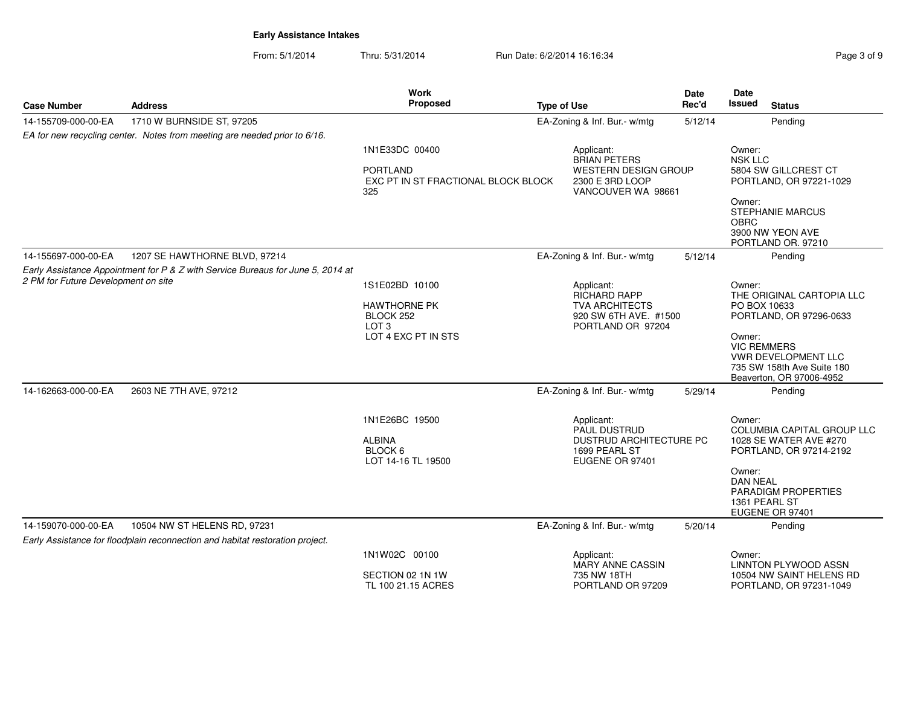**Work Proposed**

**Case Number**

**Address**

From: 5/1/2014Thru: 5/31/2014 Run Date: 6/2/2014 16:16:34 Run Date: 6/2/2014 16:16:34

**Type of Use**

| 14-155709-000-00-EA                 | 1710 W BURNSIDE ST, 97205                                                       |                                                                                 | EA-Zoning & Inf. Bur.- w/mtg                                                                              | 5/12/14 | Pending                                                                                                       |
|-------------------------------------|---------------------------------------------------------------------------------|---------------------------------------------------------------------------------|-----------------------------------------------------------------------------------------------------------|---------|---------------------------------------------------------------------------------------------------------------|
|                                     | EA for new recycling center. Notes from meeting are needed prior to 6/16.       |                                                                                 |                                                                                                           |         |                                                                                                               |
|                                     |                                                                                 | 1N1E33DC 00400<br><b>PORTLAND</b><br>EXC PT IN ST FRACTIONAL BLOCK BLOCK<br>325 | Applicant:<br><b>BRIAN PETERS</b><br><b>WESTERN DESIGN GROUP</b><br>2300 E 3RD LOOP<br>VANCOUVER WA 98661 |         | Owner:<br><b>NSK LLC</b><br>5804 SW GILLCREST CT<br>PORTLAND, OR 97221-1029                                   |
|                                     |                                                                                 |                                                                                 |                                                                                                           |         | Owner:<br><b>STEPHANIE MARCUS</b><br><b>OBRC</b><br>3900 NW YEON AVE<br>PORTLAND OR. 97210                    |
| 14-155697-000-00-EA                 | 1207 SE HAWTHORNE BLVD, 97214                                                   |                                                                                 | EA-Zoning & Inf. Bur.- w/mtg                                                                              | 5/12/14 | Pending                                                                                                       |
| 2 PM for Future Development on site | Early Assistance Appointment for P & Z with Service Bureaus for June 5, 2014 at | 1S1E02BD 10100                                                                  | Applicant:<br><b>RICHARD RAPP</b>                                                                         |         | Owner:<br>THE ORIGINAL CARTOPIA LLC                                                                           |
|                                     |                                                                                 | <b>HAWTHORNE PK</b><br>BLOCK 252<br>LOT <sub>3</sub>                            | <b>TVA ARCHITECTS</b><br>920 SW 6TH AVE. #1500<br>PORTLAND OR 97204                                       |         | PO BOX 10633<br>PORTLAND, OR 97296-0633                                                                       |
|                                     |                                                                                 | LOT 4 EXC PT IN STS                                                             |                                                                                                           |         | Owner:<br><b>VIC REMMERS</b><br>VWR DEVELOPMENT LLC<br>735 SW 158th Ave Suite 180<br>Beaverton, OR 97006-4952 |
| 14-162663-000-00-EA                 | 2603 NE 7TH AVE, 97212                                                          |                                                                                 | EA-Zoning & Inf. Bur.- w/mtg                                                                              | 5/29/14 | Pending                                                                                                       |
|                                     |                                                                                 | 1N1E26BC 19500<br><b>ALBINA</b><br>BLOCK 6<br>LOT 14-16 TL 19500                | Applicant:<br><b>PAUL DUSTRUD</b><br>DUSTRUD ARCHITECTURE PC<br>1699 PEARL ST<br>EUGENE OR 97401          |         | Owner:<br><b>COLUMBIA CAPITAL GROUP LLC</b><br>1028 SE WATER AVE #270<br>PORTLAND, OR 97214-2192              |
|                                     |                                                                                 |                                                                                 |                                                                                                           |         | Owner:<br><b>DAN NEAL</b><br>PARADIGM PROPERTIES<br>1361 PEARL ST<br>EUGENE OR 97401                          |
| 14-159070-000-00-EA                 | 10504 NW ST HELENS RD, 97231                                                    |                                                                                 | EA-Zoning & Inf. Bur.- w/mtg                                                                              | 5/20/14 | Pending                                                                                                       |
|                                     | Early Assistance for floodplain reconnection and habitat restoration project.   |                                                                                 |                                                                                                           |         |                                                                                                               |
|                                     |                                                                                 | 1N1W02C 00100                                                                   | Applicant:<br><b>MARY ANNE CASSIN</b>                                                                     |         | Owner:<br>LINNTON PLYWOOD ASSN                                                                                |
|                                     |                                                                                 | SECTION 02 1N 1W<br>TL 100 21.15 ACRES                                          | 735 NW 18TH<br>PORTLAND OR 97209                                                                          |         | 10504 NW SAINT HELENS RD<br>PORTLAND, OR 97231-1049                                                           |

 $\overline{\phantom{0}}$ 

**DateRec'd**

**DateIssued** 

**Status**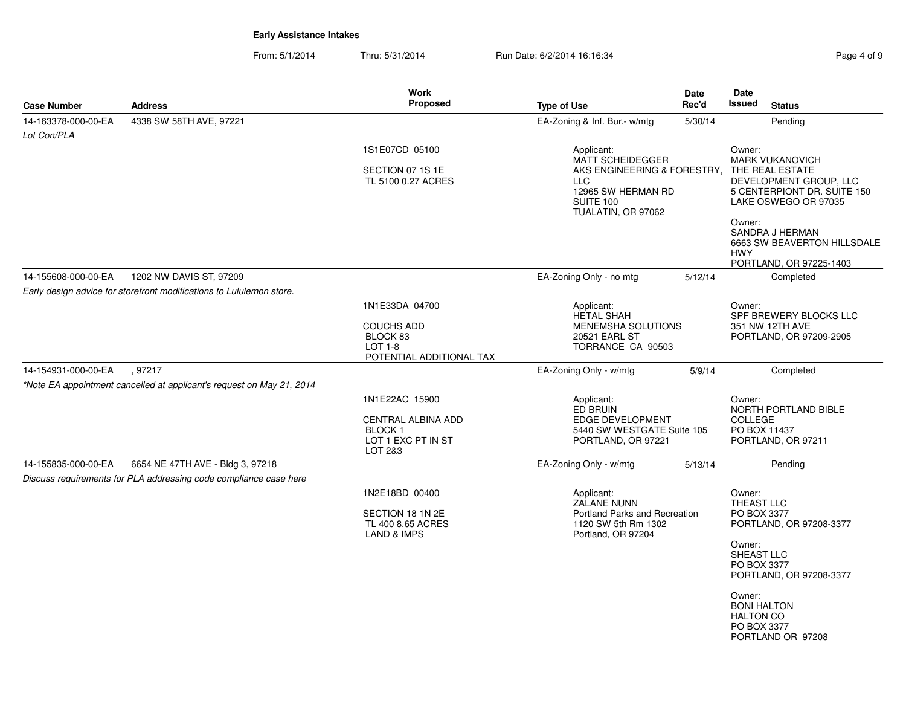From: 5/1/2014Thru: 5/31/2014 Run Date: 6/2/2014 16:16:34 Register 2010 12:04 Rage 4 of 9

| Proposed<br><b>Issued</b><br>Rec'd<br><b>Status</b><br><b>Address</b><br><b>Type of Use</b><br><b>Case Number</b><br>4338 SW 58TH AVE, 97221<br>14-163378-000-00-EA<br>EA-Zoning & Inf. Bur.- w/mtg<br>Pending<br>5/30/14<br>Lot Con/PLA<br>1S1E07CD 05100<br>Applicant:<br>Owner:<br><b>MATT SCHEIDEGGER</b><br><b>MARK VUKANOVICH</b><br>SECTION 07 1S 1E<br>AKS ENGINEERING & FORESTRY, THE REAL ESTATE<br>DEVELOPMENT GROUP, LLC<br>TL 5100 0.27 ACRES<br>LLC.<br>12965 SW HERMAN RD<br>5 CENTERPIONT DR. SUITE 150<br>SUITE 100<br>LAKE OSWEGO OR 97035<br>TUALATIN, OR 97062<br>Owner:<br>SANDRA J HERMAN<br>6663 SW BEAVERTON HILLSDALE<br><b>HWY</b><br>PORTLAND, OR 97225-1403<br>14-155608-000-00-EA<br>1202 NW DAVIS ST, 97209<br>EA-Zoning Only - no mtg<br>5/12/14<br>Completed |
|----------------------------------------------------------------------------------------------------------------------------------------------------------------------------------------------------------------------------------------------------------------------------------------------------------------------------------------------------------------------------------------------------------------------------------------------------------------------------------------------------------------------------------------------------------------------------------------------------------------------------------------------------------------------------------------------------------------------------------------------------------------------------------------------|
|                                                                                                                                                                                                                                                                                                                                                                                                                                                                                                                                                                                                                                                                                                                                                                                              |
|                                                                                                                                                                                                                                                                                                                                                                                                                                                                                                                                                                                                                                                                                                                                                                                              |
|                                                                                                                                                                                                                                                                                                                                                                                                                                                                                                                                                                                                                                                                                                                                                                                              |
|                                                                                                                                                                                                                                                                                                                                                                                                                                                                                                                                                                                                                                                                                                                                                                                              |
|                                                                                                                                                                                                                                                                                                                                                                                                                                                                                                                                                                                                                                                                                                                                                                                              |
|                                                                                                                                                                                                                                                                                                                                                                                                                                                                                                                                                                                                                                                                                                                                                                                              |
|                                                                                                                                                                                                                                                                                                                                                                                                                                                                                                                                                                                                                                                                                                                                                                                              |
| Early design advice for storefront modifications to Lululemon store.                                                                                                                                                                                                                                                                                                                                                                                                                                                                                                                                                                                                                                                                                                                         |
| 1N1E33DA 04700<br>Applicant:<br>Owner:<br><b>HETAL SHAH</b><br>SPF BREWERY BLOCKS LLC                                                                                                                                                                                                                                                                                                                                                                                                                                                                                                                                                                                                                                                                                                        |
| <b>COUCHS ADD</b><br>MENEMSHA SOLUTIONS<br>351 NW 12TH AVE                                                                                                                                                                                                                                                                                                                                                                                                                                                                                                                                                                                                                                                                                                                                   |
| 20521 EARL ST<br>BLOCK 83<br>PORTLAND, OR 97209-2905                                                                                                                                                                                                                                                                                                                                                                                                                                                                                                                                                                                                                                                                                                                                         |
| LOT 1-8<br>TORRANCE CA 90503<br>POTENTIAL ADDITIONAL TAX                                                                                                                                                                                                                                                                                                                                                                                                                                                                                                                                                                                                                                                                                                                                     |
| 14-154931-000-00-EA<br>.97217<br>EA-Zoning Only - w/mtg<br>5/9/14<br>Completed                                                                                                                                                                                                                                                                                                                                                                                                                                                                                                                                                                                                                                                                                                               |
| *Note EA appointment cancelled at applicant's request on May 21, 2014                                                                                                                                                                                                                                                                                                                                                                                                                                                                                                                                                                                                                                                                                                                        |
| 1N1E22AC 15900<br>Applicant:<br>Owner:<br>ED BRUIN<br>NORTH PORTLAND BIBLE                                                                                                                                                                                                                                                                                                                                                                                                                                                                                                                                                                                                                                                                                                                   |
| <b>COLLEGE</b><br>CENTRAL ALBINA ADD<br><b>EDGE DEVELOPMENT</b>                                                                                                                                                                                                                                                                                                                                                                                                                                                                                                                                                                                                                                                                                                                              |
| 5440 SW WESTGATE Suite 105<br>PO BOX 11437<br>BLOCK <sub>1</sub><br>LOT 1 EXC PT IN ST<br>PORTLAND, OR 97211<br>PORTLAND, OR 97221                                                                                                                                                                                                                                                                                                                                                                                                                                                                                                                                                                                                                                                           |
| LOT 2&3                                                                                                                                                                                                                                                                                                                                                                                                                                                                                                                                                                                                                                                                                                                                                                                      |
| 14-155835-000-00-EA<br>6654 NE 47TH AVE - Bldg 3, 97218<br>EA-Zoning Only - w/mtg<br>Pending<br>5/13/14                                                                                                                                                                                                                                                                                                                                                                                                                                                                                                                                                                                                                                                                                      |
| Discuss requirements for PLA addressing code compliance case here                                                                                                                                                                                                                                                                                                                                                                                                                                                                                                                                                                                                                                                                                                                            |
| 1N2E18BD 00400<br>Applicant:<br>Owner:<br><b>ZALANE NUNN</b>                                                                                                                                                                                                                                                                                                                                                                                                                                                                                                                                                                                                                                                                                                                                 |
| THEAST LLC<br>Portland Parks and Recreation<br>SECTION 18 1N 2E<br>PO BOX 3377                                                                                                                                                                                                                                                                                                                                                                                                                                                                                                                                                                                                                                                                                                               |
| TL 400 8.65 ACRES<br>1120 SW 5th Rm 1302<br>PORTLAND, OR 97208-3377<br><b>LAND &amp; IMPS</b><br>Portland, OR 97204                                                                                                                                                                                                                                                                                                                                                                                                                                                                                                                                                                                                                                                                          |
| Owner:                                                                                                                                                                                                                                                                                                                                                                                                                                                                                                                                                                                                                                                                                                                                                                                       |
| SHEAST LLC<br>PO BOX 3377                                                                                                                                                                                                                                                                                                                                                                                                                                                                                                                                                                                                                                                                                                                                                                    |
| PORTLAND, OR 97208-3377                                                                                                                                                                                                                                                                                                                                                                                                                                                                                                                                                                                                                                                                                                                                                                      |
| Owner:<br><b>BONI HALTON</b>                                                                                                                                                                                                                                                                                                                                                                                                                                                                                                                                                                                                                                                                                                                                                                 |
| <b>HALTON CO</b>                                                                                                                                                                                                                                                                                                                                                                                                                                                                                                                                                                                                                                                                                                                                                                             |
| PO BOX 3377<br>PORTLAND OR 97208                                                                                                                                                                                                                                                                                                                                                                                                                                                                                                                                                                                                                                                                                                                                                             |
|                                                                                                                                                                                                                                                                                                                                                                                                                                                                                                                                                                                                                                                                                                                                                                                              |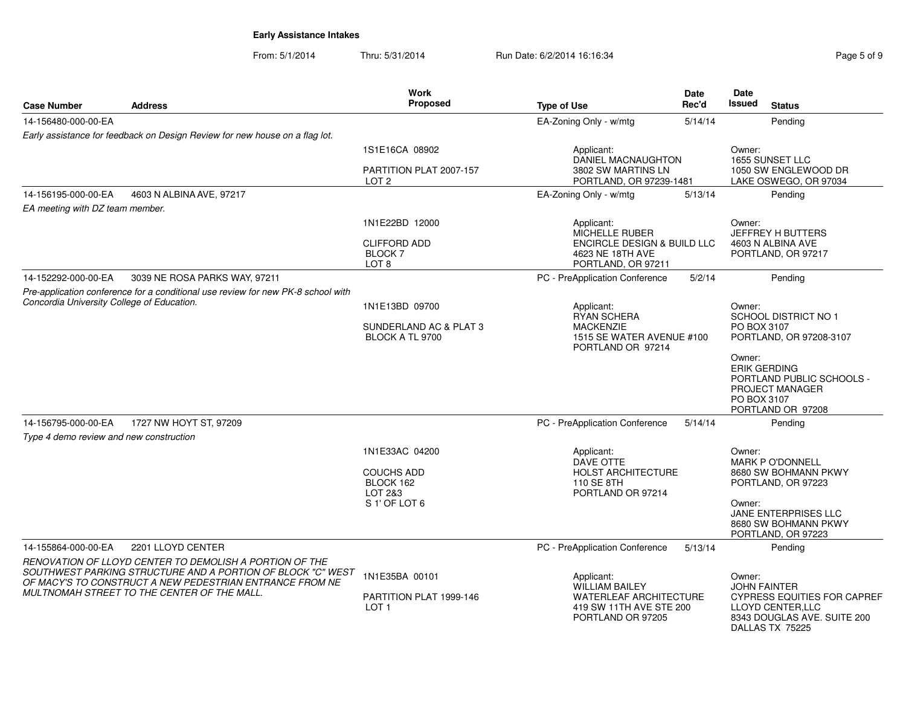From: 5/1/2014Thru: 5/31/2014 Run Date: 6/2/2014 16:16:34

| Page 5 of 9 |  |  |
|-------------|--|--|

|                                            |                                                                                                                                                                                                                                   | Work                                                          |                                                                                                                      | <b>Date</b> | Date                                                                  |                                                                                                           |
|--------------------------------------------|-----------------------------------------------------------------------------------------------------------------------------------------------------------------------------------------------------------------------------------|---------------------------------------------------------------|----------------------------------------------------------------------------------------------------------------------|-------------|-----------------------------------------------------------------------|-----------------------------------------------------------------------------------------------------------|
| <b>Case Number</b>                         | <b>Address</b>                                                                                                                                                                                                                    | Proposed                                                      | <b>Type of Use</b>                                                                                                   | Rec'd       | Issued                                                                | <b>Status</b>                                                                                             |
| 14-156480-000-00-EA                        |                                                                                                                                                                                                                                   |                                                               | EA-Zoning Only - w/mtg                                                                                               | 5/14/14     |                                                                       | Pending                                                                                                   |
|                                            | Early assistance for feedback on Design Review for new house on a flag lot.                                                                                                                                                       |                                                               |                                                                                                                      |             |                                                                       |                                                                                                           |
|                                            |                                                                                                                                                                                                                                   | 1S1E16CA 08902                                                | Applicant:<br><b>DANIEL MACNAUGHTON</b>                                                                              |             | Owner:                                                                | 1655 SUNSET LLC                                                                                           |
|                                            |                                                                                                                                                                                                                                   | PARTITION PLAT 2007-157<br>LOT <sub>2</sub>                   | 3802 SW MARTINS LN<br>PORTLAND, OR 97239-1481                                                                        |             |                                                                       | 1050 SW ENGLEWOOD DR<br>LAKE OSWEGO, OR 97034                                                             |
| 14-156195-000-00-EA                        | 4603 N ALBINA AVE, 97217                                                                                                                                                                                                          |                                                               | EA-Zoning Only - w/mtg                                                                                               | 5/13/14     |                                                                       | Pending                                                                                                   |
| EA meeting with DZ team member.            |                                                                                                                                                                                                                                   |                                                               |                                                                                                                      |             |                                                                       |                                                                                                           |
|                                            |                                                                                                                                                                                                                                   | 1N1E22BD 12000                                                | Applicant:<br>MICHELLE RUBER                                                                                         |             | Owner:                                                                | JEFFREY H BUTTERS                                                                                         |
|                                            |                                                                                                                                                                                                                                   | <b>CLIFFORD ADD</b><br><b>BLOCK7</b><br>LOT <sub>8</sub>      | <b>ENCIRCLE DESIGN &amp; BUILD LLC</b><br>4623 NE 18TH AVE<br>PORTLAND, OR 97211                                     |             |                                                                       | 4603 N ALBINA AVE<br>PORTLAND, OR 97217                                                                   |
| 14-152292-000-00-EA                        | 3039 NE ROSA PARKS WAY, 97211                                                                                                                                                                                                     |                                                               | PC - PreApplication Conference                                                                                       | 5/2/14      |                                                                       | Pending                                                                                                   |
|                                            | Pre-application conference for a conditional use review for new PK-8 school with                                                                                                                                                  |                                                               |                                                                                                                      |             |                                                                       |                                                                                                           |
| Concordia University College of Education. |                                                                                                                                                                                                                                   | 1N1E13BD 09700                                                | Applicant:                                                                                                           |             | Owner:                                                                |                                                                                                           |
|                                            |                                                                                                                                                                                                                                   | SUNDERLAND AC & PLAT 3<br>BLOCK A TL 9700                     | <b>RYAN SCHERA</b><br><b>MACKENZIE</b><br>1515 SE WATER AVENUE #100<br>PORTLAND OR 97214                             |             | <b>SCHOOL DISTRICT NO 1</b><br>PO BOX 3107<br>PORTLAND, OR 97208-3107 |                                                                                                           |
|                                            |                                                                                                                                                                                                                                   |                                                               |                                                                                                                      |             | Owner:<br><b>ERIK GERDING</b><br>PO BOX 3107                          | PORTLAND PUBLIC SCHOOLS -<br>PROJECT MANAGER<br>PORTLAND OR 97208                                         |
| 14-156795-000-00-EA                        | 1727 NW HOYT ST, 97209                                                                                                                                                                                                            |                                                               | PC - PreApplication Conference                                                                                       | 5/14/14     |                                                                       | Pending                                                                                                   |
| Type 4 demo review and new construction    |                                                                                                                                                                                                                                   |                                                               |                                                                                                                      |             |                                                                       |                                                                                                           |
|                                            |                                                                                                                                                                                                                                   | 1N1E33AC 04200                                                | Applicant:                                                                                                           |             | Owner:                                                                |                                                                                                           |
|                                            |                                                                                                                                                                                                                                   | <b>COUCHS ADD</b><br>BLOCK 162<br>LOT 2&3                     | DAVE OTTE<br><b>HOLST ARCHITECTURE</b><br>110 SE 8TH<br>PORTLAND OR 97214                                            |             |                                                                       | <b>MARK P O'DONNELL</b><br>8680 SW BOHMANN PKWY<br>PORTLAND, OR 97223                                     |
|                                            |                                                                                                                                                                                                                                   | S 1' OF LOT 6                                                 |                                                                                                                      |             | Owner:                                                                | JANE ENTERPRISES LLC<br>8680 SW BOHMANN PKWY<br>PORTLAND, OR 97223                                        |
| 14-155864-000-00-EA                        | 2201 LLOYD CENTER                                                                                                                                                                                                                 |                                                               | PC - PreApplication Conference                                                                                       | 5/13/14     |                                                                       | Pending                                                                                                   |
|                                            | RENOVATION OF LLOYD CENTER TO DEMOLISH A PORTION OF THE<br>SOUTHWEST PARKING STRUCTURE AND A PORTION OF BLOCK "C" WEST<br>OF MACY'S TO CONSTRUCT A NEW PEDESTRIAN ENTRANCE FROM NE<br>MULTNOMAH STREET TO THE CENTER OF THE MALL. | 1N1E35BA 00101<br>PARTITION PLAT 1999-146<br>LOT <sub>1</sub> | Applicant:<br><b>WILLIAM BAILEY</b><br><b>WATERLEAF ARCHITECTURE</b><br>419 SW 11TH AVE STE 200<br>PORTLAND OR 97205 |             | Owner:<br><b>JOHN FAINTER</b>                                         | <b>CYPRESS EQUITIES FOR CAPREF</b><br>LLOYD CENTER, LLC<br>8343 DOUGLAS AVE. SUITE 200<br>DALLAS TX 75225 |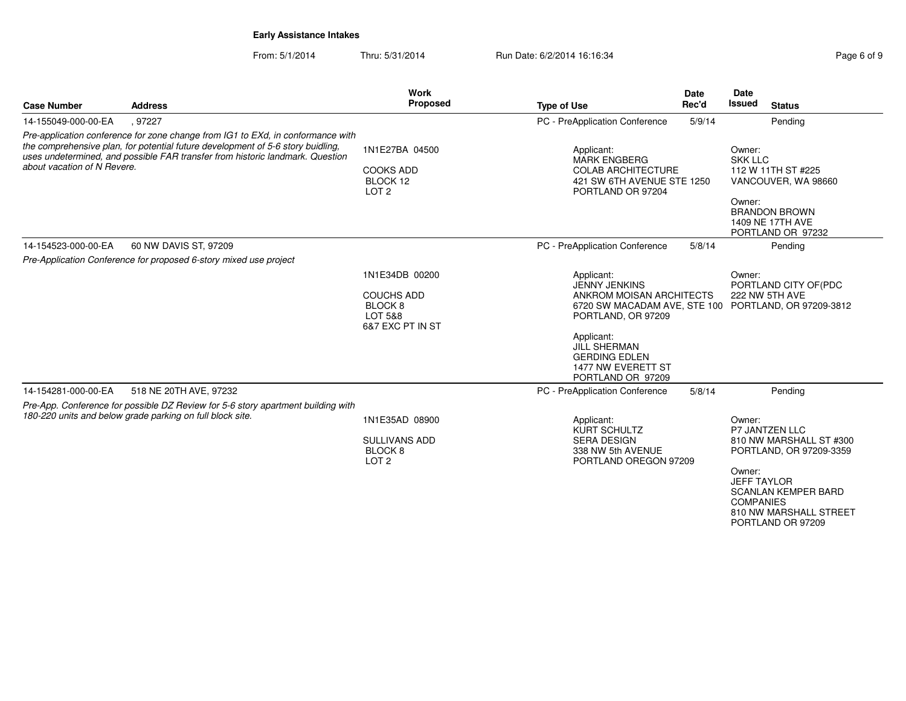From: 5/1/2014Thru: 5/31/2014 Run Date: 6/2/2014 16:16:34 Register 2014 19:16:34

| <b>Case Number</b>          | <b>Address</b>                                                                                                                                                                                                                                      | Work<br>Proposed                                                                     | <b>Type of Use</b>                                                                                                                                                      | <b>Date</b><br>Rec'd | Date<br><b>Issued</b><br><b>Status</b>                                                                                                                                                                          |
|-----------------------------|-----------------------------------------------------------------------------------------------------------------------------------------------------------------------------------------------------------------------------------------------------|--------------------------------------------------------------------------------------|-------------------------------------------------------------------------------------------------------------------------------------------------------------------------|----------------------|-----------------------------------------------------------------------------------------------------------------------------------------------------------------------------------------------------------------|
| 14-155049-000-00-EA         | .97227                                                                                                                                                                                                                                              |                                                                                      | PC - PreApplication Conference                                                                                                                                          | 5/9/14               | Pending                                                                                                                                                                                                         |
| about vacation of N Revere. | Pre-application conference for zone change from IG1 to EXd, in conformance with<br>the comprehensive plan, for potential future development of 5-6 story buidling,<br>uses undetermined, and possible FAR transfer from historic landmark. Question | 1N1E27BA 04500<br><b>COOKS ADD</b><br>BLOCK 12<br>LOT <sub>2</sub>                   | Applicant:<br><b>MARK ENGBERG</b><br><b>COLAB ARCHITECTURE</b><br>421 SW 6TH AVENUE STE 1250<br>PORTLAND OR 97204                                                       |                      | Owner:<br><b>SKK LLC</b><br>112 W 11TH ST #225<br>VANCOUVER, WA 98660<br>Owner:<br><b>BRANDON BROWN</b><br>1409 NE 17TH AVE<br>PORTLAND OR 97232                                                                |
| 14-154523-000-00-EA         | 60 NW DAVIS ST, 97209                                                                                                                                                                                                                               |                                                                                      | PC - PreApplication Conference                                                                                                                                          | 5/8/14               | Pending                                                                                                                                                                                                         |
|                             | Pre-Application Conference for proposed 6-story mixed use project                                                                                                                                                                                   |                                                                                      |                                                                                                                                                                         |                      |                                                                                                                                                                                                                 |
|                             |                                                                                                                                                                                                                                                     | 1N1E34DB 00200<br><b>COUCHS ADD</b><br><b>BLOCK 8</b><br>LOT 5&8<br>6&7 EXC PT IN ST | Applicant:<br><b>JENNY JENKINS</b><br>ANKROM MOISAN ARCHITECTS<br>PORTLAND, OR 97209<br>Applicant:<br><b>JILL SHERMAN</b><br><b>GERDING EDLEN</b><br>1477 NW EVERETT ST |                      | Owner:<br>PORTLAND CITY OF (PDC<br>222 NW 5TH AVE<br>6720 SW MACADAM AVE, STE 100 PORTLAND, OR 97209-3812                                                                                                       |
| 14-154281-000-00-EA         | 518 NE 20TH AVE, 97232                                                                                                                                                                                                                              |                                                                                      | PORTLAND OR 97209<br>PC - PreApplication Conference                                                                                                                     | 5/8/14               | Pending                                                                                                                                                                                                         |
|                             | Pre-App. Conference for possible DZ Review for 5-6 story apartment building with<br>180-220 units and below grade parking on full block site.                                                                                                       | 1N1E35AD 08900<br><b>SULLIVANS ADD</b><br>BLOCK <sub>8</sub><br>LOT <sub>2</sub>     | Applicant:<br><b>KURT SCHULTZ</b><br><b>SERA DESIGN</b><br>338 NW 5th AVENUE<br>PORTLAND OREGON 97209                                                                   |                      | Owner:<br>P7 JANTZEN LLC<br>810 NW MARSHALL ST #300<br>PORTLAND, OR 97209-3359<br>Owner:<br><b>JEFF TAYLOR</b><br><b>SCANLAN KEMPER BARD</b><br><b>COMPANIES</b><br>810 NW MARSHALL STREET<br>PORTLAND OR 97209 |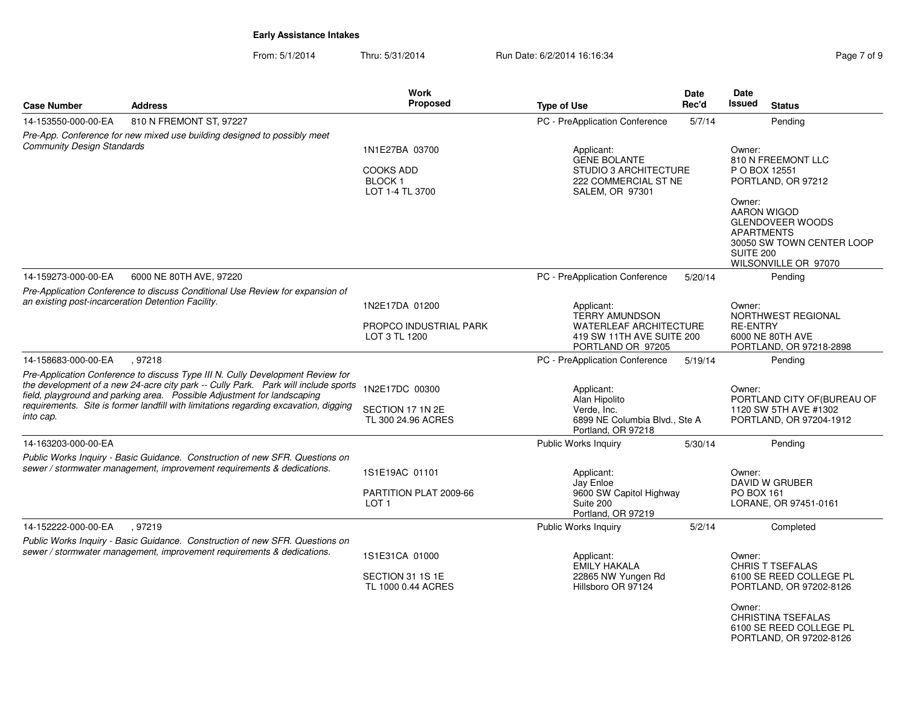From: 5/1/2014Thru: 5/31/2014 Run Date: 6/2/2014 16:16:34 Rege 7 of 9

| <b>Case Number</b>                                                                                                                                     | <b>Address</b>                                                                                                                                                                                                                                                                                                                          | Work<br>Proposed                                                            | <b>Type of Use</b>                                                                                                      | Date<br>Rec'd | Date<br><b>Issued</b>                                               | <b>Status</b>                                                                                      |  |
|--------------------------------------------------------------------------------------------------------------------------------------------------------|-----------------------------------------------------------------------------------------------------------------------------------------------------------------------------------------------------------------------------------------------------------------------------------------------------------------------------------------|-----------------------------------------------------------------------------|-------------------------------------------------------------------------------------------------------------------------|---------------|---------------------------------------------------------------------|----------------------------------------------------------------------------------------------------|--|
| 14-153550-000-00-EA                                                                                                                                    |                                                                                                                                                                                                                                                                                                                                         |                                                                             |                                                                                                                         |               |                                                                     |                                                                                                    |  |
|                                                                                                                                                        | 810 N FREMONT ST, 97227                                                                                                                                                                                                                                                                                                                 |                                                                             | PC - PreApplication Conference                                                                                          | 5/7/14        |                                                                     | Pending                                                                                            |  |
| <b>Community Design Standards</b>                                                                                                                      | Pre-App. Conference for new mixed use building designed to possibly meet                                                                                                                                                                                                                                                                | 1N1E27BA 03700<br><b>COOKS ADD</b><br>BLOCK <sub>1</sub><br>LOT 1-4 TL 3700 | Applicant:<br><b>GENE BOLANTE</b><br>STUDIO 3 ARCHITECTURE<br>222 COMMERCIAL ST NE<br><b>SALEM, OR 97301</b>            |               | Owner:<br>810 N FREEMONT LLC<br>P O BOX 12551<br>PORTLAND, OR 97212 |                                                                                                    |  |
|                                                                                                                                                        |                                                                                                                                                                                                                                                                                                                                         |                                                                             |                                                                                                                         |               | Owner:<br><b>APARTMENTS</b><br><b>SUITE 200</b>                     | <b>AARON WIGOD</b><br><b>GLENDOVEER WOODS</b><br>30050 SW TOWN CENTER LOOP<br>WILSONVILLE OR 97070 |  |
| 14-159273-000-00-EA                                                                                                                                    | 6000 NE 80TH AVE, 97220                                                                                                                                                                                                                                                                                                                 |                                                                             | PC - PreApplication Conference                                                                                          | 5/20/14       |                                                                     | Pending                                                                                            |  |
| Pre-Application Conference to discuss Conditional Use Review for expansion of<br>an existing post-incarceration Detention Facility.                    |                                                                                                                                                                                                                                                                                                                                         | 1N2E17DA 01200<br>PROPCO INDUSTRIAL PARK                                    | Owner:<br>Applicant:<br><b>TERRY AMUNDSON</b><br>NORTHWEST REGIONAL<br><b>WATERLEAF ARCHITECTURE</b><br><b>RE-ENTRY</b> |               |                                                                     |                                                                                                    |  |
|                                                                                                                                                        |                                                                                                                                                                                                                                                                                                                                         | LOT 3 TL 1200                                                               | 419 SW 11TH AVE SUITE 200<br>PORTLAND OR 97205                                                                          |               |                                                                     | 6000 NE 80TH AVE<br>PORTLAND, OR 97218-2898                                                        |  |
| 14-158683-000-00-EA                                                                                                                                    | .97218                                                                                                                                                                                                                                                                                                                                  |                                                                             | PC - PreApplication Conference                                                                                          | 5/19/14       |                                                                     | Pending                                                                                            |  |
| into cap.                                                                                                                                              | Pre-Application Conference to discuss Type III N. Cully Development Review for<br>the development of a new 24-acre city park -- Cully Park. Park will include sports<br>field, playground and parking area. Possible Adjustment for landscaping<br>requirements. Site is former landfill with limitations regarding excavation, digging | 1N2E17DC 00300<br>SECTION 17 1N 2E<br>TL 300 24.96 ACRES                    | Applicant:<br>Alan Hipolito<br>Verde, Inc.<br>6899 NE Columbia Blvd., Ste A<br>Portland, OR 97218                       |               | Owner:                                                              | PORTLAND CITY OF (BUREAU OF<br>1120 SW 5TH AVE #1302<br>PORTLAND, OR 97204-1912                    |  |
| 14-163203-000-00-EA                                                                                                                                    |                                                                                                                                                                                                                                                                                                                                         |                                                                             | Public Works Inquiry                                                                                                    | 5/30/14       |                                                                     | Pending                                                                                            |  |
| Public Works Inquiry - Basic Guidance. Construction of new SFR. Questions on<br>sewer / stormwater management, improvement requirements & dedications. |                                                                                                                                                                                                                                                                                                                                         | 1S1E19AC 01101<br>PARTITION PLAT 2009-66<br>LOT <sub>1</sub>                | Applicant:<br>Jay Enloe<br>9600 SW Capitol Highway<br>Suite 200<br>Portland, OR 97219                                   |               | Owner:<br>DAVID W GRUBER<br>PO BOX 161<br>LORANE, OR 97451-0161     |                                                                                                    |  |
| 14-152222-000-00-EA                                                                                                                                    | , 97219                                                                                                                                                                                                                                                                                                                                 |                                                                             | <b>Public Works Inquiry</b>                                                                                             | 5/2/14        |                                                                     | Completed                                                                                          |  |
|                                                                                                                                                        | Public Works Inquiry - Basic Guidance. Construction of new SFR. Questions on<br>sewer / stormwater management, improvement requirements & dedications.                                                                                                                                                                                  | 1S1E31CA 01000<br>SECTION 31 1S 1E<br>TL 1000 0.44 ACRES                    | Applicant:<br>EMILY HAKALA<br>22865 NW Yungen Rd<br>Hillsboro OR 97124                                                  |               | Owner:<br>Owner:                                                    | <b>CHRIS T TSEFALAS</b><br>6100 SE REED COLLEGE PL<br>PORTLAND, OR 97202-8126                      |  |
|                                                                                                                                                        |                                                                                                                                                                                                                                                                                                                                         |                                                                             |                                                                                                                         |               |                                                                     | <b>CHRISTINA TSEFALAS</b><br>6100 SE REED COLLEGE PL<br>PORTLAND, OR 97202-8126                    |  |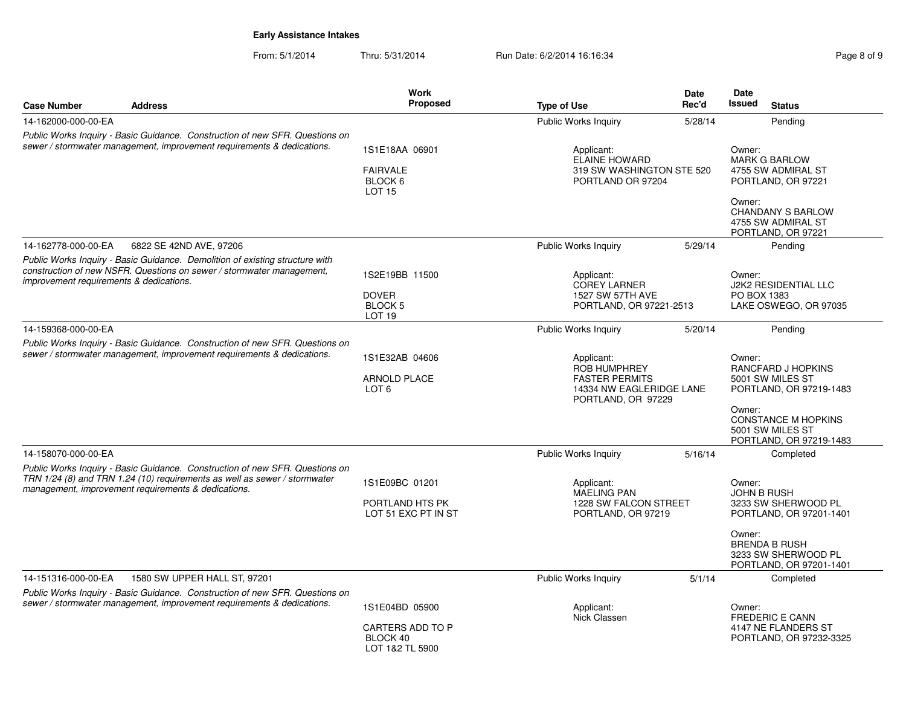From: 5/1/2014Thru: 5/31/2014 Run Date: 6/2/2014 16:16:34 Register 2014 19:16:34

| <b>Case Number</b>                                                                                                                                     | <b>Address</b>                                                                                                                                                                                                   | Work<br>Proposed                                                  | <b>Type of Use</b>                                                               | Date<br>Rec'd            | Date<br><b>Issued</b>                  | <b>Status</b>                                                                                                                                  |
|--------------------------------------------------------------------------------------------------------------------------------------------------------|------------------------------------------------------------------------------------------------------------------------------------------------------------------------------------------------------------------|-------------------------------------------------------------------|----------------------------------------------------------------------------------|--------------------------|----------------------------------------|------------------------------------------------------------------------------------------------------------------------------------------------|
| 14-162000-000-00-EA                                                                                                                                    |                                                                                                                                                                                                                  |                                                                   | Public Works Inquiry                                                             | 5/28/14                  |                                        | Pending                                                                                                                                        |
|                                                                                                                                                        | Public Works Inquiry - Basic Guidance. Construction of new SFR. Questions on<br>sewer / stormwater management, improvement requirements & dedications.                                                           | 1S1E18AA 06901<br><b>FAIRVALE</b><br>BLOCK 6<br>LOT <sub>15</sub> | Applicant:<br>ELAINE HOWARD<br>319 SW WASHINGTON STE 520<br>PORTLAND OR 97204    |                          | Owner:<br>Owner:                       | <b>MARK G BARLOW</b><br>4755 SW ADMIRAL ST<br>PORTLAND, OR 97221<br><b>CHANDANY S BARLOW</b><br>4755 SW ADMIRAL ST<br>PORTLAND, OR 97221       |
| 14-162778-000-00-EA                                                                                                                                    | 6822 SE 42ND AVE, 97206                                                                                                                                                                                          |                                                                   | Public Works Inquiry                                                             | 5/29/14                  |                                        | Pending                                                                                                                                        |
| improvement requirements & dedications.                                                                                                                | Public Works Inquiry - Basic Guidance. Demolition of existing structure with<br>construction of new NSFR. Questions on sewer / stormwater management,                                                            | 1S2E19BB 11500<br><b>DOVER</b><br>BLOCK 5<br><b>LOT 19</b>        | Applicant:<br><b>COREY LARNER</b><br>1527 SW 57TH AVE<br>PORTLAND, OR 97221-2513 |                          | Owner:<br>PO BOX 1383                  | J2K2 RESIDENTIAL LLC<br>LAKE OSWEGO, OR 97035                                                                                                  |
| 14-159368-000-00-EA                                                                                                                                    |                                                                                                                                                                                                                  |                                                                   | Public Works Inquiry                                                             | 5/20/14                  |                                        | Pending                                                                                                                                        |
|                                                                                                                                                        | Public Works Inquiry - Basic Guidance. Construction of new SFR. Questions on<br>sewer / stormwater management, improvement requirements & dedications.                                                           | 1S1E32AB 04606<br><b>ARNOLD PLACE</b><br>LOT <sub>6</sub>         | Applicant:<br>ROB HUMPHREY<br><b>FASTER PERMITS</b><br>PORTLAND, OR 97229        | 14334 NW EAGLERIDGE LANE |                                        | RANCFARD J HOPKINS<br>5001 SW MILES ST<br>PORTLAND, OR 97219-1483<br><b>CONSTANCE M HOPKINS</b><br>5001 SW MILES ST<br>PORTLAND, OR 97219-1483 |
| 14-158070-000-00-EA                                                                                                                                    |                                                                                                                                                                                                                  |                                                                   | Public Works Inquiry                                                             | 5/16/14                  |                                        | Completed                                                                                                                                      |
|                                                                                                                                                        | Public Works Inquiry - Basic Guidance. Construction of new SFR. Questions on<br>TRN 1/24 (8) and TRN 1.24 (10) requirements as well as sewer / stormwater<br>management, improvement requirements & dedications. | 1S1E09BC 01201<br>PORTLAND HTS PK<br>LOT 51 EXC PT IN ST          | Applicant:<br>MAELING PAN<br>1228 SW FALCON STREET<br>PORTLAND, OR 97219         |                          | Owner:<br><b>JOHN B RUSH</b><br>Owner: | 3233 SW SHERWOOD PL<br>PORTLAND, OR 97201-1401<br><b>BRENDA B RUSH</b><br>3233 SW SHERWOOD PL                                                  |
|                                                                                                                                                        |                                                                                                                                                                                                                  |                                                                   |                                                                                  |                          |                                        | PORTLAND, OR 97201-1401                                                                                                                        |
| 14-151316-000-00-EA                                                                                                                                    | 1580 SW UPPER HALL ST, 97201                                                                                                                                                                                     |                                                                   | Public Works Inquiry                                                             | 5/1/14                   |                                        | Completed                                                                                                                                      |
| Public Works Inquiry - Basic Guidance. Construction of new SFR. Questions on<br>sewer / stormwater management, improvement requirements & dedications. |                                                                                                                                                                                                                  | 1S1E04BD 05900<br><b>CARTERS ADD TO P</b>                         | Applicant:<br>Nick Classen                                                       | Owner:                   |                                        | <b>FREDERIC E CANN</b><br>4147 NE FLANDERS ST                                                                                                  |
|                                                                                                                                                        |                                                                                                                                                                                                                  | BLOCK 40<br>LOT 1&2 TL 5900                                       |                                                                                  |                          |                                        | PORTLAND, OR 97232-3325                                                                                                                        |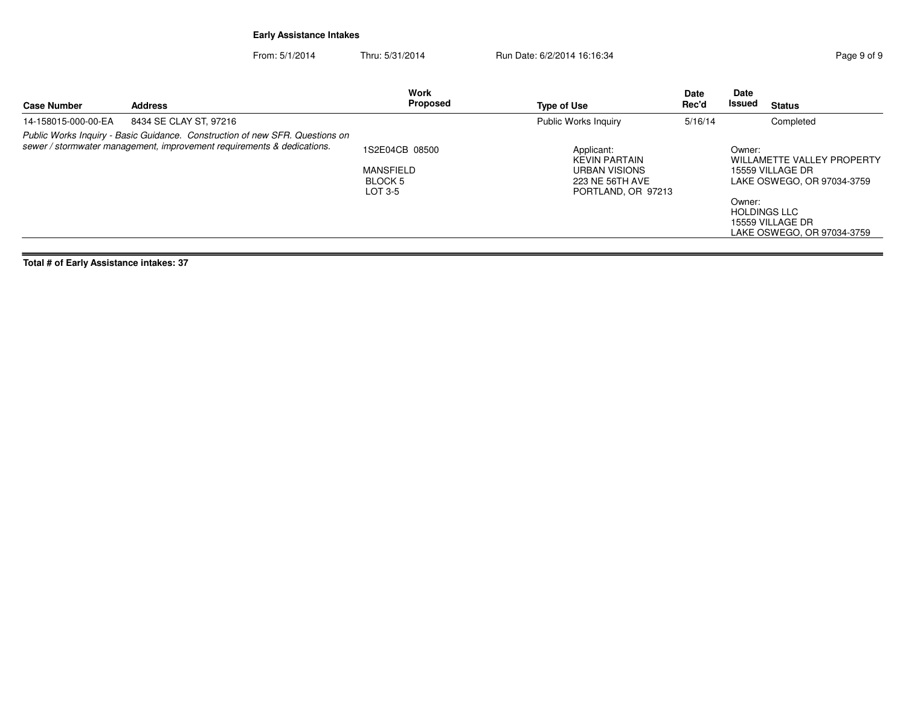From: 5/1/2014Thru: 5/31/2014 Run Date: 6/2/2014 16:16:34 Register 2010 12:06:34

| Public Works Inquiry<br>Completed<br>14-158015-000-00-EA<br>8434 SE CLAY ST, 97216<br>5/16/14<br>Public Works Inquiry - Basic Guidance. Construction of new SFR. Questions on<br>sewer / stormwater management, improvement requirements & dedications.<br>1S2E04CB 08500<br>Applicant:<br>Owner:<br>WILLAMETTE VALLEY PROPERTY<br><b>KEVIN PARTAIN</b><br><b>MANSFIELD</b><br>URBAN VISIONS<br>15559 VILLAGE DR<br><b>BLOCK 5</b><br>LAKE OSWEGO, OR 97034-3759<br>223 NE 56TH AVE<br>LOT 3-5<br>PORTLAND, OR 97213<br>Owner:<br><b>HOLDINGS LLC</b> | <b>Case Number</b> | <b>Address</b> | <b>Work</b><br>Proposed | Type of Use | <b>Date</b><br>Rec'd | Date<br>Issued | <b>Status</b> |
|-------------------------------------------------------------------------------------------------------------------------------------------------------------------------------------------------------------------------------------------------------------------------------------------------------------------------------------------------------------------------------------------------------------------------------------------------------------------------------------------------------------------------------------------------------|--------------------|----------------|-------------------------|-------------|----------------------|----------------|---------------|
|                                                                                                                                                                                                                                                                                                                                                                                                                                                                                                                                                       |                    |                |                         |             |                      |                |               |
| 15559 VILLAGE DR<br>LAKE OSWEGO, OR 97034-3759                                                                                                                                                                                                                                                                                                                                                                                                                                                                                                        |                    |                |                         |             |                      |                |               |

**Total # of Early Assistance intakes: 37**

 $\equiv$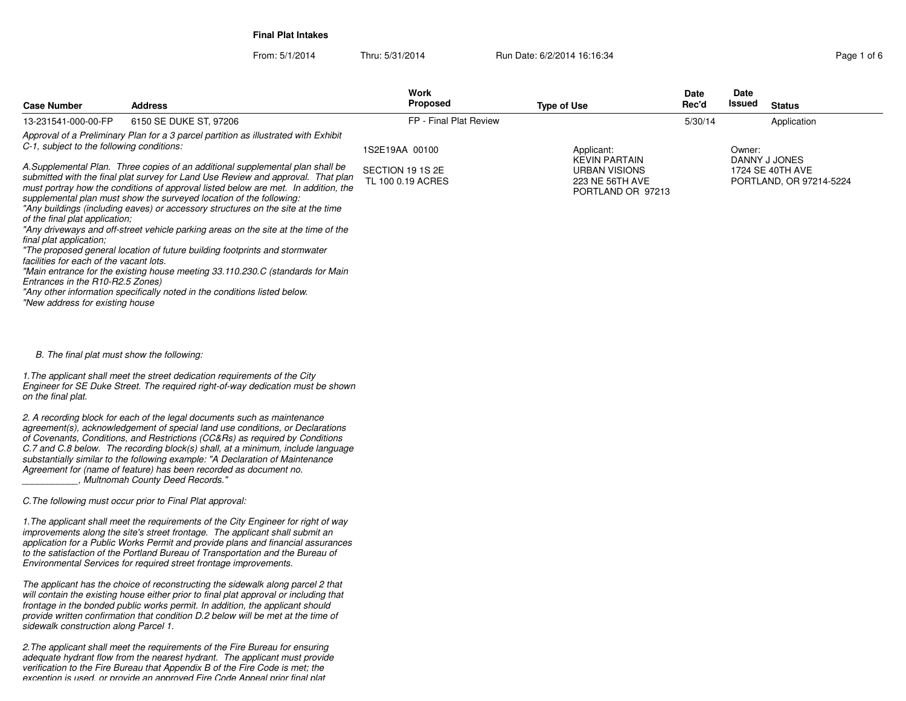**Final Plat Intakes**

From: 5/1/2014Thru: 5/31/2014 **Run Date: 6/2/2014 16:16:34** Page 1 of 6

| <b>Case Number</b>                                                                                     | <b>Address</b>                                                                                                                                                                                                                                                                                                                                                                                                                                                                                                                                                                                                                                                                 | Work<br><b>Proposed</b>                                 | <b>Type of Use</b>                                                                                 | <b>Date</b><br>Rec'd | Date<br>Issued | <b>Status</b>                                                |
|--------------------------------------------------------------------------------------------------------|--------------------------------------------------------------------------------------------------------------------------------------------------------------------------------------------------------------------------------------------------------------------------------------------------------------------------------------------------------------------------------------------------------------------------------------------------------------------------------------------------------------------------------------------------------------------------------------------------------------------------------------------------------------------------------|---------------------------------------------------------|----------------------------------------------------------------------------------------------------|----------------------|----------------|--------------------------------------------------------------|
| 13-231541-000-00-FP                                                                                    | 6150 SE DUKE ST, 97206                                                                                                                                                                                                                                                                                                                                                                                                                                                                                                                                                                                                                                                         | FP - Final Plat Review                                  |                                                                                                    | 5/30/14              |                | Application                                                  |
| C-1, subject to the following conditions:<br>of the final plat application;<br>final plat application: | Approval of a Preliminary Plan for a 3 parcel partition as illustrated with Exhibit<br>A.Supplemental Plan. Three copies of an additional supplemental plan shall be<br>submitted with the final plat survey for Land Use Review and approval. That plan<br>must portray how the conditions of approval listed below are met. In addition, the<br>supplemental plan must show the surveyed location of the following:<br>"Any buildings (including eaves) or accessory structures on the site at the time<br>"Any driveways and off-street vehicle parking areas on the site at the time of the<br>"The proposed general location of future building footprints and stormwater | 1S2E19AA 00100<br>SECTION 19 1S 2E<br>TL 100 0.19 ACRES | Applicant:<br><b>KEVIN PARTAIN</b><br><b>URBAN VISIONS</b><br>223 NE 56TH AVE<br>PORTLAND OR 97213 |                      | Owner:         | DANNY J JONES<br>1724 SE 40TH AVE<br>PORTLAND, OR 97214-5224 |

*"The proposed general location of future building footprints and stormwaterfacilities for each of the vacant lots.*

 *"Main entrance for the existing house meeting 33.110.230.C (standards for MainEntrances in the R10-R2.5 Zones)*

*"Any other information specifically noted in the conditions listed below.*

*"New address for existing house*

 *B. The final plat must show the following:*

*1.The applicant shall meet the street dedication requirements of the City Engineer for SE Duke Street. The required right-of-way dedication must be shownon the final plat.*

*2. A recording block for each of the legal documents such as maintenance agreement(s), acknowledgement of special land use conditions, or Declarations of Covenants, Conditions, and Restrictions (CC&Rs) as required by Conditions C.7 and C.8 below. The recording block(s) shall, at a minimum, include languagesubstantially similar to the following example: "A Declaration of MaintenanceAgreement for (name of feature) has been recorded as document no.\_\_\_\_\_\_\_\_\_\_\_, Multnomah County Deed Records."*

*C.The following must occur prior to Final Plat approval:*

*1.The applicant shall meet the requirements of the City Engineer for right of wayimprovements along the site's street frontage. The applicant shall submit an application for a Public Works Permit and provide plans and financial assurancesto the satisfaction of the Portland Bureau of Transportation and the Bureau ofEnvironmental Services for required street frontage improvements.*

*The applicant has the choice of reconstructing the sidewalk along parcel 2 that will contain the existing house either prior to final plat approval or including thatfrontage in the bonded public works permit. In addition, the applicant should provide written confirmation that condition D.2 below will be met at the time ofsidewalk construction along Parcel 1.*

*2.The applicant shall meet the requirements of the Fire Bureau for ensuring adequate hydrant flow from the nearest hydrant. The applicant must provideverification to the Fire Bureau that Appendix B of the Fire Code is met; theexception is used, or provide an approved Fire Code Appeal prior final plat*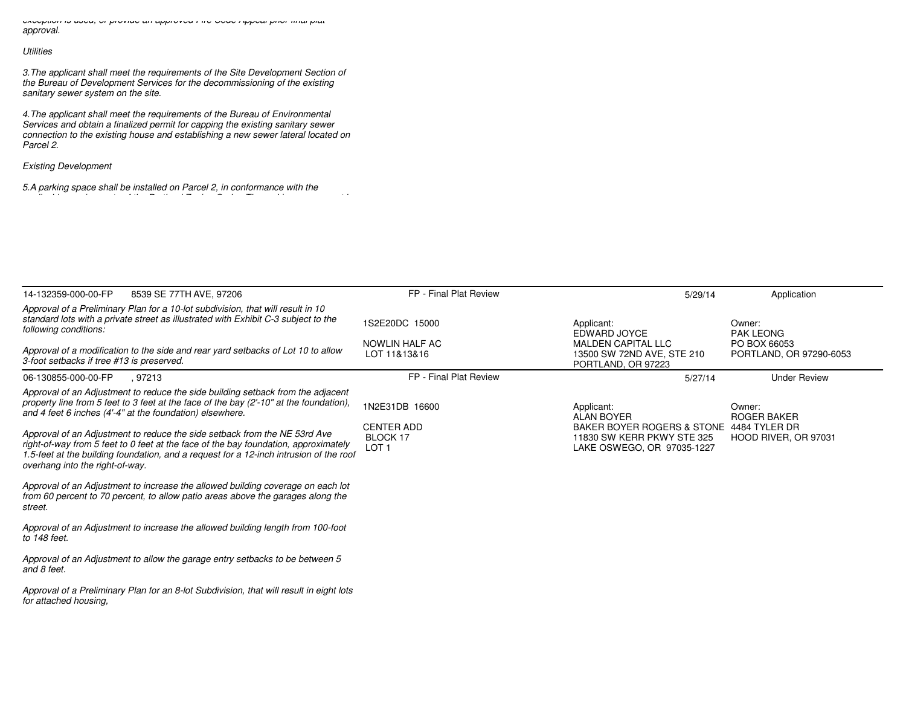*exception is used, or provide an approved Fire Code Appeal prior final platapproval.*

# *Utilities*

*3.The applicant shall meet the requirements of the Site Development Section ofthe Bureau of Development Services for the decommissioning of the existingsanitary sewer system on the site.*

*4.The applicant shall meet the requirements of the Bureau of Environmental Services and obtain a finalized permit for capping the existing sanitary sewer connection to the existing house and establishing a new sewer lateral located onParcel 2.*

*Existing Development*

*5.A parking space shall be installed on Parcel 2, in conformance with theapplicable requirements of the Portland Zoning Code. The parking space must be*

| 14-132359-000-00-FP<br>8539 SE 77TH AVE, 97206                                                                                                                                                                                                                                                | FP - Final Plat Review                                   | 5/29/14                                                                                              | Application                                |
|-----------------------------------------------------------------------------------------------------------------------------------------------------------------------------------------------------------------------------------------------------------------------------------------------|----------------------------------------------------------|------------------------------------------------------------------------------------------------------|--------------------------------------------|
| Approval of a Preliminary Plan for a 10-lot subdivision, that will result in 10<br>standard lots with a private street as illustrated with Exhibit C-3 subject to the<br>following conditions:                                                                                                | 1S2E20DC 15000<br>NOWLIN HALF AC                         | Applicant:<br>EDWARD JOYCE<br><b>MALDEN CAPITAL LLC</b>                                              | Owner:<br><b>PAK LEONG</b><br>PO BOX 66053 |
| Approval of a modification to the side and rear yard setbacks of Lot 10 to allow<br>3-foot setbacks if tree #13 is preserved.                                                                                                                                                                 | LOT 11&13&16                                             | 13500 SW 72ND AVE, STE 210<br>PORTLAND, OR 97223                                                     | PORTLAND, OR 97290-6053                    |
| 06-130855-000-00-FP<br>. 97213                                                                                                                                                                                                                                                                | FP - Final Plat Review                                   | 5/27/14                                                                                              | <b>Under Review</b>                        |
| Approval of an Adjustment to reduce the side building setback from the adjacent<br>property line from 5 feet to 3 feet at the face of the bay $(21-10n$ at the foundation).<br>and 4 feet 6 inches (4'-4" at the foundation) elsewhere.                                                       | 1N2E31DB 16600                                           | Applicant:<br><b>ALAN BOYER</b>                                                                      | Owner:<br><b>ROGER BAKER</b>               |
| Approval of an Adjustment to reduce the side setback from the NE 53rd Ave<br>right-of-way from 5 feet to 0 feet at the face of the bay foundation, approximately<br>1.5-feet at the building foundation, and a request for a 12-inch intrusion of the roof<br>overhang into the right-of-way. | <b>CENTER ADD</b><br><b>BLOCK 17</b><br>LOT <sub>1</sub> | BAKER BOYER ROGERS & STONE 4484 TYLER DR<br>11830 SW KERR PKWY STE 325<br>LAKE OSWEGO, OR 97035-1227 | HOOD RIVER, OR 97031                       |
| Approval of an Adjustment to increase the allowed building coverage on each lot<br>from 60 percent to 70 percent, to allow patio areas above the garages along the<br>street.                                                                                                                 |                                                          |                                                                                                      |                                            |
| Approval of an Adjustment to increase the allowed building length from 100-foot<br>to 148 feet.                                                                                                                                                                                               |                                                          |                                                                                                      |                                            |
| Approval of an Adjustment to allow the garage entry setbacks to be between 5<br>and 8 feet.                                                                                                                                                                                                   |                                                          |                                                                                                      |                                            |
| Approval of a Preliminary Plan for an 8-lot Subdivision, that will result in eight lots<br>for attached housing,                                                                                                                                                                              |                                                          |                                                                                                      |                                            |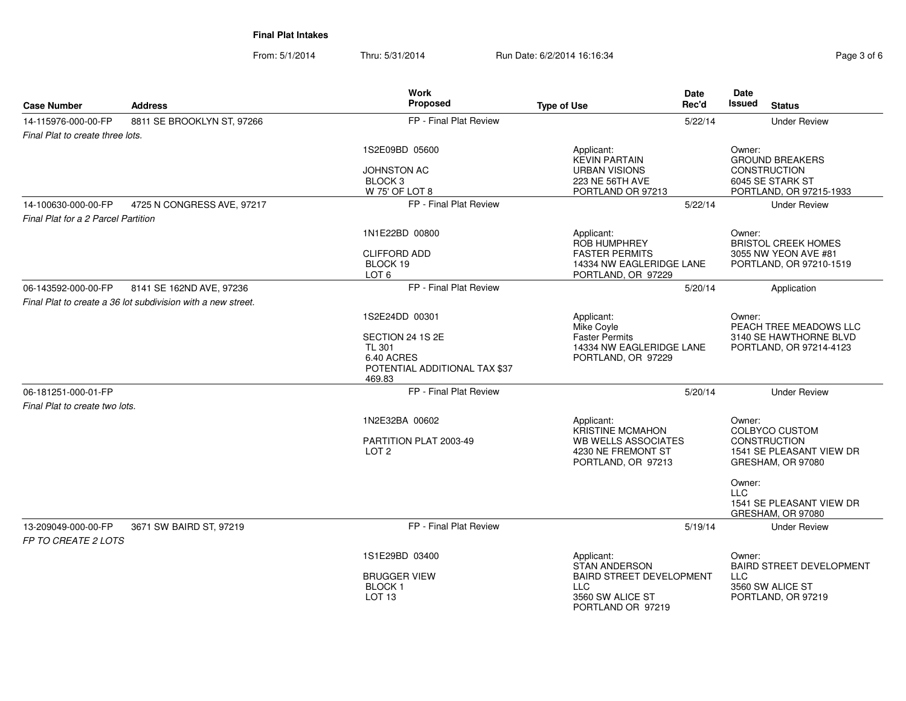**Final Plat Intakes**

From: 5/1/2014Thru: 5/31/2014 Run Date: 6/2/2014 16:16:34

| Page 3 of 6 |  |  |  |  |
|-------------|--|--|--|--|
|-------------|--|--|--|--|

|                                            |                                                              | <b>Work</b>                                           | <b>Date</b>                                    | <b>Date</b>                                   |
|--------------------------------------------|--------------------------------------------------------------|-------------------------------------------------------|------------------------------------------------|-----------------------------------------------|
| <b>Case Number</b>                         | <b>Address</b>                                               | Proposed                                              | Rec'd<br><b>Type of Use</b>                    | <b>Issued</b><br><b>Status</b>                |
| 14-115976-000-00-FP                        | 8811 SE BROOKLYN ST, 97266                                   | FP - Final Plat Review                                | 5/22/14                                        | <b>Under Review</b>                           |
| Final Plat to create three lots.           |                                                              |                                                       |                                                |                                               |
|                                            |                                                              | 1S2E09BD 05600                                        | Applicant:<br><b>KEVIN PARTAIN</b>             | Owner:<br><b>GROUND BREAKERS</b>              |
|                                            |                                                              | <b>JOHNSTON AC</b>                                    | <b>URBAN VISIONS</b>                           | CONSTRUCTION                                  |
|                                            |                                                              | BLOCK <sub>3</sub>                                    | 223 NE 56TH AVE                                | 6045 SE STARK ST                              |
|                                            |                                                              | W 75' OF LOT 8                                        | PORTLAND OR 97213                              | PORTLAND, OR 97215-1933                       |
| 14-100630-000-00-FP                        | 4725 N CONGRESS AVE, 97217                                   | FP - Final Plat Review                                | 5/22/14                                        | <b>Under Review</b>                           |
| Final Plat for a 2 Parcel Partition        |                                                              |                                                       |                                                |                                               |
|                                            |                                                              | 1N1E22BD 00800                                        | Applicant:<br>ROB HUMPHREY                     | Owner:<br><b>BRISTOL CREEK HOMES</b>          |
|                                            |                                                              | <b>CLIFFORD ADD</b>                                   | <b>FASTER PERMITS</b>                          | 3055 NW YEON AVE #81                          |
|                                            |                                                              | BLOCK 19<br>LOT <sub>6</sub>                          | 14334 NW EAGLERIDGE LANE<br>PORTLAND, OR 97229 | PORTLAND, OR 97210-1519                       |
| 06-143592-000-00-FP                        | 8141 SE 162ND AVE, 97236                                     | FP - Final Plat Review                                | 5/20/14                                        | Application                                   |
|                                            | Final Plat to create a 36 lot subdivision with a new street. |                                                       |                                                |                                               |
|                                            |                                                              | 1S2E24DD 00301                                        | Applicant:<br>Mike Coyle                       | Owner:<br>PEACH TREE MEADOWS LLC              |
|                                            |                                                              | SECTION 24 1S 2E                                      | <b>Faster Permits</b>                          | 3140 SE HAWTHORNE BLVD                        |
|                                            |                                                              | <b>TL 301</b>                                         | 14334 NW EAGLERIDGE LANE                       | PORTLAND, OR 97214-4123                       |
|                                            |                                                              | 6.40 ACRES<br>POTENTIAL ADDITIONAL TAX \$37<br>469.83 | PORTLAND, OR 97229                             |                                               |
| 06-181251-000-01-FP                        |                                                              | FP - Final Plat Review                                | 5/20/14                                        | <b>Under Review</b>                           |
| Final Plat to create two lots.             |                                                              |                                                       |                                                |                                               |
|                                            |                                                              | 1N2E32BA 00602                                        | Applicant:                                     | Owner:                                        |
|                                            |                                                              |                                                       | <b>KRISTINE MCMAHON</b>                        | <b>COLBYCO CUSTOM</b>                         |
|                                            |                                                              | PARTITION PLAT 2003-49                                | <b>WB WELLS ASSOCIATES</b>                     | CONSTRUCTION                                  |
|                                            |                                                              | LOT <sub>2</sub>                                      | 4230 NE FREMONT ST<br>PORTLAND, OR 97213       | 1541 SE PLEASANT VIEW DR<br>GRESHAM, OR 97080 |
|                                            |                                                              |                                                       |                                                | Owner:<br>$\sqcup$ C                          |
|                                            |                                                              |                                                       |                                                | 1541 SE PLEASANT VIEW DR<br>GRESHAM, OR 97080 |
| 13-209049-000-00-FP<br>FP TO CREATE 2 LOTS | 3671 SW BAIRD ST, 97219                                      | FP - Final Plat Review                                | 5/19/14                                        | <b>Under Review</b>                           |
|                                            |                                                              | 1S1E29BD 03400                                        | Applicant:<br><b>STAN ANDERSON</b>             | Owner:<br><b>BAIRD STREET DEVELOPMENT</b>     |
|                                            |                                                              | <b>BRUGGER VIEW</b>                                   | <b>BAIRD STREET DEVELOPMENT</b>                | <b>LLC</b>                                    |
|                                            |                                                              | <b>BLOCK1</b>                                         | <b>LLC</b>                                     | 3560 SW ALICE ST                              |
|                                            |                                                              | LOT <sub>13</sub>                                     | 3560 SW ALICE ST<br>PORTLAND OR 97219          | PORTLAND, OR 97219                            |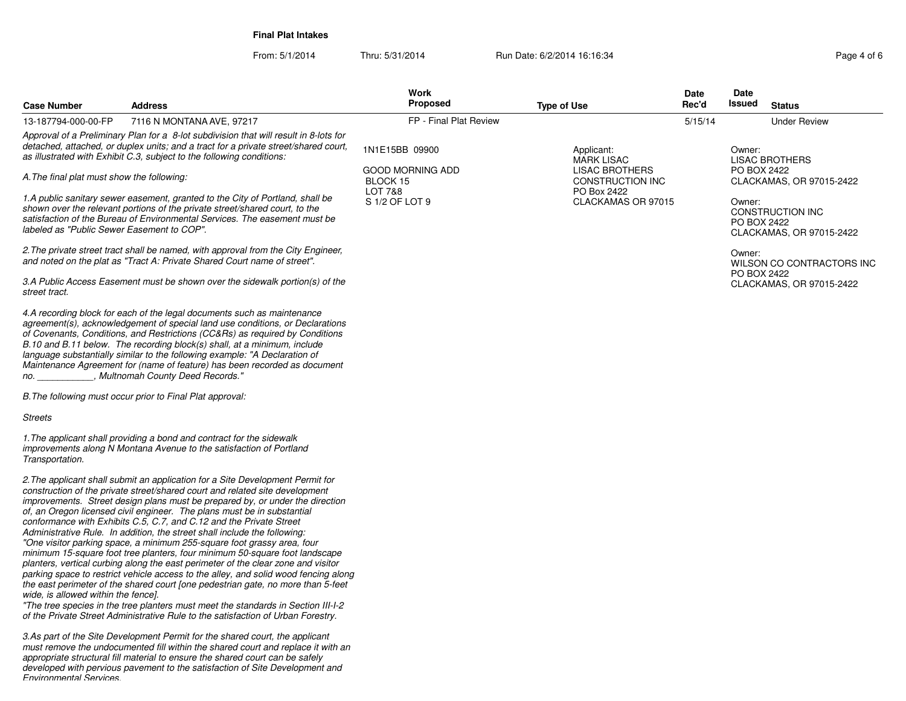**Final Plat Intakes**

| <b>Case Number</b>                         | <b>Address</b>                                                                                                                                                                                                                                                                                                                                                                                                                                                                                                                                                                                                                                                                                                                                                                                                                                                                                                                                                                                                                                                                    | Work<br><b>Proposed</b>                 | <b>Type of Use</b>                                       | Date<br>Rec'd | Date<br>Issued                                                        | <b>Status</b>             |
|--------------------------------------------|-----------------------------------------------------------------------------------------------------------------------------------------------------------------------------------------------------------------------------------------------------------------------------------------------------------------------------------------------------------------------------------------------------------------------------------------------------------------------------------------------------------------------------------------------------------------------------------------------------------------------------------------------------------------------------------------------------------------------------------------------------------------------------------------------------------------------------------------------------------------------------------------------------------------------------------------------------------------------------------------------------------------------------------------------------------------------------------|-----------------------------------------|----------------------------------------------------------|---------------|-----------------------------------------------------------------------|---------------------------|
| 13-187794-000-00-FP                        | 7116 N MONTANA AVE, 97217                                                                                                                                                                                                                                                                                                                                                                                                                                                                                                                                                                                                                                                                                                                                                                                                                                                                                                                                                                                                                                                         | FP - Final Plat Review                  |                                                          | 5/15/14       |                                                                       | <b>Under Review</b>       |
|                                            | Approval of a Preliminary Plan for a 8-lot subdivision that will result in 8-lots for<br>detached, attached, or duplex units; and a tract for a private street/shared court,<br>as illustrated with Exhibit C.3, subject to the following conditions:                                                                                                                                                                                                                                                                                                                                                                                                                                                                                                                                                                                                                                                                                                                                                                                                                             | 1N1E15BB 09900                          | Applicant:<br><b>MARK LISAC</b>                          |               | Owner:                                                                | <b>LISAC BROTHERS</b>     |
| A. The final plat must show the following: |                                                                                                                                                                                                                                                                                                                                                                                                                                                                                                                                                                                                                                                                                                                                                                                                                                                                                                                                                                                                                                                                                   | good Morning Add<br>BLOCK 15<br>LOT 7&8 | <b>LISAC BROTHERS</b><br>CONSTRUCTION INC<br>PO Box 2422 |               | PO BOX 2422                                                           | CLACKAMAS, OR 97015-2422  |
| labeled as "Public Sewer Easement to COP". | 1.A public sanitary sewer easement, granted to the City of Portland, shall be<br>shown over the relevant portions of the private street/shared court, to the<br>satisfaction of the Bureau of Environmental Services. The easement must be                                                                                                                                                                                                                                                                                                                                                                                                                                                                                                                                                                                                                                                                                                                                                                                                                                        | S 1/2 OF LOT 9                          | CLACKAMAS OR 97015                                       |               | Owner:<br>CONSTRUCTION INC<br>PO BOX 2422<br>CLACKAMAS, OR 97015-2422 |                           |
|                                            | 2. The private street tract shall be named, with approval from the City Engineer,<br>and noted on the plat as "Tract A: Private Shared Court name of street".                                                                                                                                                                                                                                                                                                                                                                                                                                                                                                                                                                                                                                                                                                                                                                                                                                                                                                                     |                                         |                                                          |               | Owner:                                                                | WILSON CO CONTRACTORS INC |
| street tract.                              | 3.A Public Access Easement must be shown over the sidewalk portion(s) of the                                                                                                                                                                                                                                                                                                                                                                                                                                                                                                                                                                                                                                                                                                                                                                                                                                                                                                                                                                                                      |                                         |                                                          |               | PO BOX 2422                                                           | CLACKAMAS, OR 97015-2422  |
| no.                                        | 4.A recording block for each of the legal documents such as maintenance<br>agreement(s), acknowledgement of special land use conditions, or Declarations<br>of Covenants, Conditions, and Restrictions (CC&Rs) as required by Conditions<br>B.10 and B.11 below. The recording block(s) shall, at a minimum, include<br>language substantially similar to the following example: "A Declaration of<br>Maintenance Agreement for (name of feature) has been recorded as document<br>_, Multnomah County Deed Records."                                                                                                                                                                                                                                                                                                                                                                                                                                                                                                                                                             |                                         |                                                          |               |                                                                       |                           |
|                                            | B. The following must occur prior to Final Plat approval:                                                                                                                                                                                                                                                                                                                                                                                                                                                                                                                                                                                                                                                                                                                                                                                                                                                                                                                                                                                                                         |                                         |                                                          |               |                                                                       |                           |
| Streets                                    |                                                                                                                                                                                                                                                                                                                                                                                                                                                                                                                                                                                                                                                                                                                                                                                                                                                                                                                                                                                                                                                                                   |                                         |                                                          |               |                                                                       |                           |
| Transportation.                            | 1. The applicant shall providing a bond and contract for the sidewalk<br>improvements along N Montana Avenue to the satisfaction of Portland                                                                                                                                                                                                                                                                                                                                                                                                                                                                                                                                                                                                                                                                                                                                                                                                                                                                                                                                      |                                         |                                                          |               |                                                                       |                           |
| wide, is allowed within the fence].        | 2. The applicant shall submit an application for a Site Development Permit for<br>construction of the private street/shared court and related site development<br>improvements. Street design plans must be prepared by, or under the direction<br>of, an Oregon licensed civil engineer. The plans must be in substantial<br>conformance with Exhibits C.5, C.7, and C.12 and the Private Street<br>Administrative Rule. In addition, the street shall include the following:<br>"One visitor parking space, a minimum 255-square foot grassy area, four<br>minimum 15-square foot tree planters, four minimum 50-square foot landscape<br>planters, vertical curbing along the east perimeter of the clear zone and visitor<br>parking space to restrict vehicle access to the alley, and solid wood fencing along<br>the east perimeter of the shared court [one pedestrian gate, no more than 5-feet<br>"The tree species in the tree planters must meet the standards in Section III-I-2<br>of the Private Street Administrative Rule to the satisfaction of Urban Forestry. |                                         |                                                          |               |                                                                       |                           |
| <b>Fnvironmental Services</b>              | 3.As part of the Site Development Permit for the shared court, the applicant<br>must remove the undocumented fill within the shared court and replace it with an<br>appropriate structural fill material to ensure the shared court can be safely<br>developed with pervious pavement to the satisfaction of Site Development and                                                                                                                                                                                                                                                                                                                                                                                                                                                                                                                                                                                                                                                                                                                                                 |                                         |                                                          |               |                                                                       |                           |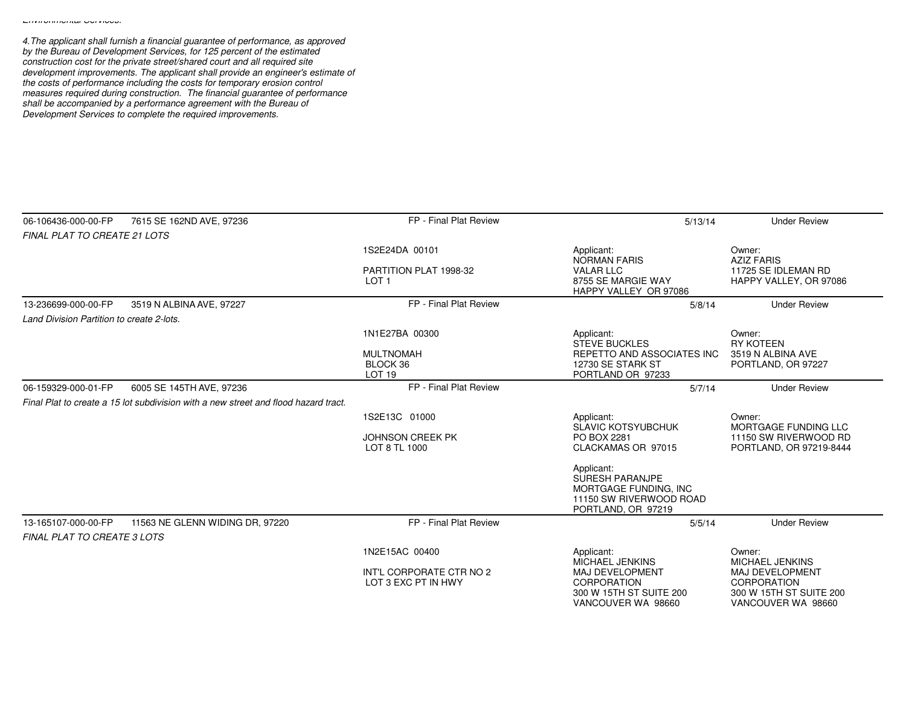*4.The applicant shall furnish a financial guarantee of performance, as approved by the Bureau of Development Services, for 125 percent of the estimated*construction cost for the private street/shared court and all required site<br>development improvements. The applicant shall provide an engineer's estimate of<br>the costs of performance including the costs for temporary erosion *measures required during construction. The financial guarantee of performance shall be accompanied by a performance agreement with the Bureau of Development Services to complete the required improvements.*

| 06-106436-000-00-FP                                       | 7615 SE 162ND AVE, 97236                                                            | FP - Final Plat Review                          | 5/13/14                                                                                                        | <b>Under Review</b>                                                                    |
|-----------------------------------------------------------|-------------------------------------------------------------------------------------|-------------------------------------------------|----------------------------------------------------------------------------------------------------------------|----------------------------------------------------------------------------------------|
| <b>FINAL PLAT TO CREATE 21 LOTS</b>                       |                                                                                     |                                                 |                                                                                                                |                                                                                        |
|                                                           |                                                                                     | 1S2E24DA 00101                                  | Applicant:<br><b>NORMAN FARIS</b>                                                                              | Owner:<br><b>AZIZ FARIS</b>                                                            |
|                                                           |                                                                                     | PARTITION PLAT 1998-32                          | <b>VALAR LLC</b>                                                                                               | 11725 SE IDLEMAN RD                                                                    |
|                                                           |                                                                                     | LOT <sub>1</sub>                                | 8755 SE MARGIE WAY<br>HAPPY VALLEY OR 97086                                                                    | HAPPY VALLEY, OR 97086                                                                 |
| 13-236699-000-00-FP                                       | 3519 N ALBINA AVE, 97227                                                            | FP - Final Plat Review                          | 5/8/14                                                                                                         | <b>Under Review</b>                                                                    |
| Land Division Partition to create 2-lots.                 |                                                                                     |                                                 |                                                                                                                |                                                                                        |
|                                                           |                                                                                     | 1N1E27BA 00300                                  | Applicant:<br><b>STEVE BUCKLES</b>                                                                             | Owner:<br><b>RY KOTEEN</b>                                                             |
|                                                           |                                                                                     | <b>MULTNOMAH</b>                                | REPETTO AND ASSOCIATES INC                                                                                     | 3519 N ALBINA AVE                                                                      |
|                                                           |                                                                                     | BLOCK 36                                        | 12730 SE STARK ST                                                                                              | PORTLAND, OR 97227                                                                     |
| 06-159329-000-01-FP                                       | 6005 SE 145TH AVE, 97236                                                            | <b>LOT 19</b><br>FP - Final Plat Review         | PORTLAND OR 97233<br>5/7/14                                                                                    | <b>Under Review</b>                                                                    |
|                                                           | Final Plat to create a 15 lot subdivision with a new street and flood hazard tract. |                                                 |                                                                                                                |                                                                                        |
|                                                           |                                                                                     |                                                 |                                                                                                                |                                                                                        |
|                                                           |                                                                                     | 1S2E13C 01000                                   | Applicant:<br>SLAVIC KOTSYUBCHUK                                                                               | Owner:<br>MORTGAGE FUNDING LLC                                                         |
|                                                           |                                                                                     | <b>JOHNSON CREEK PK</b>                         | PO BOX 2281                                                                                                    | 11150 SW RIVERWOOD RD                                                                  |
|                                                           |                                                                                     | LOT 8 TL 1000                                   | CLACKAMAS OR 97015                                                                                             | PORTLAND, OR 97219-8444                                                                |
|                                                           |                                                                                     |                                                 | Applicant:<br><b>SURESH PARANJPE</b><br>MORTGAGE FUNDING, INC<br>11150 SW RIVERWOOD ROAD<br>PORTLAND, OR 97219 |                                                                                        |
| 13-165107-000-00-FP<br><b>FINAL PLAT TO CREATE 3 LOTS</b> | 11563 NE GLENN WIDING DR. 97220                                                     | FP - Final Plat Review                          | 5/5/14                                                                                                         | <b>Under Review</b>                                                                    |
|                                                           |                                                                                     | 1N2E15AC 00400                                  | Applicant:<br>MICHAEL JENKINS                                                                                  | Owner:<br>MICHAEL JENKINS                                                              |
|                                                           |                                                                                     | INT'L CORPORATE CTR NO 2<br>LOT 3 EXC PT IN HWY | MAJ DEVELOPMENT<br><b>CORPORATION</b><br>300 W 15TH ST SUITE 200<br>VANCOUVER WA 98660                         | <b>MAJ DEVELOPMENT</b><br>CORPORATION<br>300 W 15TH ST SUITE 200<br>VANCOUVER WA 98660 |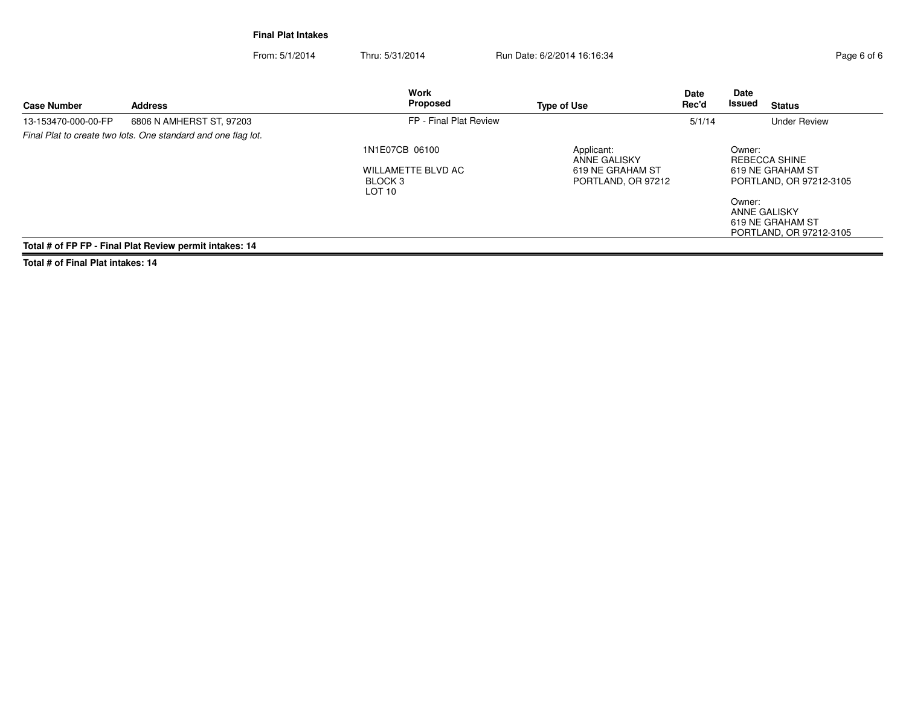**Final Plat Intakes**

From: 5/1/2014Thru: 5/31/2014 Run Date: 6/2/2014 16:16:34

| Page 6 of 6 |  |  |
|-------------|--|--|

| <b>Case Number</b>  | <b>Address</b>                                                | <b>Work</b><br>Proposed      | <b>Type of Use</b>                | <b>Date</b><br>Rec'd | Date<br>Issued<br><b>Status</b>                                              |
|---------------------|---------------------------------------------------------------|------------------------------|-----------------------------------|----------------------|------------------------------------------------------------------------------|
| 13-153470-000-00-FP | 6806 N AMHERST ST. 97203                                      | FP - Final Plat Review       |                                   | 5/1/14               | <b>Under Review</b>                                                          |
|                     | Final Plat to create two lots. One standard and one flag lot. |                              |                                   |                      |                                                                              |
|                     |                                                               | 1N1E07CB 06100               | Applicant:<br><b>ANNE GALISKY</b> |                      | Owner:<br>REBECCA SHINE                                                      |
|                     |                                                               | WILLAMETTE BLVD AC           | 619 NE GRAHAM ST                  |                      | 619 NE GRAHAM ST                                                             |
|                     |                                                               | BLOCK 3<br>LOT <sub>10</sub> | PORTLAND, OR 97212                |                      | PORTLAND, OR 97212-3105                                                      |
|                     |                                                               |                              |                                   |                      | Owner:<br><b>ANNE GALISKY</b><br>619 NE GRAHAM ST<br>PORTLAND, OR 97212-3105 |
|                     | Total # of FP FP - Final Plat Review permit intakes: 14       |                              |                                   |                      |                                                                              |

**Total # of Final Plat intakes: 14**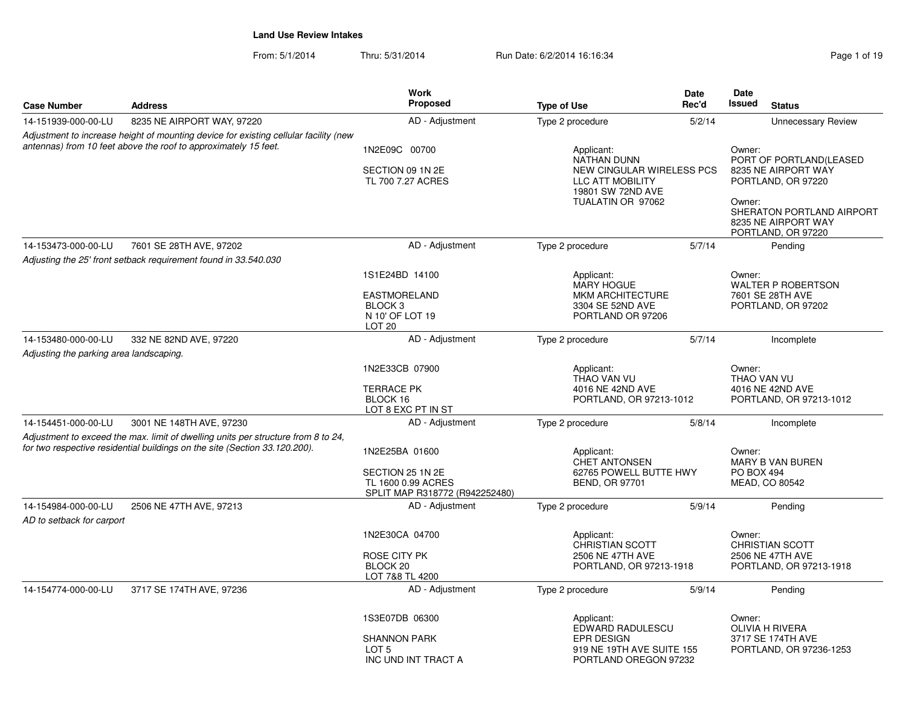From: 5/1/2014Thru: 5/31/2014 Run Date: 6/2/2014 16:16:34 Research 2010 19

| <b>Case Number</b>                      | <b>Address</b>                                                                                                                                                  | <b>Work</b><br>Proposed                                                                             | <b>Type of Use</b>                                                                                        | Date<br>Rec'd | Date<br>Issued<br><b>Status</b>                                                  |
|-----------------------------------------|-----------------------------------------------------------------------------------------------------------------------------------------------------------------|-----------------------------------------------------------------------------------------------------|-----------------------------------------------------------------------------------------------------------|---------------|----------------------------------------------------------------------------------|
| 14-151939-000-00-LU                     | 8235 NE AIRPORT WAY, 97220                                                                                                                                      | AD - Adjustment                                                                                     | Type 2 procedure                                                                                          | 5/2/14        | <b>Unnecessary Review</b>                                                        |
|                                         | Adjustment to increase height of mounting device for existing cellular facility (new<br>antennas) from 10 feet above the roof to approximately 15 feet.         | 1N2E09C 00700<br>SECTION 09 1N 2E<br>TL 700 7.27 ACRES                                              | Applicant:<br><b>NATHAN DUNN</b><br>NEW CINGULAR WIRELESS PCS<br>LLC ATT MOBILITY<br>19801 SW 72ND AVE    |               | Owner:<br>PORT OF PORTLAND(LEASED<br>8235 NE AIRPORT WAY<br>PORTLAND, OR 97220   |
|                                         |                                                                                                                                                                 |                                                                                                     | TUALATIN OR 97062                                                                                         |               | Owner:<br>SHERATON PORTLAND AIRPORT<br>8235 NE AIRPORT WAY<br>PORTLAND, OR 97220 |
| 14-153473-000-00-LU                     | 7601 SE 28TH AVE, 97202                                                                                                                                         | AD - Adjustment                                                                                     | Type 2 procedure                                                                                          | 5/7/14        | Pending                                                                          |
|                                         | Adjusting the 25' front setback requirement found in 33.540.030                                                                                                 |                                                                                                     |                                                                                                           |               |                                                                                  |
|                                         |                                                                                                                                                                 | 1S1E24BD 14100<br><b>EASTMORELAND</b><br>BLOCK <sub>3</sub><br>N 10' OF LOT 19<br>LOT <sub>20</sub> | Applicant:<br><b>MARY HOGUE</b><br><b>MKM ARCHITECTURE</b><br>3304 SE 52ND AVE<br>PORTLAND OR 97206       |               | Owner:<br><b>WALTER P ROBERTSON</b><br>7601 SE 28TH AVE<br>PORTLAND, OR 97202    |
| 14-153480-000-00-LU                     | 332 NE 82ND AVE, 97220                                                                                                                                          | AD - Adjustment                                                                                     | Type 2 procedure                                                                                          | 5/7/14        | Incomplete                                                                       |
| Adjusting the parking area landscaping. |                                                                                                                                                                 |                                                                                                     |                                                                                                           |               |                                                                                  |
|                                         |                                                                                                                                                                 | 1N2E33CB 07900<br><b>TERRACE PK</b><br>BLOCK 16<br>LOT 8 EXC PT IN ST                               | Applicant:<br>THAO VAN VU<br>4016 NE 42ND AVE<br>PORTLAND, OR 97213-1012                                  |               | Owner:<br>THAO VAN VU<br>4016 NE 42ND AVE<br>PORTLAND, OR 97213-1012             |
| 14-154451-000-00-LU                     | 3001 NE 148TH AVE, 97230                                                                                                                                        | AD - Adjustment                                                                                     | Type 2 procedure                                                                                          | 5/8/14        | Incomplete                                                                       |
|                                         | Adjustment to exceed the max. limit of dwelling units per structure from 8 to 24,<br>for two respective residential buildings on the site (Section 33.120.200). | 1N2E25BA 01600<br>SECTION 25 1N 2E<br>TL 1600 0.99 ACRES<br>SPLIT MAP R318772 (R942252480)          | Applicant:<br><b>CHET ANTONSEN</b><br>62765 POWELL BUTTE HWY<br><b>BEND, OR 97701</b>                     |               | Owner:<br>MARY B VAN BUREN<br><b>PO BOX 494</b><br>MEAD, CO 80542                |
| 14-154984-000-00-LU                     | 2506 NE 47TH AVE, 97213                                                                                                                                         | AD - Adjustment                                                                                     | Type 2 procedure                                                                                          | 5/9/14        | Pending                                                                          |
| AD to setback for carport               |                                                                                                                                                                 |                                                                                                     |                                                                                                           |               |                                                                                  |
|                                         |                                                                                                                                                                 | 1N2E30CA 04700<br><b>ROSE CITY PK</b><br>BLOCK <sub>20</sub><br>LOT 7&8 TL 4200                     | Applicant:<br><b>CHRISTIAN SCOTT</b><br>2506 NE 47TH AVE<br>PORTLAND, OR 97213-1918                       |               | Owner:<br><b>CHRISTIAN SCOTT</b><br>2506 NE 47TH AVE<br>PORTLAND, OR 97213-1918  |
| 14-154774-000-00-LU                     | 3717 SE 174TH AVE, 97236                                                                                                                                        | AD - Adjustment                                                                                     | Type 2 procedure                                                                                          | 5/9/14        | Pending                                                                          |
|                                         |                                                                                                                                                                 | 1S3E07DB 06300<br><b>SHANNON PARK</b><br>LOT <sub>5</sub><br>INC UND INT TRACT A                    | Applicant:<br>EDWARD RADULESCU<br><b>EPR DESIGN</b><br>919 NE 19TH AVE SUITE 155<br>PORTLAND OREGON 97232 |               | Owner:<br><b>OLIVIA H RIVERA</b><br>3717 SE 174TH AVE<br>PORTLAND, OR 97236-1253 |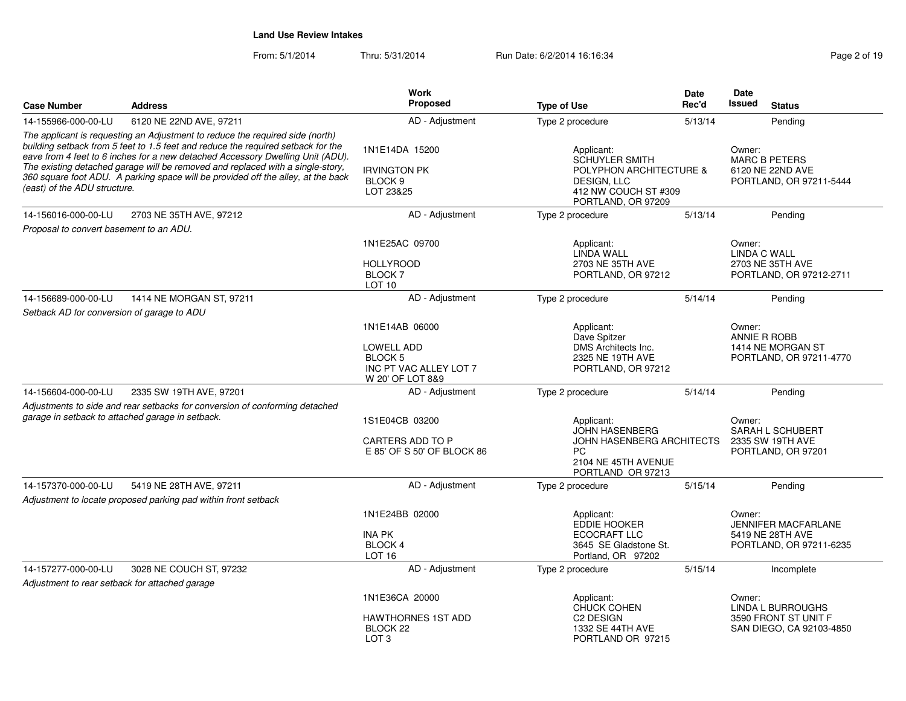From: 5/1/2014Thru: 5/31/2014 **Run Date: 6/2/2014 16:16:34** Page 2 of 2 of 2 of 2 of 2 of 1919 Page

| Page 2 of 19 |  |  |  |  |  |
|--------------|--|--|--|--|--|
|--------------|--|--|--|--|--|

| <b>Case Number</b>                               | <b>Address</b>                                                                                                                                                                                                                                                                                                                           | <b>Work</b><br><b>Proposed</b>                                                               |                                                                                                                                        | <b>Date</b><br>Rec'd                                                          | Date<br><b>Issued</b><br><b>Status</b>                                              |
|--------------------------------------------------|------------------------------------------------------------------------------------------------------------------------------------------------------------------------------------------------------------------------------------------------------------------------------------------------------------------------------------------|----------------------------------------------------------------------------------------------|----------------------------------------------------------------------------------------------------------------------------------------|-------------------------------------------------------------------------------|-------------------------------------------------------------------------------------|
| 14-155966-000-00-LU                              | 6120 NE 22ND AVE, 97211                                                                                                                                                                                                                                                                                                                  | AD - Adjustment                                                                              | <b>Type of Use</b><br>Type 2 procedure                                                                                                 |                                                                               | Pending                                                                             |
|                                                  | The applicant is requesting an Adjustment to reduce the required side (north)                                                                                                                                                                                                                                                            |                                                                                              |                                                                                                                                        | 5/13/14                                                                       |                                                                                     |
| (east) of the ADU structure.                     | building setback from 5 feet to 1.5 feet and reduce the required setback for the<br>eave from 4 feet to 6 inches for a new detached Accessory Dwelling Unit (ADU).<br>The existing detached garage will be removed and replaced with a single-story,<br>360 square foot ADU. A parking space will be provided off the alley, at the back | 1N1E14DA 15200<br><b>IRVINGTON PK</b><br>BLOCK <sub>9</sub><br>LOT 23&25                     | Applicant:<br><b>SCHUYLER SMITH</b><br><b>POLYPHON ARCHITECTURE &amp;</b><br>DESIGN, LLC<br>412 NW COUCH ST #309<br>PORTLAND, OR 97209 | Owner:<br><b>MARC B PETERS</b><br>6120 NE 22ND AVE<br>PORTLAND, OR 97211-5444 |                                                                                     |
| 14-156016-000-00-LU                              | 2703 NE 35TH AVE, 97212                                                                                                                                                                                                                                                                                                                  | AD - Adjustment                                                                              | Type 2 procedure                                                                                                                       | 5/13/14                                                                       | Pending                                                                             |
| Proposal to convert basement to an ADU.          |                                                                                                                                                                                                                                                                                                                                          |                                                                                              |                                                                                                                                        |                                                                               |                                                                                     |
|                                                  |                                                                                                                                                                                                                                                                                                                                          | 1N1E25AC 09700<br><b>HOLLYROOD</b><br><b>BLOCK7</b><br><b>LOT 10</b>                         | Applicant:<br><b>LINDA WALL</b><br>2703 NE 35TH AVE<br>PORTLAND, OR 97212                                                              |                                                                               | Owner:<br>LINDA C WALL<br>2703 NE 35TH AVE<br>PORTLAND, OR 97212-2711               |
| 14-156689-000-00-LU                              | 1414 NE MORGAN ST, 97211                                                                                                                                                                                                                                                                                                                 | AD - Adjustment                                                                              | Type 2 procedure                                                                                                                       | 5/14/14                                                                       | Pending                                                                             |
| Setback AD for conversion of garage to ADU       |                                                                                                                                                                                                                                                                                                                                          |                                                                                              |                                                                                                                                        |                                                                               |                                                                                     |
|                                                  |                                                                                                                                                                                                                                                                                                                                          | 1N1E14AB 06000<br>LOWELL ADD<br><b>BLOCK 5</b><br>INC PT VAC ALLEY LOT 7<br>W 20' OF LOT 8&9 | Applicant:<br>Dave Spitzer<br>DMS Architects Inc.<br>2325 NE 19TH AVE<br>PORTLAND, OR 97212                                            |                                                                               | Owner:<br><b>ANNIE R ROBB</b><br>1414 NE MORGAN ST<br>PORTLAND, OR 97211-4770       |
| 14-156604-000-00-LU                              | 2335 SW 19TH AVE, 97201                                                                                                                                                                                                                                                                                                                  | AD - Adjustment                                                                              | Type 2 procedure                                                                                                                       | 5/14/14                                                                       | Pendina                                                                             |
| garage in setback to attached garage in setback. | Adjustments to side and rear setbacks for conversion of conforming detached                                                                                                                                                                                                                                                              | 1S1E04CB 03200<br><b>CARTERS ADD TO P</b><br>E 85' OF S 50' OF BLOCK 86                      | Applicant:<br><b>JOHN HASENBERG</b><br>JOHN HASENBERG ARCHITECTS<br><b>PC</b><br>2104 NE 45TH AVENUE<br>PORTLAND OR 97213              |                                                                               | Owner:<br>SARAH L SCHUBERT<br>2335 SW 19TH AVE<br>PORTLAND, OR 97201                |
| 14-157370-000-00-LU                              | 5419 NE 28TH AVE, 97211                                                                                                                                                                                                                                                                                                                  | AD - Adjustment                                                                              | Type 2 procedure                                                                                                                       | 5/15/14                                                                       | Pending                                                                             |
|                                                  | Adjustment to locate proposed parking pad within front setback                                                                                                                                                                                                                                                                           |                                                                                              |                                                                                                                                        |                                                                               |                                                                                     |
|                                                  |                                                                                                                                                                                                                                                                                                                                          | 1N1E24BB 02000<br><b>INA PK</b><br><b>BLOCK4</b><br>LOT <sub>16</sub>                        | Applicant:<br><b>EDDIE HOOKER</b><br>ECOCRAFT LLC<br>3645 SE Gladstone St.<br>Portland, OR 97202                                       |                                                                               | Owner:<br><b>JENNIFER MACFARLANE</b><br>5419 NE 28TH AVE<br>PORTLAND, OR 97211-6235 |
| 14-157277-000-00-LU                              | 3028 NE COUCH ST, 97232                                                                                                                                                                                                                                                                                                                  | AD - Adjustment                                                                              | Type 2 procedure                                                                                                                       | 5/15/14                                                                       | Incomplete                                                                          |
| Adjustment to rear setback for attached garage   |                                                                                                                                                                                                                                                                                                                                          |                                                                                              |                                                                                                                                        |                                                                               |                                                                                     |
|                                                  |                                                                                                                                                                                                                                                                                                                                          | 1N1E36CA 20000<br><b>HAWTHORNES 1ST ADD</b><br>BLOCK 22<br>LOT <sub>3</sub>                  | Applicant:<br><b>CHUCK COHEN</b><br>C <sub>2</sub> DESIGN<br>1332 SE 44TH AVE<br>PORTLAND OR 97215                                     |                                                                               | Owner:<br>LINDA L BURROUGHS<br>3590 FRONT ST UNIT F<br>SAN DIEGO, CA 92103-4850     |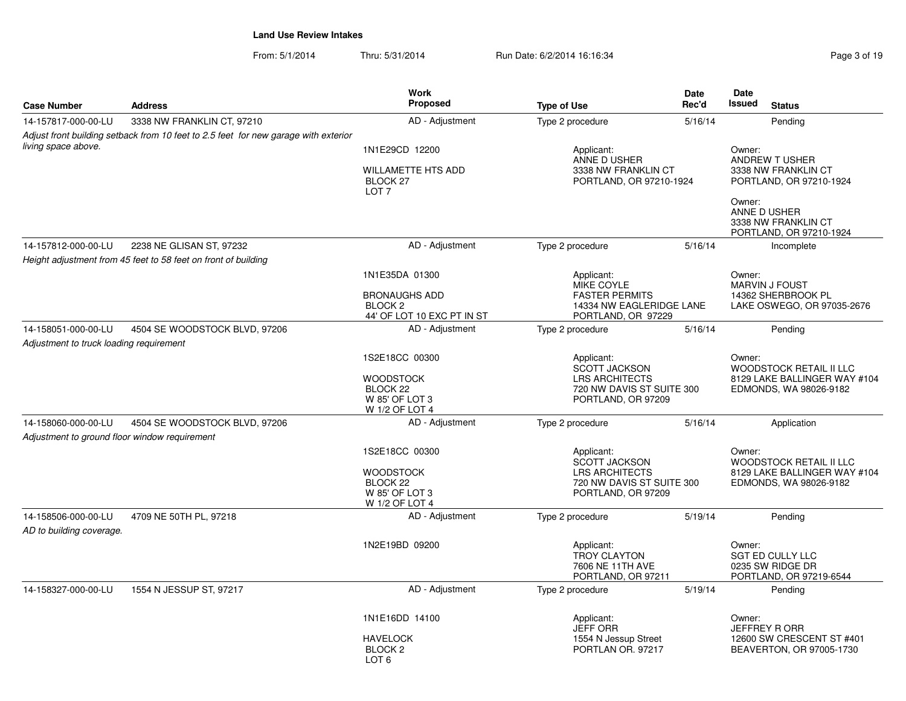From: 5/1/2014Thru: 5/31/2014 Run Date: 6/2/2014 16:16:34 Research 2010 19

|                                               |                                                                                     | <b>Work</b>                                                                 |                                                                             | Date    | <b>Date</b>                                                                      |  |
|-----------------------------------------------|-------------------------------------------------------------------------------------|-----------------------------------------------------------------------------|-----------------------------------------------------------------------------|---------|----------------------------------------------------------------------------------|--|
| <b>Case Number</b>                            | <b>Address</b>                                                                      | Proposed                                                                    | <b>Type of Use</b>                                                          | Rec'd   | <b>Issued</b><br><b>Status</b>                                                   |  |
| 14-157817-000-00-LU                           | 3338 NW FRANKLIN CT, 97210                                                          | AD - Adjustment                                                             | Type 2 procedure                                                            | 5/16/14 | Pending                                                                          |  |
|                                               | Adjust front building setback from 10 feet to 2.5 feet for new garage with exterior |                                                                             |                                                                             |         |                                                                                  |  |
| living space above.                           |                                                                                     | 1N1E29CD 12200                                                              | Applicant:                                                                  |         | Owner:                                                                           |  |
|                                               |                                                                                     | <b>WILLAMETTE HTS ADD</b><br>BLOCK 27<br>LOT <sub>7</sub>                   | ANNE D USHER<br>3338 NW FRANKLIN CT<br>PORTLAND, OR 97210-1924              |         | <b>ANDREW T USHER</b><br>3338 NW FRANKLIN CT<br>PORTLAND, OR 97210-1924          |  |
|                                               |                                                                                     |                                                                             |                                                                             |         |                                                                                  |  |
| 14-157812-000-00-LU                           | 2238 NE GLISAN ST, 97232                                                            | AD - Adjustment                                                             | Type 2 procedure                                                            | 5/16/14 | Incomplete                                                                       |  |
|                                               | Height adjustment from 45 feet to 58 feet on front of building                      |                                                                             |                                                                             |         |                                                                                  |  |
|                                               |                                                                                     | 1N1E35DA 01300                                                              | Applicant:<br>MIKE COYLE<br><b>FASTER PERMITS</b>                           |         | Owner:<br><b>MARVIN J FOUST</b>                                                  |  |
|                                               |                                                                                     | <b>BRONAUGHS ADD</b><br><b>BLOCK2</b><br>44' OF LOT 10 EXC PT IN ST         | 14334 NW EAGLERIDGE LANE<br>PORTLAND, OR 97229                              |         | 14362 SHERBROOK PL<br>LAKE OSWEGO, OR 97035-2676                                 |  |
| 14-158051-000-00-LU                           | 4504 SE WOODSTOCK BLVD, 97206                                                       | AD - Adjustment                                                             | Type 2 procedure                                                            | 5/16/14 | Pending                                                                          |  |
| Adjustment to truck loading requirement       |                                                                                     |                                                                             |                                                                             |         |                                                                                  |  |
|                                               |                                                                                     | 1S2E18CC 00300                                                              | Applicant:<br><b>SCOTT JACKSON</b>                                          |         | Owner:<br>WOODSTOCK RETAIL II LLC                                                |  |
|                                               |                                                                                     | <b>WOODSTOCK</b><br>BLOCK <sub>22</sub><br>W 85' OF LOT 3<br>W 1/2 OF LOT 4 | <b>LRS ARCHITECTS</b><br>720 NW DAVIS ST SUITE 300<br>PORTLAND, OR 97209    |         | 8129 LAKE BALLINGER WAY #104<br>EDMONDS, WA 98026-9182                           |  |
| 14-158060-000-00-LU                           | 4504 SE WOODSTOCK BLVD, 97206                                                       | AD - Adjustment                                                             | Type 2 procedure                                                            | 5/16/14 | Application                                                                      |  |
| Adjustment to ground floor window requirement |                                                                                     |                                                                             |                                                                             |         |                                                                                  |  |
|                                               |                                                                                     | 1S2E18CC 00300<br><b>WOODSTOCK</b>                                          | Applicant:<br><b>SCOTT JACKSON</b><br><b>LRS ARCHITECTS</b>                 |         | Owner:<br><b>WOODSTOCK RETAIL II LLC</b><br>8129 LAKE BALLINGER WAY #104         |  |
|                                               |                                                                                     | BLOCK <sub>22</sub><br>W 85' OF LOT 3<br>W 1/2 OF LOT 4                     | 720 NW DAVIS ST SUITE 300<br>PORTLAND, OR 97209                             |         | EDMONDS, WA 98026-9182                                                           |  |
| 14-158506-000-00-LU                           | 4709 NE 50TH PL, 97218                                                              | AD - Adjustment                                                             | Type 2 procedure                                                            | 5/19/14 | Pending                                                                          |  |
| AD to building coverage.                      |                                                                                     |                                                                             |                                                                             |         |                                                                                  |  |
|                                               |                                                                                     | 1N2E19BD 09200                                                              | Applicant:<br><b>TROY CLAYTON</b><br>7606 NE 11TH AVE<br>PORTLAND, OR 97211 |         | Owner:<br><b>SGT ED CULLY LLC</b><br>0235 SW RIDGE DR<br>PORTLAND, OR 97219-6544 |  |
| 14-158327-000-00-LU                           | 1554 N JESSUP ST, 97217                                                             | AD - Adjustment                                                             | Type 2 procedure                                                            | 5/19/14 | Pending                                                                          |  |
|                                               |                                                                                     | 1N1E16DD 14100                                                              | Applicant:<br><b>JEFF ORR</b>                                               |         | Owner:<br><b>JEFFREY R ORR</b>                                                   |  |
|                                               |                                                                                     | <b>HAVELOCK</b><br>BLOCK <sub>2</sub><br>LOT <sub>6</sub>                   | 1554 N Jessup Street<br>PORTLAN OR. 97217                                   |         | 12600 SW CRESCENT ST #401<br>BEAVERTON, OR 97005-1730                            |  |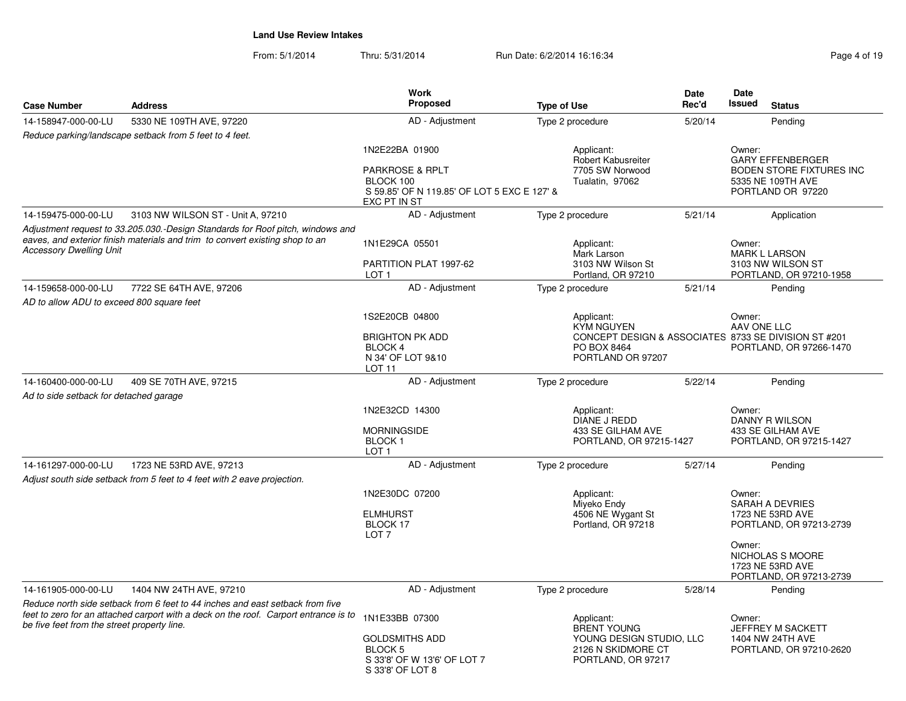From: 5/1/2014Thru: 5/31/2014 Run Date: 6/2/2014 16:16:34 Rage 4 of 19:16:34

| Page 4 of 19 |  |
|--------------|--|
|--------------|--|

| <b>Case Number</b>                          | <b>Address</b>                                                                                                                                                        | <b>Work</b><br><b>Proposed</b>                                                                                                  | <b>Type of Use</b>                                                                                | <b>Date</b><br>Rec'd | Date<br><b>Issued</b><br><b>Status</b>                                                                         |
|---------------------------------------------|-----------------------------------------------------------------------------------------------------------------------------------------------------------------------|---------------------------------------------------------------------------------------------------------------------------------|---------------------------------------------------------------------------------------------------|----------------------|----------------------------------------------------------------------------------------------------------------|
| 14-158947-000-00-LU                         | 5330 NE 109TH AVE, 97220                                                                                                                                              | AD - Adjustment                                                                                                                 | Type 2 procedure                                                                                  | 5/20/14              | Pending                                                                                                        |
|                                             | Reduce parking/landscape setback from 5 feet to 4 feet.                                                                                                               |                                                                                                                                 |                                                                                                   |                      |                                                                                                                |
|                                             |                                                                                                                                                                       | 1N2E22BA 01900<br><b>PARKROSE &amp; RPLT</b><br>BLOCK 100<br>S 59.85' OF N 119.85' OF LOT 5 EXC E 127' &<br><b>EXC PT IN ST</b> | Applicant:<br><b>Robert Kabusreiter</b><br>7705 SW Norwood<br>Tualatin, 97062                     |                      | Owner:<br><b>GARY EFFENBERGER</b><br><b>BODEN STORE FIXTURES INC</b><br>5335 NE 109TH AVE<br>PORTLAND OR 97220 |
| 14-159475-000-00-LU                         | 3103 NW WILSON ST - Unit A, 97210                                                                                                                                     | AD - Adjustment                                                                                                                 | Type 2 procedure                                                                                  | 5/21/14              | Application                                                                                                    |
| <b>Accessory Dwelling Unit</b>              | Adjustment request to 33.205.030.-Design Standards for Roof pitch, windows and<br>eaves, and exterior finish materials and trim to convert existing shop to an        | 1N1E29CA 05501<br>PARTITION PLAT 1997-62<br>LOT <sub>1</sub>                                                                    | Applicant:<br>Mark Larson<br>3103 NW Wilson St<br>Portland, OR 97210                              |                      | Owner:<br><b>MARK L LARSON</b><br>3103 NW WILSON ST<br>PORTLAND, OR 97210-1958                                 |
| 14-159658-000-00-LU                         | 7722 SE 64TH AVE, 97206                                                                                                                                               | AD - Adjustment                                                                                                                 | Type 2 procedure                                                                                  | 5/21/14              | Pending                                                                                                        |
| AD to allow ADU to exceed 800 square feet   |                                                                                                                                                                       |                                                                                                                                 |                                                                                                   |                      |                                                                                                                |
|                                             |                                                                                                                                                                       | 1S2E20CB 04800<br><b>BRIGHTON PK ADD</b><br>BLOCK 4<br>N 34' OF LOT 9&10<br>LOT <sub>11</sub>                                   | Applicant:<br><b>KYM NGUYEN</b><br>PO BOX 8464<br>PORTLAND OR 97207                               |                      | Owner:<br>AAV ONE LLC<br>CONCEPT DESIGN & ASSOCIATES 8733 SE DIVISION ST #201<br>PORTLAND, OR 97266-1470       |
| 14-160400-000-00-LU                         | 409 SE 70TH AVE, 97215                                                                                                                                                | AD - Adjustment                                                                                                                 | Type 2 procedure                                                                                  | 5/22/14              | Pending                                                                                                        |
| Ad to side setback for detached garage      |                                                                                                                                                                       |                                                                                                                                 |                                                                                                   |                      |                                                                                                                |
|                                             |                                                                                                                                                                       | 1N2E32CD 14300<br><b>MORNINGSIDE</b><br>BLOCK <sub>1</sub><br>LOT <sub>1</sub>                                                  | Applicant:<br>DIANE J REDD<br>433 SE GILHAM AVE<br>PORTLAND, OR 97215-1427                        |                      | Owner:<br>DANNY R WILSON<br>433 SE GILHAM AVE<br>PORTLAND, OR 97215-1427                                       |
| 14-161297-000-00-LU                         | 1723 NE 53RD AVE, 97213                                                                                                                                               | AD - Adjustment                                                                                                                 | Type 2 procedure                                                                                  | 5/27/14              | Pending                                                                                                        |
|                                             | Adjust south side setback from 5 feet to 4 feet with 2 eave projection.                                                                                               |                                                                                                                                 |                                                                                                   |                      |                                                                                                                |
|                                             |                                                                                                                                                                       | 1N2E30DC 07200<br><b>ELMHURST</b><br>BLOCK 17<br>LOT <sub>7</sub>                                                               | Applicant:<br>Miyeko Endy<br>4506 NE Wygant St<br>Portland, OR 97218                              |                      | Owner:<br><b>SARAH A DEVRIES</b><br>1723 NE 53RD AVE<br>PORTLAND, OR 97213-2739<br>Owner:                      |
|                                             |                                                                                                                                                                       |                                                                                                                                 |                                                                                                   |                      | NICHOLAS S MOORE<br>1723 NE 53RD AVE<br>PORTLAND, OR 97213-2739                                                |
| 14-161905-000-00-LU                         | 1404 NW 24TH AVE, 97210                                                                                                                                               | AD - Adjustment                                                                                                                 | Type 2 procedure                                                                                  | 5/28/14              | Pending                                                                                                        |
| be five feet from the street property line. | Reduce north side setback from 6 feet to 44 inches and east setback from five<br>feet to zero for an attached carport with a deck on the roof. Carport entrance is to | 1N1E33BB 07300<br><b>GOLDSMITHS ADD</b><br>BLOCK <sub>5</sub><br>S 33'8' OF W 13'6' OF LOT 7<br>S 33'8' OF LOT 8                | Applicant:<br>BRENT YOUNG<br>YOUNG DESIGN STUDIO, LLC<br>2126 N SKIDMORE CT<br>PORTLAND, OR 97217 |                      | Owner:<br>JEFFREY M SACKETT<br>1404 NW 24TH AVE<br>PORTLAND, OR 97210-2620                                     |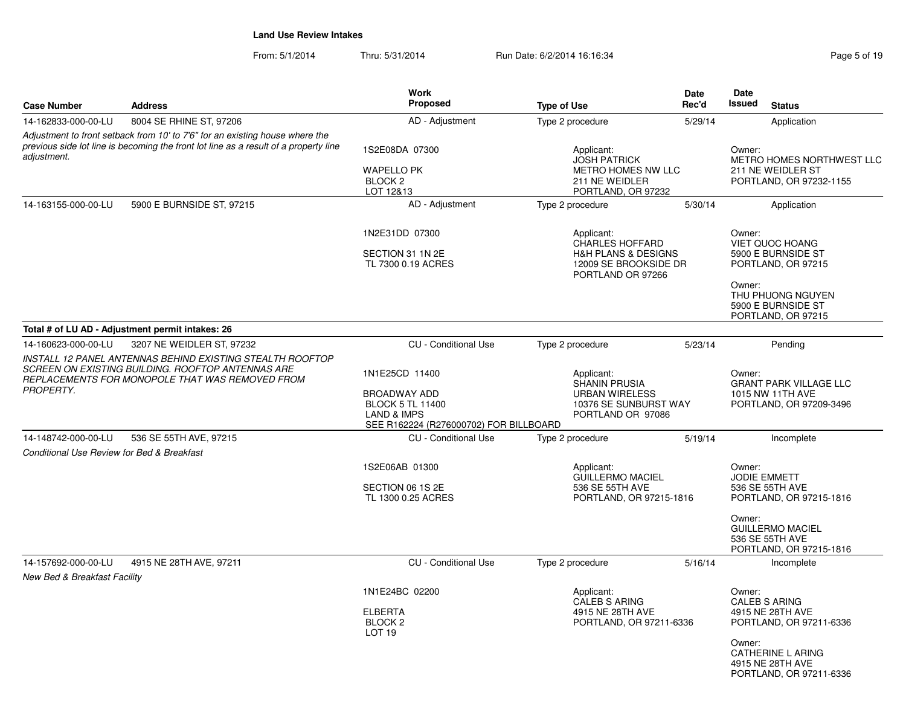From: 5/1/2014Thru: 5/31/2014 Run Date: 6/2/2014 16:16:34 Run Date: 6/2/2014 16:16:34

PORTLAND, OR 97211-6336

| <b>Case Number</b>                                  | <b>Address</b>                                                                                                                                                       | Work<br>Proposed                                                                                                                     | <b>Type of Use</b>                                                                                                       | Date<br>Rec'd | <b>Date</b><br>Issued<br><b>Status</b>                                                                                                                  |
|-----------------------------------------------------|----------------------------------------------------------------------------------------------------------------------------------------------------------------------|--------------------------------------------------------------------------------------------------------------------------------------|--------------------------------------------------------------------------------------------------------------------------|---------------|---------------------------------------------------------------------------------------------------------------------------------------------------------|
| 14-162833-000-00-LU                                 | 8004 SE RHINE ST, 97206                                                                                                                                              | AD - Adjustment                                                                                                                      | Type 2 procedure                                                                                                         | 5/29/14       | Application                                                                                                                                             |
| adjustment.                                         | Adjustment to front setback from 10' to 7'6" for an existing house where the<br>previous side lot line is becoming the front lot line as a result of a property line | 1S2E08DA 07300<br><b>WAPELLO PK</b><br>BLOCK <sub>2</sub><br>LOT 12&13                                                               | Applicant:<br><b>JOSH PATRICK</b><br>METRO HOMES NW LLC<br>211 NE WEIDLER<br>PORTLAND, OR 97232                          |               | Owner:<br>METRO HOMES NORTHWEST LLC<br>211 NE WEIDLER ST<br>PORTLAND, OR 97232-1155                                                                     |
| 14-163155-000-00-LU                                 | 5900 E BURNSIDE ST, 97215                                                                                                                                            | AD - Adjustment                                                                                                                      | Type 2 procedure                                                                                                         | 5/30/14       | Application                                                                                                                                             |
|                                                     |                                                                                                                                                                      | 1N2E31DD 07300<br>SECTION 31 1N 2E<br>TL 7300 0.19 ACRES                                                                             | Applicant:<br><b>CHARLES HOFFARD</b><br><b>H&amp;H PLANS &amp; DESIGNS</b><br>12009 SE BROOKSIDE DR<br>PORTLAND OR 97266 |               | Owner:<br><b>VIET QUOC HOANG</b><br>5900 E BURNSIDE ST<br>PORTLAND, OR 97215<br>Owner:<br>THU PHUONG NGUYEN<br>5900 E BURNSIDE ST<br>PORTLAND, OR 97215 |
|                                                     | Total # of LU AD - Adjustment permit intakes: 26                                                                                                                     |                                                                                                                                      |                                                                                                                          |               |                                                                                                                                                         |
| 14-160623-000-00-LU                                 | 3207 NE WEIDLER ST, 97232                                                                                                                                            | <b>CU</b> - Conditional Use                                                                                                          | Type 2 procedure                                                                                                         | 5/23/14       | Pending                                                                                                                                                 |
| PROPERTY.                                           | INSTALL 12 PANEL ANTENNAS BEHIND EXISTING STEALTH ROOFTOP<br>SCREEN ON EXISTING BUILDING. ROOFTOP ANTENNAS ARE<br>REPLACEMENTS FOR MONOPOLE THAT WAS REMOVED FROM    | 1N1E25CD 11400<br><b>BROADWAY ADD</b><br><b>BLOCK 5 TL 11400</b><br><b>LAND &amp; IMPS</b><br>SEE R162224 (R276000702) FOR BILLBOARD | Applicant:<br><b>SHANIN PRUSIA</b><br><b>URBAN WIRELESS</b><br>10376 SE SUNBURST WAY<br>PORTLAND OR 97086                |               | Owner:<br><b>GRANT PARK VILLAGE LLC</b><br>1015 NW 11TH AVE<br>PORTLAND, OR 97209-3496                                                                  |
| 14-148742-000-00-LU                                 | 536 SE 55TH AVE, 97215                                                                                                                                               | <b>CU</b> - Conditional Use                                                                                                          | Type 2 procedure                                                                                                         | 5/19/14       | Incomplete                                                                                                                                              |
| Conditional Use Review for Bed & Breakfast          |                                                                                                                                                                      | 1S2E06AB 01300<br>SECTION 06 1S 2E<br>TL 1300 0.25 ACRES                                                                             | Applicant:<br><b>GUILLERMO MACIEL</b><br>536 SE 55TH AVE<br>PORTLAND, OR 97215-1816                                      |               | Owner:<br>JODIE EMMETT<br>536 SE 55TH AVE<br>PORTLAND, OR 97215-1816<br>Owner:                                                                          |
|                                                     |                                                                                                                                                                      |                                                                                                                                      |                                                                                                                          |               | <b>GUILLERMO MACIEL</b><br>536 SE 55TH AVE<br>PORTLAND, OR 97215-1816                                                                                   |
| 14-157692-000-00-LU<br>New Bed & Breakfast Facility | 4915 NE 28TH AVE, 97211                                                                                                                                              | <b>CU</b> - Conditional Use                                                                                                          | Type 2 procedure                                                                                                         | 5/16/14       | Incomplete                                                                                                                                              |
|                                                     |                                                                                                                                                                      | 1N1E24BC 02200<br><b>ELBERTA</b><br>BLOCK <sub>2</sub><br><b>LOT 19</b>                                                              | Applicant:<br><b>CALEB S ARING</b><br>4915 NE 28TH AVE<br>PORTLAND, OR 97211-6336                                        |               | Owner:<br><b>CALEB S ARING</b><br>4915 NE 28TH AVE<br>PORTLAND, OR 97211-6336<br>Owner:<br>CATHERINE L ARING<br>4915 NE 28TH AVE                        |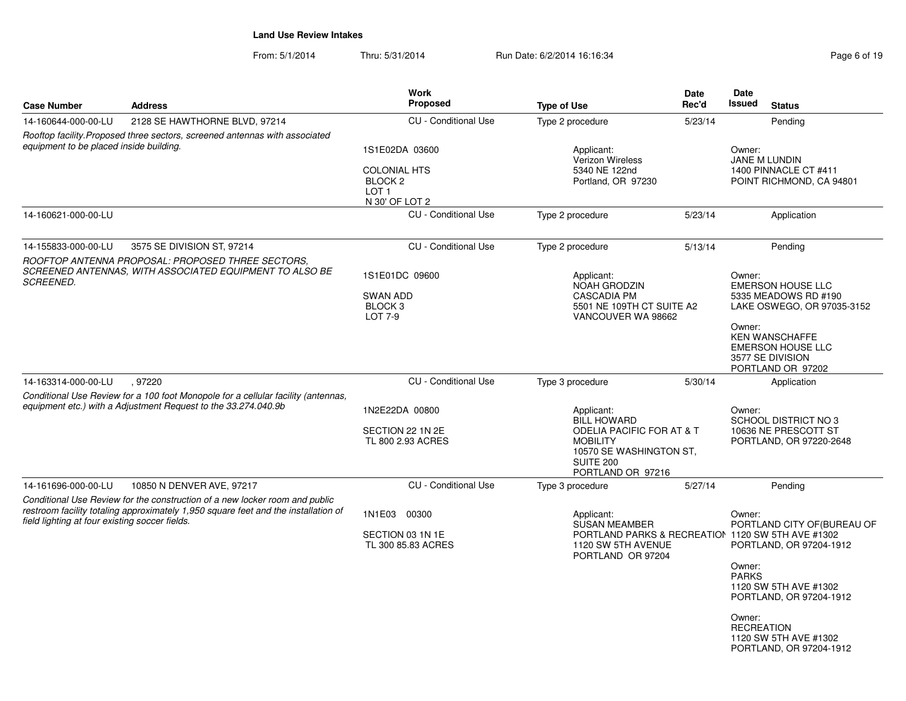From: 5/1/2014Thru: 5/31/2014 Run Date: 6/2/2014 16:16:34 Rege 6 of 19

|                                                                                                                                                                                                                     |                                                                      | <b>Type of Use</b>                                                    | Rec'd      | Issued<br><b>Status</b>                                                                                                                                                                                                                 |  |
|---------------------------------------------------------------------------------------------------------------------------------------------------------------------------------------------------------------------|----------------------------------------------------------------------|-----------------------------------------------------------------------|------------|-----------------------------------------------------------------------------------------------------------------------------------------------------------------------------------------------------------------------------------------|--|
| 2128 SE HAWTHORNE BLVD, 97214                                                                                                                                                                                       | <b>CU</b> - Conditional Use                                          | Type 2 procedure                                                      | 5/23/14    | Pending                                                                                                                                                                                                                                 |  |
| Rooftop facility. Proposed three sectors, screened antennas with associated<br>equipment to be placed inside building.                                                                                              | 1S1E02DA 03600<br><b>COLONIAL HTS</b><br>BLOCK 2<br>LOT <sub>1</sub> | Applicant:<br>Verizon Wireless<br>5340 NE 122nd<br>Portland, OR 97230 |            | Owner:<br>JANE M LUNDIN<br>1400 PINNACLE CT #411<br>POINT RICHMOND, CA 94801                                                                                                                                                            |  |
|                                                                                                                                                                                                                     | <b>CU</b> - Conditional Use                                          | Type 2 procedure                                                      | 5/23/14    | Application                                                                                                                                                                                                                             |  |
| 3575 SE DIVISION ST, 97214<br>ROOFTOP ANTENNA PROPOSAL: PROPOSED THREE SECTORS.                                                                                                                                     | <b>CU</b> - Conditional Use                                          | Type 2 procedure                                                      | 5/13/14    | Pending                                                                                                                                                                                                                                 |  |
|                                                                                                                                                                                                                     | <b>SWAN ADD</b><br>BLOCK <sub>3</sub><br>LOT 7-9                     | <b>NOAH GRODZIN</b><br><b>CASCADIA PM</b>                             |            | Owner:<br><b>EMERSON HOUSE LLC</b><br>5335 MEADOWS RD #190<br>LAKE OSWEGO, OR 97035-3152<br>Owner:<br><b>KEN WANSCHAFFE</b><br><b>EMERSON HOUSE LLC</b><br>3577 SE DIVISION<br>PORTLAND OR 97202                                        |  |
| , 97220                                                                                                                                                                                                             | CU - Conditional Use                                                 | Type 3 procedure                                                      | 5/30/14    | Application                                                                                                                                                                                                                             |  |
| Conditional Use Review for a 100 foot Monopole for a cellular facility (antennas,<br>equipment etc.) with a Adjustment Request to the 33.274.040.9b                                                                 | 1N2E22DA 00800<br>SECTION 22 1N 2E<br>TL 800 2.93 ACRES              | Applicant:<br><b>BILL HOWARD</b><br><b>MOBILITY</b><br>SUITE 200      |            | Owner:<br>SCHOOL DISTRICT NO 3<br>10636 NE PRESCOTT ST<br>PORTLAND, OR 97220-2648                                                                                                                                                       |  |
| 10850 N DENVER AVE, 97217                                                                                                                                                                                           | <b>CU</b> - Conditional Use                                          | Type 3 procedure                                                      | 5/27/14    | Pending                                                                                                                                                                                                                                 |  |
| Conditional Use Review for the construction of a new locker room and public<br>restroom facility totaling approximately 1,950 square feet and the installation of<br>field lighting at four existing soccer fields. | 1N1E03 00300<br>SECTION 03 1N 1E<br>TL 300 85.83 ACRES               | Applicant:<br><b>SUSAN MEAMBER</b>                                    |            | Owner:<br>PORTLAND CITY OF (BUREAU OF<br>PORTLAND, OR 97204-1912<br>Owner:<br><b>PARKS</b><br>1120 SW 5TH AVE #1302<br>PORTLAND, OR 97204-1912<br>Owner:<br><b>RECREATION</b><br>1120 SW 5TH AVE #1302<br>PORTLAND, OR 97204-1912       |  |
|                                                                                                                                                                                                                     | SCREENED ANTENNAS, WITH ASSOCIATED EQUIPMENT TO ALSO BE              | N 30' OF LOT 2<br>1S1E01DC 09600                                      | Applicant: | 5501 NE 109TH CT SUITE A2<br>VANCOUVER WA 98662<br><b>ODELIA PACIFIC FOR AT &amp; T</b><br>10570 SE WASHINGTON ST,<br>PORTLAND OR 97216<br>PORTLAND PARKS & RECREATION 1120 SW 5TH AVE #1302<br>1120 SW 5TH AVENUE<br>PORTLAND OR 97204 |  |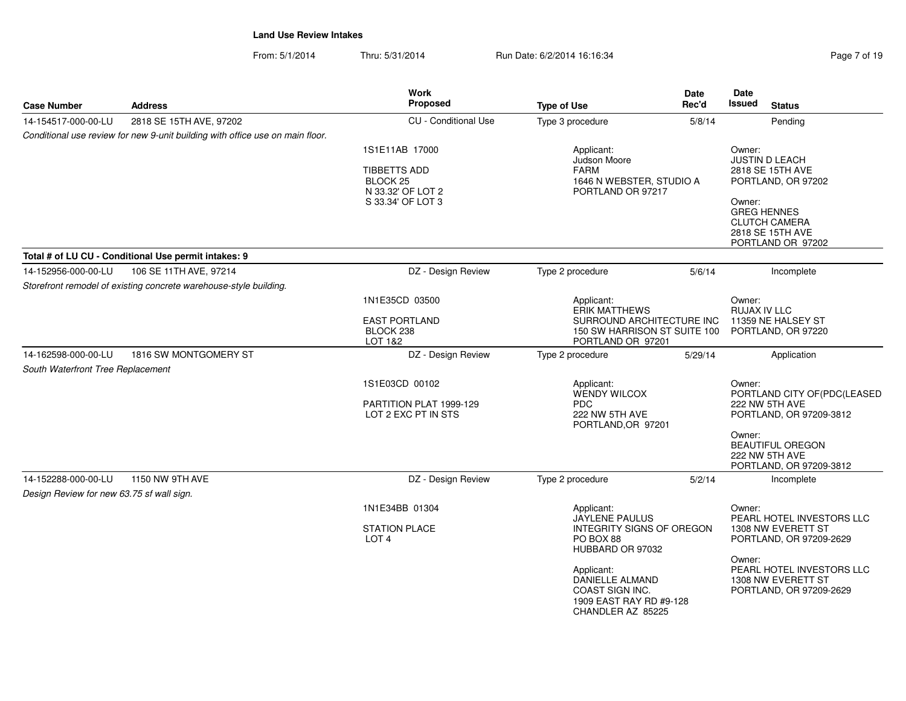From: 5/1/2014Thru: 5/31/2014 **Run Date: 6/2/2014 16:16:34** Page 7 of 19:16:34

| Page 7 of 19 |  |  |
|--------------|--|--|
|              |  |  |

| <b>Case Number</b>                                               | <b>Address</b>                                                                | <b>Work</b><br>Proposed                                                           | <b>Type of Use</b>                                                                                      | Date<br>Rec'd | Date<br><b>Issued</b><br><b>Status</b>                                                        |
|------------------------------------------------------------------|-------------------------------------------------------------------------------|-----------------------------------------------------------------------------------|---------------------------------------------------------------------------------------------------------|---------------|-----------------------------------------------------------------------------------------------|
| 14-154517-000-00-LU                                              | 2818 SE 15TH AVE, 97202                                                       | <b>CU</b> - Conditional Use                                                       | Type 3 procedure                                                                                        | 5/8/14        | Pending                                                                                       |
|                                                                  | Conditional use review for new 9-unit building with office use on main floor. |                                                                                   |                                                                                                         |               |                                                                                               |
|                                                                  |                                                                               | 1S1E11AB 17000<br><b>TIBBETTS ADD</b><br>BLOCK <sub>25</sub><br>N 33.32' OF LOT 2 | Applicant:<br>Judson Moore<br><b>FARM</b><br>1646 N WEBSTER, STUDIO A<br>PORTLAND OR 97217              |               | Owner:<br><b>JUSTIN D LEACH</b><br>2818 SE 15TH AVE<br>PORTLAND, OR 97202                     |
|                                                                  |                                                                               | S 33.34' OF LOT 3                                                                 |                                                                                                         |               | Owner:<br><b>GREG HENNES</b><br><b>CLUTCH CAMERA</b><br>2818 SE 15TH AVE<br>PORTLAND OR 97202 |
|                                                                  | Total # of LU CU - Conditional Use permit intakes: 9                          |                                                                                   |                                                                                                         |               |                                                                                               |
| 14-152956-000-00-LU                                              | 106 SE 11TH AVE, 97214                                                        | DZ - Design Review                                                                | Type 2 procedure                                                                                        | 5/6/14        | Incomplete                                                                                    |
|                                                                  | Storefront remodel of existing concrete warehouse-style building.             |                                                                                   |                                                                                                         |               |                                                                                               |
|                                                                  |                                                                               | 1N1E35CD 03500                                                                    | Applicant:<br><b>ERIK MATTHEWS</b>                                                                      |               | Owner:<br>RUJAX IV LLC                                                                        |
|                                                                  |                                                                               | <b>EAST PORTLAND</b><br>BLOCK <sub>238</sub><br>LOT 1&2                           | SURROUND ARCHITECTURE INC<br>150 SW HARRISON ST SUITE 100<br>PORTLAND OR 97201                          |               | 11359 NE HALSEY ST<br>PORTLAND, OR 97220                                                      |
| 14-162598-000-00-LU                                              | 1816 SW MONTGOMERY ST                                                         | DZ - Design Review                                                                | Type 2 procedure                                                                                        | 5/29/14       | Application                                                                                   |
| South Waterfront Tree Replacement                                |                                                                               |                                                                                   |                                                                                                         |               |                                                                                               |
|                                                                  |                                                                               | 1S1E03CD 00102                                                                    | Applicant:<br><b>WENDY WILCOX</b>                                                                       |               | Owner:<br>PORTLAND CITY OF(PDC(LEASED                                                         |
|                                                                  |                                                                               | PARTITION PLAT 1999-129<br>LOT 2 EXC PT IN STS                                    | <b>PDC</b><br>222 NW 5TH AVE<br>PORTLAND, OR 97201                                                      |               | 222 NW 5TH AVE<br>PORTLAND, OR 97209-3812                                                     |
|                                                                  |                                                                               |                                                                                   |                                                                                                         |               | Owner:<br><b>BEAUTIFUL OREGON</b><br>222 NW 5TH AVE<br>PORTLAND, OR 97209-3812                |
| 14-152288-000-00-LU<br>Design Review for new 63.75 sf wall sign. | 1150 NW 9TH AVE                                                               | DZ - Design Review                                                                | Type 2 procedure                                                                                        | 5/2/14        | Incomplete                                                                                    |
|                                                                  |                                                                               | 1N1E34BB 01304                                                                    | Applicant:<br>JAYLENE PAULUS                                                                            |               | Owner:<br>PEARL HOTEL INVESTORS LLC                                                           |
|                                                                  |                                                                               | <b>STATION PLACE</b><br>LOT <sub>4</sub>                                          | INTEGRITY SIGNS OF OREGON<br>PO BOX 88<br>HUBBARD OR 97032                                              |               | 1308 NW EVERETT ST<br>PORTLAND, OR 97209-2629                                                 |
|                                                                  |                                                                               |                                                                                   | Applicant:<br>DANIELLE ALMAND<br><b>COAST SIGN INC.</b><br>1909 EAST RAY RD #9-128<br>CHANDLER AZ 85225 |               | Owner:<br>PEARL HOTEL INVESTORS LLC<br>1308 NW EVERETT ST<br>PORTLAND, OR 97209-2629          |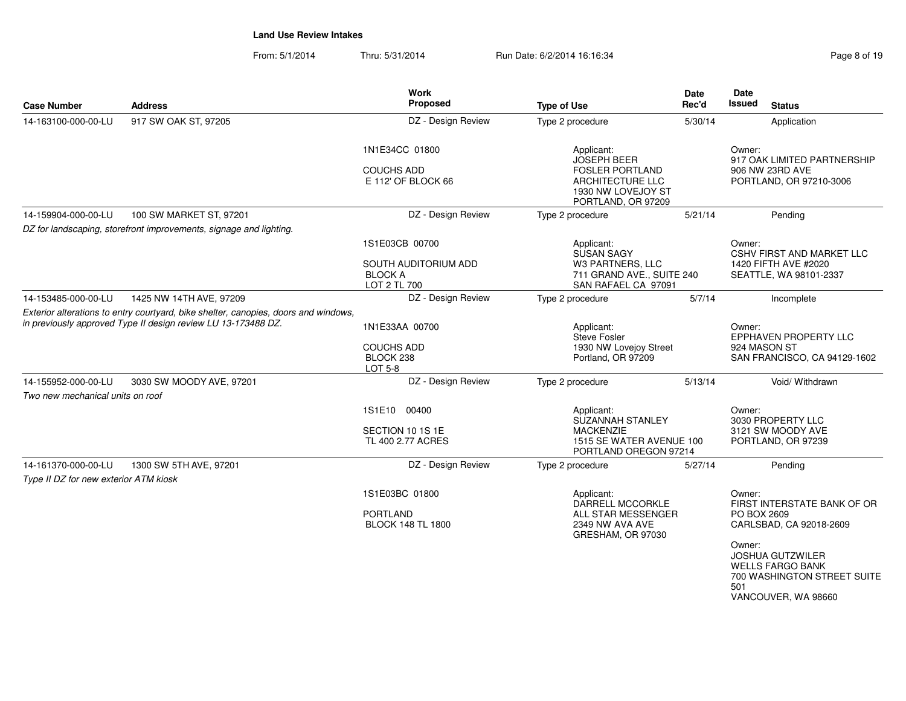From: 5/1/2014Thru: 5/31/2014 Run Date: 6/2/2014 16:16:34 Rege 8 of 19

| <b>Case Number</b>                                           | <b>Address</b>                                                                                                                                       | Work<br>Proposed                                                         | <b>Type of Use</b>                                                                                                         | Date<br>Rec'd | Date<br>Issued                         | <b>Status</b>                                                                                                                                                      |
|--------------------------------------------------------------|------------------------------------------------------------------------------------------------------------------------------------------------------|--------------------------------------------------------------------------|----------------------------------------------------------------------------------------------------------------------------|---------------|----------------------------------------|--------------------------------------------------------------------------------------------------------------------------------------------------------------------|
| 14-163100-000-00-LU                                          | 917 SW OAK ST, 97205                                                                                                                                 | DZ - Design Review                                                       | Type 2 procedure                                                                                                           | 5/30/14       |                                        | Application                                                                                                                                                        |
|                                                              |                                                                                                                                                      | 1N1E34CC 01800<br><b>COUCHS ADD</b><br>E 112' OF BLOCK 66                | Applicant:<br><b>JOSEPH BEER</b><br><b>FOSLER PORTLAND</b><br>ARCHITECTURE LLC<br>1930 NW LOVEJOY ST<br>PORTLAND, OR 97209 |               | Owner:                                 | 917 OAK LIMITED PARTNERSHIP<br>906 NW 23RD AVE<br>PORTLAND, OR 97210-3006                                                                                          |
| 14-159904-000-00-LU                                          | 100 SW MARKET ST, 97201                                                                                                                              | DZ - Design Review                                                       | Type 2 procedure                                                                                                           | 5/21/14       |                                        | Pending                                                                                                                                                            |
|                                                              | DZ for landscaping, storefront improvements, signage and lighting.                                                                                   |                                                                          |                                                                                                                            |               |                                        |                                                                                                                                                                    |
|                                                              |                                                                                                                                                      | 1S1E03CB 00700<br>SOUTH AUDITORIUM ADD<br><b>BLOCK A</b><br>LOT 2 TL 700 | Applicant:<br>SUSAN SAGY<br>W3 PARTNERS, LLC<br>711 GRAND AVE., SUITE 240<br>SAN RAFAEL CA 97091                           |               | Owner:                                 | CSHV FIRST AND MARKET LLC<br>1420 FIFTH AVE #2020<br>SEATTLE, WA 98101-2337                                                                                        |
| 14-153485-000-00-LU                                          | 1425 NW 14TH AVE, 97209                                                                                                                              | DZ - Design Review                                                       | Type 2 procedure                                                                                                           | 5/7/14        |                                        | Incomplete                                                                                                                                                         |
|                                                              | Exterior alterations to entry courtyard, bike shelter, canopies, doors and windows,<br>in previously approved Type II design review LU 13-173488 DZ. | 1N1E33AA 00700<br><b>COUCHS ADD</b><br>BLOCK 238<br>LOT 5-8              | Applicant:<br>Steve Fosler<br>1930 NW Lovejoy Street<br>Portland, OR 97209                                                 |               | Owner:<br>924 MASON ST                 | EPPHAVEN PROPERTY LLC<br>SAN FRANCISCO, CA 94129-1602                                                                                                              |
| 14-155952-000-00-LU                                          | 3030 SW MOODY AVE, 97201                                                                                                                             | DZ - Design Review                                                       | Type 2 procedure                                                                                                           | 5/13/14       |                                        | Void/ Withdrawn                                                                                                                                                    |
| Two new mechanical units on roof                             |                                                                                                                                                      |                                                                          |                                                                                                                            |               |                                        |                                                                                                                                                                    |
|                                                              |                                                                                                                                                      | 1S1E10 00400<br>SECTION 10 1S 1E<br>TL 400 2.77 ACRES                    | Applicant:<br>SUZANNAH STANLEY<br><b>MACKENZIE</b><br>1515 SE WATER AVENUE 100<br>PORTLAND OREGON 97214                    |               | Owner:                                 | 3030 PROPERTY LLC<br>3121 SW MOODY AVE<br>PORTLAND, OR 97239                                                                                                       |
| 14-161370-000-00-LU<br>Type II DZ for new exterior ATM kiosk | 1300 SW 5TH AVE, 97201                                                                                                                               | DZ - Design Review                                                       | Type 2 procedure                                                                                                           | 5/27/14       |                                        | Pending                                                                                                                                                            |
|                                                              |                                                                                                                                                      | 1S1E03BC 01800<br><b>PORTLAND</b><br><b>BLOCK 148 TL 1800</b>            | Applicant:<br>DARRELL MCCORKLE<br>ALL STAR MESSENGER<br>2349 NW AVA AVE<br>GRESHAM, OR 97030                               |               | Owner:<br>PO BOX 2609<br>Owner:<br>501 | FIRST INTERSTATE BANK OF OR<br>CARLSBAD, CA 92018-2609<br><b>JOSHUA GUTZWILER</b><br><b>WELLS FARGO BANK</b><br>700 WASHINGTON STREET SUITE<br>VANCOUVER, WA 98660 |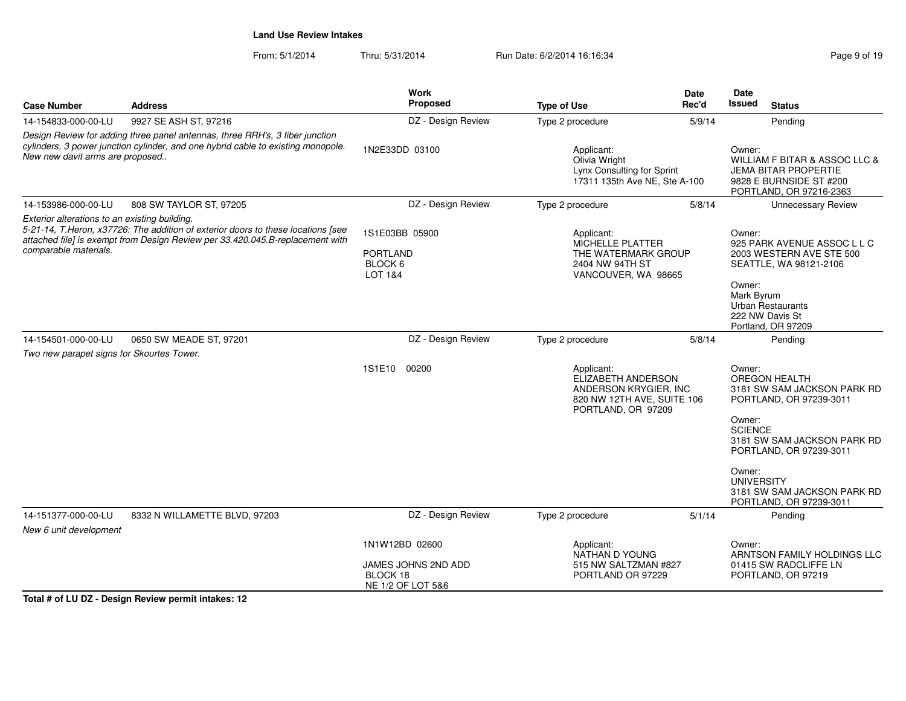From: 5/1/2014Thru: 5/31/2014 Run Date: 6/2/2014 16:16:34 Research 2010 19

| <b>Case Number</b>                                                                                                                                                                                                                          | <b>Address</b>                | Work<br>Proposed                                                                                                                                                      | <b>Type of Use</b>                                                                                            | <b>Date</b><br>Rec'd | <b>Date</b><br>Issued                                                                                                        | <b>Status</b>                                                                  |
|---------------------------------------------------------------------------------------------------------------------------------------------------------------------------------------------------------------------------------------------|-------------------------------|-----------------------------------------------------------------------------------------------------------------------------------------------------------------------|---------------------------------------------------------------------------------------------------------------|----------------------|------------------------------------------------------------------------------------------------------------------------------|--------------------------------------------------------------------------------|
| 14-154833-000-00-LU                                                                                                                                                                                                                         | 9927 SE ASH ST, 97216         | DZ - Design Review                                                                                                                                                    | Type 2 procedure                                                                                              | 5/9/14               |                                                                                                                              | Pending                                                                        |
| Design Review for adding three panel antennas, three RRH's, 3 fiber junction<br>cylinders, 3 power junction cylinder, and one hybrid cable to existing monopole.<br>New new davit arms are proposed                                         |                               | 1N2E33DD 03100                                                                                                                                                        | Applicant:<br>Olivia Wright<br>Lynx Consulting for Sprint<br>17311 135th Ave NE, Ste A-100                    |                      | Owner:<br>WILLIAM F BITAR & ASSOC LLC &<br><b>JEMA BITAR PROPERTIE</b><br>9828 E BURNSIDE ST #200<br>PORTLAND, OR 97216-2363 |                                                                                |
| 14-153986-000-00-LU                                                                                                                                                                                                                         | 808 SW TAYLOR ST, 97205       | DZ - Design Review                                                                                                                                                    | Type 2 procedure                                                                                              | 5/8/14               |                                                                                                                              | <b>Unnecessary Review</b>                                                      |
| Exterior alterations to an existing building.<br>5-21-14, T.Heron, x37726: The addition of exterior doors to these locations [see<br>attached file] is exempt from Design Review per 33.420.045.B-replacement with<br>comparable materials. |                               | 1S1E03BB 05900<br>Applicant:<br>MICHELLE PLATTER<br><b>PORTLAND</b><br>THE WATERMARK GROUP<br>BLOCK 6<br>2404 NW 94TH ST<br><b>LOT 1&amp;4</b><br>VANCOUVER, WA 98665 |                                                                                                               |                      | Owner:<br>925 PARK AVENUE ASSOC L L C<br>2003 WESTERN AVE STE 500<br>SEATTLE, WA 98121-2106                                  |                                                                                |
|                                                                                                                                                                                                                                             |                               |                                                                                                                                                                       |                                                                                                               |                      | Owner:<br>Mark Byrum                                                                                                         | Urban Restaurants<br>222 NW Davis St<br>Portland, OR 97209                     |
| 14-154501-000-00-LU                                                                                                                                                                                                                         | 0650 SW MEADE ST, 97201       | DZ - Design Review                                                                                                                                                    | Type 2 procedure                                                                                              | 5/8/14               |                                                                                                                              | Pendina                                                                        |
| Two new parapet signs for Skourtes Tower.                                                                                                                                                                                                   |                               |                                                                                                                                                                       |                                                                                                               |                      |                                                                                                                              |                                                                                |
|                                                                                                                                                                                                                                             |                               | 00200<br>1S1E10                                                                                                                                                       | Applicant:<br>ELIZABETH ANDERSON<br>ANDERSON KRYGIER. INC<br>820 NW 12TH AVE, SUITE 106<br>PORTLAND, OR 97209 |                      | Owner:                                                                                                                       | <b>OREGON HEALTH</b><br>3181 SW SAM JACKSON PARK RD<br>PORTLAND, OR 97239-3011 |
|                                                                                                                                                                                                                                             |                               |                                                                                                                                                                       |                                                                                                               |                      | Owner:<br><b>SCIENCE</b>                                                                                                     | 3181 SW SAM JACKSON PARK RD<br>PORTLAND, OR 97239-3011                         |
|                                                                                                                                                                                                                                             |                               |                                                                                                                                                                       |                                                                                                               |                      | Owner:<br><b>UNIVERSITY</b>                                                                                                  | 3181 SW SAM JACKSON PARK RD<br>PORTLAND, OR 97239-3011                         |
| 14-151377-000-00-LU                                                                                                                                                                                                                         | 8332 N WILLAMETTE BLVD, 97203 | DZ - Design Review                                                                                                                                                    | Type 2 procedure                                                                                              | 5/1/14               |                                                                                                                              | Pending                                                                        |
| New 6 unit development                                                                                                                                                                                                                      |                               |                                                                                                                                                                       |                                                                                                               |                      |                                                                                                                              |                                                                                |
|                                                                                                                                                                                                                                             |                               | 1N1W12BD 02600<br>JAMES JOHNS 2ND ADD<br>BLOCK 18<br>NE 1/2 OF LOT 5&6                                                                                                | Applicant:<br>NATHAN D YOUNG<br>515 NW SALTZMAN #827<br>PORTLAND OR 97229                                     |                      | Owner:                                                                                                                       | ARNTSON FAMILY HOLDINGS LLC<br>01415 SW RADCLIFFE LN<br>PORTLAND, OR 97219     |

**Total # of LU DZ - Design Review permit intakes: 12**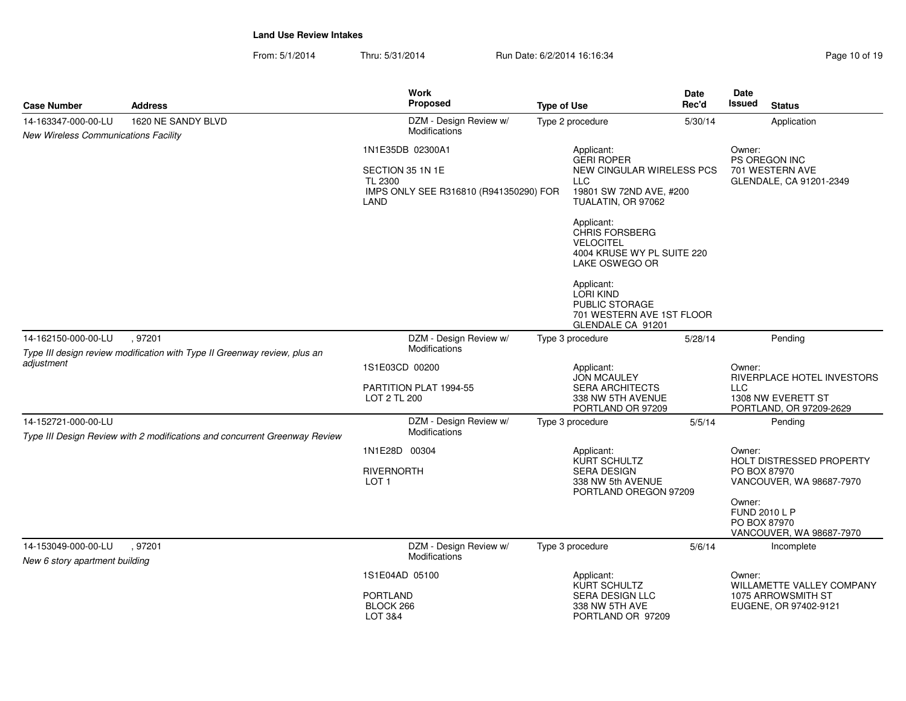| <b>Case Number</b>                                    | <b>Address</b>                                                                       | <b>Work</b><br>Proposed                                                                           | <b>Type of Use</b>                                                                                                                                                                                                                                                                         | Date<br>Rec'd | Date<br>Issued                                    | <b>Status</b>                                                               |
|-------------------------------------------------------|--------------------------------------------------------------------------------------|---------------------------------------------------------------------------------------------------|--------------------------------------------------------------------------------------------------------------------------------------------------------------------------------------------------------------------------------------------------------------------------------------------|---------------|---------------------------------------------------|-----------------------------------------------------------------------------|
| 14-163347-000-00-LU                                   | 1620 NE SANDY BLVD                                                                   | DZM - Design Review w/                                                                            | Type 2 procedure                                                                                                                                                                                                                                                                           | 5/30/14       |                                                   | Application                                                                 |
| New Wireless Communications Facility                  |                                                                                      | Modifications                                                                                     |                                                                                                                                                                                                                                                                                            |               |                                                   |                                                                             |
|                                                       |                                                                                      | 1N1E35DB 02300A1<br>SECTION 35 1N 1E<br>TL 2300<br>IMPS ONLY SEE R316810 (R941350290) FOR<br>LAND | Applicant:<br><b>GERI ROPER</b><br>NEW CINGULAR WIRELESS PCS<br><b>LLC</b><br>19801 SW 72ND AVE, #200<br>TUALATIN, OR 97062<br>Applicant:<br>CHRIS FORSBERG<br><b>VELOCITEL</b><br>4004 KRUSE WY PL SUITE 220<br>LAKE OSWEGO OR<br>Applicant:<br><b>LORI KIND</b><br><b>PUBLIC STORAGE</b> |               | Owner:                                            | PS OREGON INC<br>701 WESTERN AVE<br>GLENDALE, CA 91201-2349                 |
|                                                       |                                                                                      |                                                                                                   | 701 WESTERN AVE 1ST FLOOR<br>GLENDALE CA 91201                                                                                                                                                                                                                                             |               |                                                   |                                                                             |
| 14-162150-000-00-LU                                   | , 97201<br>Type III design review modification with Type II Greenway review, plus an | DZM - Design Review w/<br>Modifications                                                           | Type 3 procedure                                                                                                                                                                                                                                                                           | 5/28/14       |                                                   | Pending                                                                     |
| adjustment                                            |                                                                                      | 1S1E03CD 00200<br>PARTITION PLAT 1994-55<br>LOT 2 TL 200                                          | Applicant:<br><b>JON MCAULEY</b><br><b>SERA ARCHITECTS</b><br>338 NW 5TH AVENUE<br>PORTLAND OR 97209                                                                                                                                                                                       |               | Owner:<br><b>LLC</b>                              | RIVERPLACE HOTEL INVESTORS<br>1308 NW EVERETT ST<br>PORTLAND, OR 97209-2629 |
| 14-152721-000-00-LU                                   | Type III Design Review with 2 modifications and concurrent Greenway Review           | DZM - Design Review w/<br>Modifications                                                           | Type 3 procedure                                                                                                                                                                                                                                                                           | 5/5/14        |                                                   | Pending                                                                     |
|                                                       |                                                                                      | 1N1E28D 00304<br><b>RIVERNORTH</b><br>LOT <sub>1</sub>                                            | Applicant:<br>KURT SCHULTZ<br><b>SERA DESIGN</b><br>338 NW 5th AVENUE<br>PORTLAND OREGON 97209                                                                                                                                                                                             |               | Owner:<br>PO BOX 87970<br>Owner:<br>FUND 2010 L P | HOLT DISTRESSED PROPERTY<br>VANCOUVER, WA 98687-7970                        |
|                                                       |                                                                                      |                                                                                                   |                                                                                                                                                                                                                                                                                            |               | PO BOX 87970                                      | VANCOUVER, WA 98687-7970                                                    |
| 14-153049-000-00-LU<br>New 6 story apartment building | .97201                                                                               | DZM - Design Review w/<br>Modifications                                                           | Type 3 procedure                                                                                                                                                                                                                                                                           | 5/6/14        |                                                   | Incomplete                                                                  |
|                                                       |                                                                                      | 1S1E04AD 05100<br><b>PORTLAND</b><br>BLOCK 266<br><b>LOT 3&amp;4</b>                              | Applicant:<br><b>KURT SCHULTZ</b><br><b>SERA DESIGN LLC</b><br>338 NW 5TH AVE<br>PORTLAND OR 97209                                                                                                                                                                                         |               | Owner:                                            | WILLAMETTE VALLEY COMPANY<br>1075 ARROWSMITH ST<br>EUGENE, OR 97402-9121    |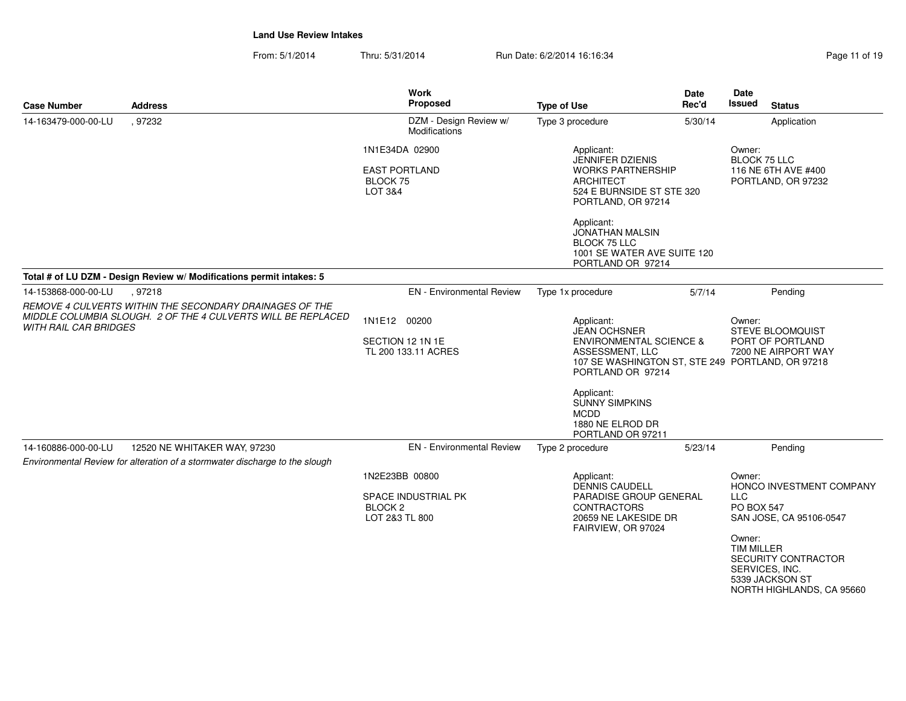From: 5/1/2014Thru: 5/31/2014 Run Date: 6/2/2014 16:16:34

| Page 11 of 19 |  |  |  |
|---------------|--|--|--|
|---------------|--|--|--|

| <b>Case Number</b>           | <b>Address</b>                                                                                              | <b>Work</b><br>Proposed                                                       | <b>Type of Use</b>                                                                                                                                                                                      | Date<br>Rec'd | Date<br><b>Issued</b><br><b>Status</b>                                                                                                                                                                                   |
|------------------------------|-------------------------------------------------------------------------------------------------------------|-------------------------------------------------------------------------------|---------------------------------------------------------------------------------------------------------------------------------------------------------------------------------------------------------|---------------|--------------------------------------------------------------------------------------------------------------------------------------------------------------------------------------------------------------------------|
| 14-163479-000-00-LU          | .97232                                                                                                      | DZM - Design Review w/<br><b>Modifications</b>                                | Type 3 procedure                                                                                                                                                                                        | 5/30/14       | Application                                                                                                                                                                                                              |
|                              |                                                                                                             | 1N1E34DA 02900<br><b>EAST PORTLAND</b><br>BLOCK 75<br>LOT 3&4                 | Applicant:<br>JENNIFER DZIENIS<br><b>WORKS PARTNERSHIP</b><br><b>ARCHITECT</b><br>524 E BURNSIDE ST STE 320<br>PORTLAND, OR 97214<br>Applicant:<br><b>JONATHAN MALSIN</b>                               |               | Owner:<br><b>BLOCK 75 LLC</b><br>116 NE 6TH AVE #400<br>PORTLAND, OR 97232                                                                                                                                               |
|                              |                                                                                                             |                                                                               | <b>BLOCK 75 LLC</b><br>1001 SE WATER AVE SUITE 120<br>PORTLAND OR 97214                                                                                                                                 |               |                                                                                                                                                                                                                          |
|                              | Total # of LU DZM - Design Review w/ Modifications permit intakes: 5                                        |                                                                               |                                                                                                                                                                                                         |               |                                                                                                                                                                                                                          |
| 14-153868-000-00-LU          | , 97218<br>REMOVE 4 CULVERTS WITHIN THE SECONDARY DRAINAGES OF THE                                          | <b>EN</b> - Environmental Review                                              | Type 1x procedure                                                                                                                                                                                       | 5/7/14        | Pending                                                                                                                                                                                                                  |
| <b>WITH RAIL CAR BRIDGES</b> | MIDDLE COLUMBIA SLOUGH. 2 OF THE 4 CULVERTS WILL BE REPLACED                                                | 1N1E12 00200<br>SECTION 12 1N 1E<br>TL 200 133.11 ACRES                       | Applicant:<br><b>JEAN OCHSNER</b><br><b>ENVIRONMENTAL SCIENCE &amp;</b><br>ASSESSMENT, LLC<br>PORTLAND OR 97214<br>Applicant:<br>SUNNY SIMPKINS<br><b>MCDD</b><br>1880 NE ELROD DR<br>PORTLAND OR 97211 |               | Owner:<br>STEVE BLOOMQUIST<br>PORT OF PORTLAND<br>7200 NE AIRPORT WAY<br>107 SE WASHINGTON ST, STE 249 PORTLAND, OR 97218                                                                                                |
| 14-160886-000-00-LU          | 12520 NE WHITAKER WAY, 97230<br>Environmental Review for alteration of a stormwater discharge to the slough | <b>EN</b> - Environmental Review                                              | Type 2 procedure                                                                                                                                                                                        | 5/23/14       | Pendina                                                                                                                                                                                                                  |
|                              |                                                                                                             | 1N2E23BB 00800<br>SPACE INDUSTRIAL PK<br>BLOCK <sub>2</sub><br>LOT 2&3 TL 800 | Applicant:<br><b>DENNIS CAUDELL</b><br>PARADISE GROUP GENERAL<br><b>CONTRACTORS</b><br>20659 NE LAKESIDE DR<br>FAIRVIEW, OR 97024                                                                       |               | Owner:<br>HONCO INVESTMENT COMPANY<br><b>LLC</b><br><b>PO BOX 547</b><br>SAN JOSE, CA 95106-0547<br>Owner:<br><b>TIM MILLER</b><br>SECURITY CONTRACTOR<br>SERVICES, INC.<br>5339 JACKSON ST<br>NORTH HIGHLANDS, CA 95660 |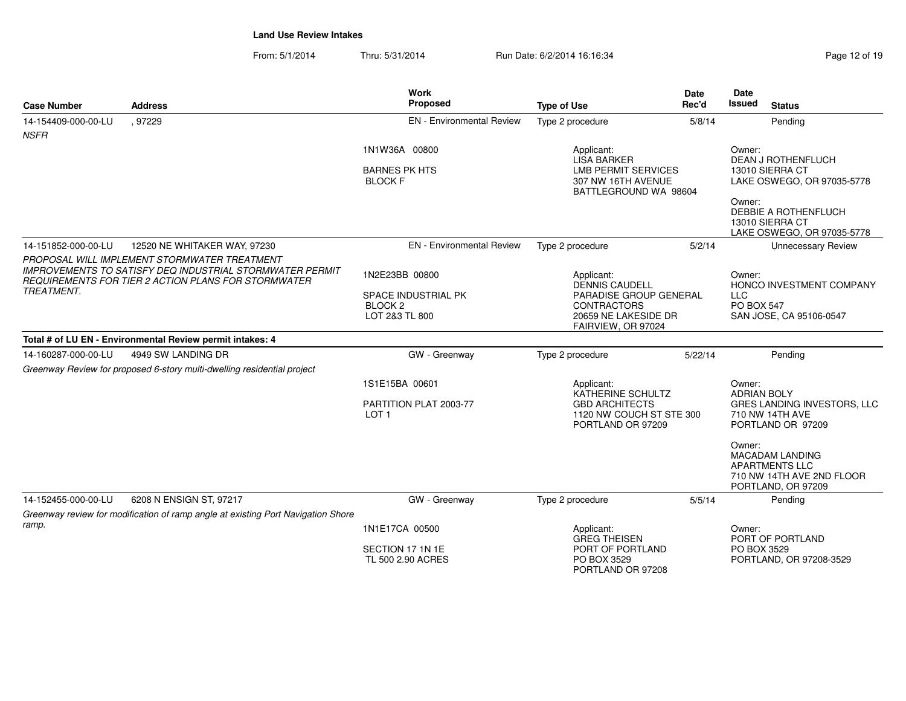From: 5/1/2014Thru: 5/31/2014 Run Date: 6/2/2014 16:16:34

| Page 12 of 19 |  |  |
|---------------|--|--|
|---------------|--|--|

| <b>Case Number</b>                                                      | <b>Address</b>                                                                                                                                                         | <b>Work</b><br><b>Proposed</b>                                                | <b>Type of Use</b>                                                                                                                | <b>Date</b><br>Rec'd | <b>Date</b><br>Issued<br><b>Status</b>                                                                                                                                  |
|-------------------------------------------------------------------------|------------------------------------------------------------------------------------------------------------------------------------------------------------------------|-------------------------------------------------------------------------------|-----------------------------------------------------------------------------------------------------------------------------------|----------------------|-------------------------------------------------------------------------------------------------------------------------------------------------------------------------|
| 14-154409-000-00-LU<br><b>NSFR</b>                                      | .97229                                                                                                                                                                 | <b>EN</b> - Environmental Review                                              | Type 2 procedure                                                                                                                  | 5/8/14               | Pending                                                                                                                                                                 |
|                                                                         |                                                                                                                                                                        | 1N1W36A 00800<br><b>BARNES PK HTS</b><br><b>BLOCK F</b>                       | Applicant:<br><b>LISA BARKER</b><br><b>LMB PERMIT SERVICES</b><br>307 NW 16TH AVENUE<br>BATTLEGROUND WA 98604                     |                      | Owner:<br><b>DEAN J ROTHENFLUCH</b><br>13010 SIERRA CT<br>LAKE OSWEGO, OR 97035-5778<br>Owner:<br>DEBBIE A ROTHENFLUCH<br>13010 SIERRA CT<br>LAKE OSWEGO, OR 97035-5778 |
| 14-151852-000-00-LU                                                     | 12520 NE WHITAKER WAY, 97230                                                                                                                                           | <b>EN</b> - Environmental Review                                              | Type 2 procedure                                                                                                                  | 5/2/14               | <b>Unnecessary Review</b>                                                                                                                                               |
| <b>TREATMENT.</b>                                                       | PROPOSAL WILL IMPLEMENT STORMWATER TREATMENT<br><b>IMPROVEMENTS TO SATISFY DEQ INDUSTRIAL STORMWATER PERMIT</b><br>REQUIREMENTS FOR TIER 2 ACTION PLANS FOR STORMWATER | 1N2E23BB 00800<br>SPACE INDUSTRIAL PK<br>BLOCK <sub>2</sub><br>LOT 2&3 TL 800 | Applicant:<br><b>DENNIS CAUDELL</b><br>PARADISE GROUP GENERAL<br><b>CONTRACTORS</b><br>20659 NE LAKESIDE DR<br>FAIRVIEW, OR 97024 |                      | Owner:<br>HONCO INVESTMENT COMPANY<br>LLC<br><b>PO BOX 547</b><br>SAN JOSE, CA 95106-0547                                                                               |
|                                                                         | Total # of LU EN - Environmental Review permit intakes: 4                                                                                                              |                                                                               |                                                                                                                                   |                      |                                                                                                                                                                         |
| 14-160287-000-00-LU                                                     | 4949 SW LANDING DR                                                                                                                                                     | GW - Greenway                                                                 | Type 2 procedure                                                                                                                  | 5/22/14              | Pending                                                                                                                                                                 |
| Greenway Review for proposed 6-story multi-dwelling residential project |                                                                                                                                                                        | 1S1E15BA 00601<br>PARTITION PLAT 2003-77<br>LOT <sub>1</sub>                  | Applicant:<br>KATHERINE SCHULTZ<br><b>GBD ARCHITECTS</b><br>1120 NW COUCH ST STE 300<br>PORTLAND OR 97209                         |                      | Owner:<br><b>ADRIAN BOLY</b><br><b>GRES LANDING INVESTORS, LLC</b><br>710 NW 14TH AVE<br>PORTLAND OR 97209                                                              |
|                                                                         |                                                                                                                                                                        |                                                                               |                                                                                                                                   |                      | Owner:<br><b>MACADAM LANDING</b><br><b>APARTMENTS LLC</b><br>710 NW 14TH AVE 2ND FLOOR<br>PORTLAND, OR 97209                                                            |
| 14-152455-000-00-LU                                                     | 6208 N ENSIGN ST, 97217                                                                                                                                                | GW - Greenway                                                                 | Type 2 procedure                                                                                                                  | 5/5/14               | Pending                                                                                                                                                                 |
|                                                                         | Greenway review for modification of ramp angle at existing Port Navigation Shore                                                                                       |                                                                               |                                                                                                                                   |                      |                                                                                                                                                                         |
| ramp.                                                                   |                                                                                                                                                                        | 1N1E17CA 00500<br>SECTION 17 1N 1E<br>TL 500 2.90 ACRES                       | Applicant:<br><b>GREG THEISEN</b><br>PORT OF PORTLAND<br>PO BOX 3529<br>PORTLAND OR 97208                                         |                      | Owner:<br>PORT OF PORTLAND<br>PO BOX 3529<br>PORTLAND, OR 97208-3529                                                                                                    |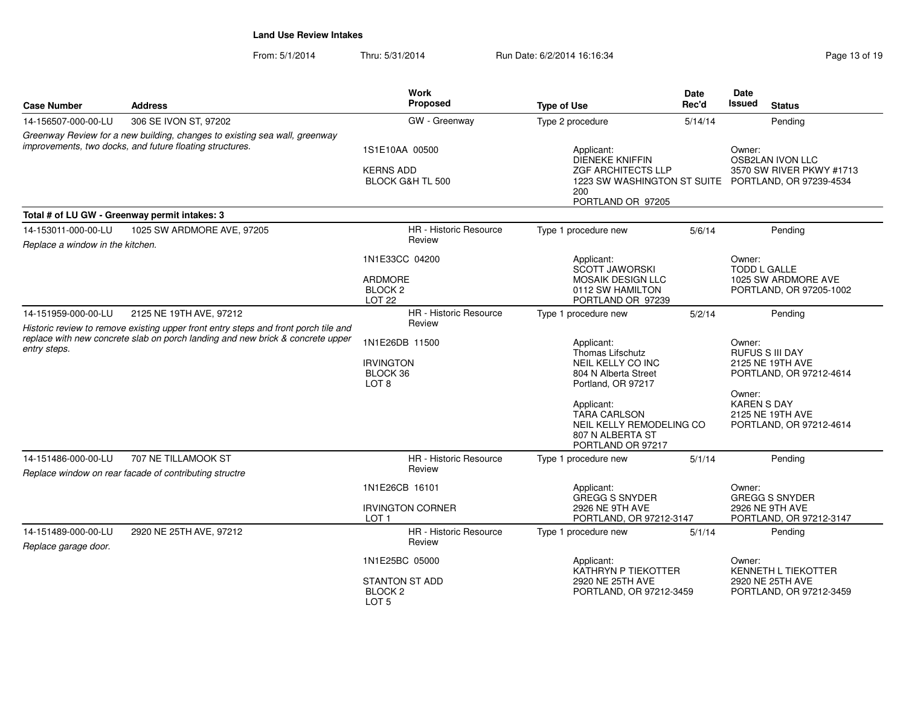| <b>Case Number</b>                                                                                                                     | <b>Address</b>                                                                                                                                                        | Work<br>Proposed                                                             | <b>Type of Use</b>                                                                                                                                                                                          | <b>Date</b><br>Rec'd | Date<br>Issued<br><b>Status</b>                                                                                                                                |  |
|----------------------------------------------------------------------------------------------------------------------------------------|-----------------------------------------------------------------------------------------------------------------------------------------------------------------------|------------------------------------------------------------------------------|-------------------------------------------------------------------------------------------------------------------------------------------------------------------------------------------------------------|----------------------|----------------------------------------------------------------------------------------------------------------------------------------------------------------|--|
| 14-156507-000-00-LU                                                                                                                    | 306 SE IVON ST, 97202                                                                                                                                                 | GW - Greenway                                                                | Type 2 procedure                                                                                                                                                                                            | 5/14/14              | Pending                                                                                                                                                        |  |
| Greenway Review for a new building, changes to existing sea wall, greenway<br>improvements, two docks, and future floating structures. |                                                                                                                                                                       | 1S1E10AA 00500<br><b>KERNS ADD</b><br><b>BLOCK G&amp;H TL 500</b>            | Applicant:<br><b>DIENEKE KNIFFIN</b><br><b>ZGF ARCHITECTS LLP</b><br>1223 SW WASHINGTON ST SUITE PORTLAND, OR 97239-4534<br>200<br>PORTLAND OR 97205                                                        |                      | Owner:<br><b>OSB2LAN IVON LLC</b><br>3570 SW RIVER PKWY #1713                                                                                                  |  |
|                                                                                                                                        | Total # of LU GW - Greenway permit intakes: 3                                                                                                                         |                                                                              |                                                                                                                                                                                                             |                      |                                                                                                                                                                |  |
| 14-153011-000-00-LU<br>Replace a window in the kitchen.                                                                                | 1025 SW ARDMORE AVE, 97205                                                                                                                                            | HR - Historic Resource<br>Review                                             | Type 1 procedure new                                                                                                                                                                                        | 5/6/14               | Pending                                                                                                                                                        |  |
|                                                                                                                                        |                                                                                                                                                                       | 1N1E33CC 04200<br><b>ARDMORE</b><br>BLOCK <sub>2</sub><br>LOT <sub>22</sub>  | Applicant:<br><b>SCOTT JAWORSKI</b><br><b>MOSAIK DESIGN LLC</b><br>0112 SW HAMILTON<br>PORTLAND OR 97239                                                                                                    |                      | Owner:<br><b>TODD L GALLE</b><br>1025 SW ARDMORE AVE<br>PORTLAND, OR 97205-1002                                                                                |  |
| 14-151959-000-00-LU                                                                                                                    | 2125 NE 19TH AVE, 97212                                                                                                                                               | HR - Historic Resource                                                       | Type 1 procedure new                                                                                                                                                                                        | 5/2/14               | Pending                                                                                                                                                        |  |
| entry steps.                                                                                                                           | Historic review to remove existing upper front entry steps and front porch tile and<br>replace with new concrete slab on porch landing and new brick & concrete upper | Review<br>1N1E26DB 11500<br><b>IRVINGTON</b><br>BLOCK 36<br>LOT <sub>8</sub> | Applicant:<br>Thomas Lifschutz<br>NEIL KELLY CO INC<br>804 N Alberta Street<br>Portland, OR 97217<br>Applicant:<br><b>TARA CARLSON</b><br>NEIL KELLY REMODELING CO<br>807 N ALBERTA ST<br>PORTLAND OR 97217 |                      | Owner:<br><b>RUFUS S III DAY</b><br>2125 NE 19TH AVE<br>PORTLAND, OR 97212-4614<br>Owner:<br><b>KAREN S DAY</b><br>2125 NE 19TH AVE<br>PORTLAND, OR 97212-4614 |  |
| 14-151486-000-00-LU                                                                                                                    | 707 NE TILLAMOOK ST<br>Replace window on rear facade of contributing structre                                                                                         | <b>HR</b> - Historic Resource<br>Review                                      | Type 1 procedure new                                                                                                                                                                                        | 5/1/14               | Pending                                                                                                                                                        |  |
|                                                                                                                                        |                                                                                                                                                                       | 1N1E26CB 16101<br><b>IRVINGTON CORNER</b><br>LOT <sub>1</sub>                | Applicant:<br><b>GREGG S SNYDER</b><br>2926 NE 9TH AVE<br>PORTLAND, OR 97212-3147                                                                                                                           |                      | Owner:<br><b>GREGG S SNYDER</b><br>2926 NE 9TH AVE<br>PORTLAND, OR 97212-3147                                                                                  |  |
| 14-151489-000-00-LU<br>Replace garage door.                                                                                            | 2920 NE 25TH AVE, 97212                                                                                                                                               | <b>HR</b> - Historic Resource<br>Review                                      | Type 1 procedure new                                                                                                                                                                                        | 5/1/14               | Pending                                                                                                                                                        |  |
|                                                                                                                                        |                                                                                                                                                                       | 1N1E25BC 05000<br>STANTON ST ADD<br>BLOCK <sub>2</sub><br>LOT <sub>5</sub>   | Applicant:<br>KATHRYN P TIEKOTTER<br>2920 NE 25TH AVE<br>PORTLAND, OR 97212-3459                                                                                                                            |                      | Owner:<br><b>KENNETH L TIEKOTTER</b><br>2920 NE 25TH AVE<br>PORTLAND, OR 97212-3459                                                                            |  |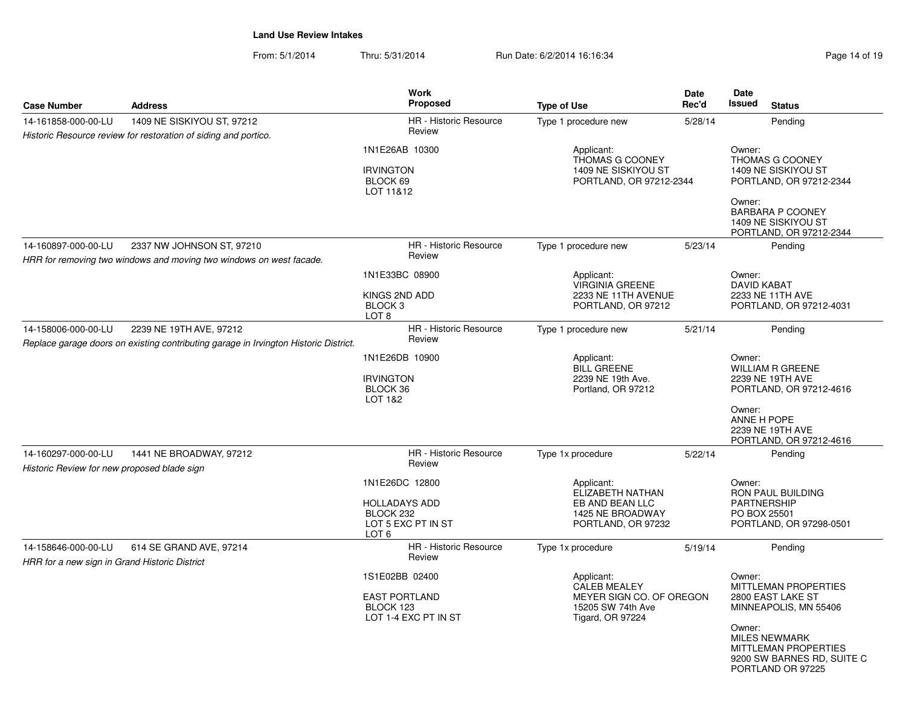| <b>Case Number</b>                                                   | <b>Address</b>                                                                                                  | <b>Work</b><br><b>Proposed</b>                                                     | <b>Type of Use</b>                                                                                            | Date<br>Rec'd | Date<br><b>Issued</b><br><b>Status</b>                                                                                                                                                    |
|----------------------------------------------------------------------|-----------------------------------------------------------------------------------------------------------------|------------------------------------------------------------------------------------|---------------------------------------------------------------------------------------------------------------|---------------|-------------------------------------------------------------------------------------------------------------------------------------------------------------------------------------------|
| 14-161858-000-00-LU                                                  | 1409 NE SISKIYOU ST, 97212<br>Historic Resource review for restoration of siding and portico.                   | HR - Historic Resource<br>Review                                                   | Type 1 procedure new                                                                                          | 5/28/14       | Pending                                                                                                                                                                                   |
|                                                                      |                                                                                                                 | 1N1E26AB 10300<br><b>IRVINGTON</b><br>BLOCK 69<br>LOT 11&12                        | Applicant:<br>THOMAS G COONEY<br>1409 NE SISKIYOU ST<br>PORTLAND, OR 97212-2344                               |               | Owner:<br>THOMAS G COONEY<br>1409 NE SISKIYOU ST<br>PORTLAND, OR 97212-2344<br>Owner:<br>BARBARA P COONEY<br>1409 NE SISKIYOU ST<br>PORTLAND, OR 97212-2344                               |
| 14-160897-000-00-LU                                                  | 2337 NW JOHNSON ST, 97210<br>HRR for removing two windows and moving two windows on west facade.                | <b>HR</b> - Historic Resource<br>Review                                            | Type 1 procedure new                                                                                          | 5/23/14       | Pending                                                                                                                                                                                   |
|                                                                      |                                                                                                                 | 1N1E33BC 08900<br>KINGS 2ND ADD<br>BLOCK <sub>3</sub><br>LOT <sub>8</sub>          | Applicant:<br>VIRGINIA GREENE<br>2233 NE 11TH AVENUE<br>PORTLAND, OR 97212                                    |               | Owner:<br>DAVID KABAT<br>2233 NE 11TH AVE<br>PORTLAND, OR 97212-4031                                                                                                                      |
| 14-158006-000-00-LU                                                  | 2239 NE 19TH AVE, 97212<br>Replace garage doors on existing contributing garage in Irvington Historic District. | <b>HR</b> - Historic Resource<br>Review                                            | Type 1 procedure new                                                                                          | 5/21/14       | Pending                                                                                                                                                                                   |
|                                                                      |                                                                                                                 | 1N1E26DB 10900<br><b>IRVINGTON</b><br>BLOCK 36<br>LOT 1&2                          | Applicant:<br><b>BILL GREENE</b><br>2239 NE 19th Ave.<br>Portland, OR 97212                                   |               | Owner:<br><b>WILLIAM R GREENE</b><br>2239 NE 19TH AVE<br>PORTLAND, OR 97212-4616<br>Owner:<br>ANNE H POPE<br>2239 NE 19TH AVE<br>PORTLAND, OR 97212-4616                                  |
| 14-160297-000-00-LU<br>Historic Review for new proposed blade sign   | 1441 NE BROADWAY, 97212                                                                                         | HR - Historic Resource<br>Review                                                   | Type 1x procedure                                                                                             | 5/22/14       | Pending                                                                                                                                                                                   |
|                                                                      |                                                                                                                 | 1N1E26DC 12800<br><b>HOLLADAYS ADD</b><br>BLOCK 232<br>LOT 5 EXC PT IN ST<br>LOT 6 | Applicant:<br>ELIZABETH NATHAN<br>EB AND BEAN LLC<br>1425 NE BROADWAY<br>PORTLAND, OR 97232                   |               | Owner:<br>RON PAUL BUILDING<br><b>PARTNERSHIP</b><br>PO BOX 25501<br>PORTLAND, OR 97298-0501                                                                                              |
| 14-158646-000-00-LU<br>HRR for a new sign in Grand Historic District | 614 SE GRAND AVE, 97214                                                                                         | <b>HR</b> - Historic Resource<br>Review                                            | Type 1x procedure                                                                                             | 5/19/14       | Pending                                                                                                                                                                                   |
|                                                                      |                                                                                                                 | 1S1E02BB 02400<br><b>EAST PORTLAND</b><br>BLOCK 123<br>LOT 1-4 EXC PT IN ST        | Applicant:<br><b>CALEB MEALEY</b><br>MEYER SIGN CO. OF OREGON<br>15205 SW 74th Ave<br><b>Tigard, OR 97224</b> |               | Owner:<br>MITTLEMAN PROPERTIES<br>2800 EAST LAKE ST<br>MINNEAPOLIS, MN 55406<br>Owner:<br><b>MILES NEWMARK</b><br>MITTLEMAN PROPERTIES<br>9200 SW BARNES RD, SUITE C<br>PORTLAND OR 97225 |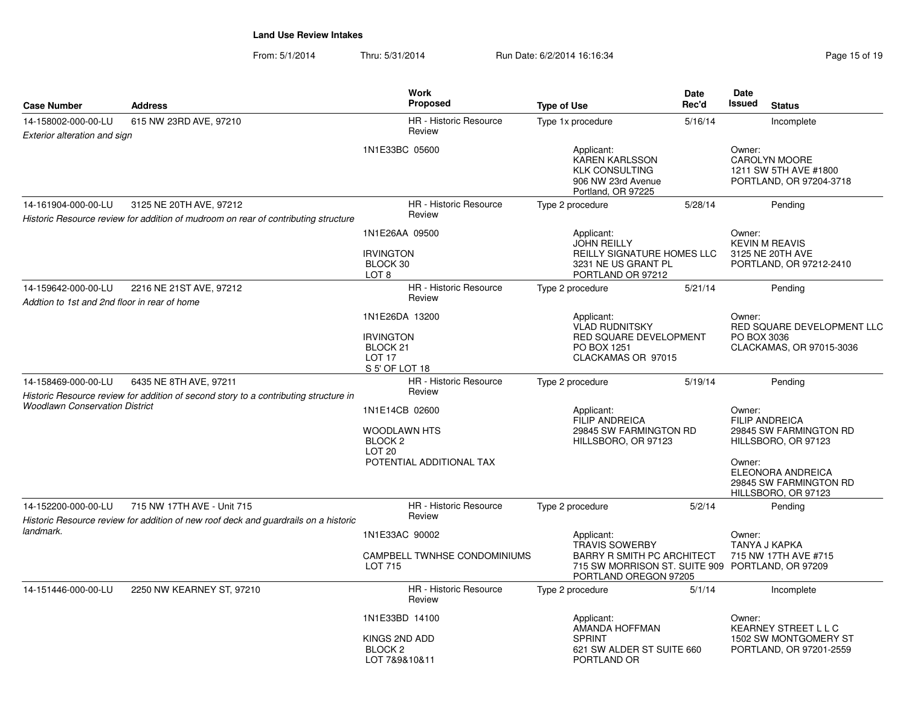| <b>Case Number</b>                                                  | <b>Address</b>                                                                                                    | Work<br><b>Proposed</b>                                                        | <b>Type of Use</b>                                                                                | Date<br>Rec'd                                                                                                                   | Date<br><b>Issued</b><br><b>Status</b>                                              |  |
|---------------------------------------------------------------------|-------------------------------------------------------------------------------------------------------------------|--------------------------------------------------------------------------------|---------------------------------------------------------------------------------------------------|---------------------------------------------------------------------------------------------------------------------------------|-------------------------------------------------------------------------------------|--|
| 14-158002-000-00-LU<br>Exterior alteration and sign                 | 615 NW 23RD AVE, 97210                                                                                            | <b>HR</b> - Historic Resource<br>Review                                        | Type 1x procedure                                                                                 | 5/16/14                                                                                                                         | Incomplete                                                                          |  |
|                                                                     |                                                                                                                   | 1N1E33BC 05600                                                                 | Applicant:<br>KAREN KARLSSON<br><b>KLK CONSULTING</b><br>906 NW 23rd Avenue<br>Portland, OR 97225 |                                                                                                                                 | Owner:<br><b>CAROLYN MOORE</b><br>1211 SW 5TH AVE #1800<br>PORTLAND, OR 97204-3718  |  |
| 14-161904-000-00-LU                                                 | 3125 NE 20TH AVE, 97212<br>Historic Resource review for addition of mudroom on rear of contributing structure     | <b>HR</b> - Historic Resource<br>Review                                        | Type 2 procedure                                                                                  | 5/28/14                                                                                                                         | Pending                                                                             |  |
|                                                                     |                                                                                                                   | 1N1E26AA 09500                                                                 | Applicant:<br><b>JOHN REILLY</b>                                                                  |                                                                                                                                 | Owner:<br><b>KEVIN M REAVIS</b><br>3125 NE 20TH AVE<br>PORTLAND, OR 97212-2410      |  |
|                                                                     |                                                                                                                   | <b>IRVINGTON</b><br>BLOCK 30<br>LOT <sub>8</sub>                               | REILLY SIGNATURE HOMES LLC<br>3231 NE US GRANT PL<br>PORTLAND OR 97212                            |                                                                                                                                 |                                                                                     |  |
| 14-159642-000-00-LU<br>Addtion to 1st and 2nd floor in rear of home | 2216 NE 21ST AVE, 97212                                                                                           | <b>HR</b> - Historic Resource<br>Review                                        | Type 2 procedure                                                                                  | 5/21/14                                                                                                                         | Pending                                                                             |  |
|                                                                     |                                                                                                                   | 1N1E26DA 13200<br><b>IRVINGTON</b><br>BLOCK <sub>21</sub><br>LOT <sub>17</sub> | Applicant:<br>VLAD RUDNITSKY<br>PO BOX 1251                                                       | Owner:<br>RED SQUARE DEVELOPMENT LLC<br>RED SQUARE DEVELOPMENT<br>PO BOX 3036<br>CLACKAMAS, OR 97015-3036<br>CLACKAMAS OR 97015 |                                                                                     |  |
|                                                                     |                                                                                                                   | S 5' OF LOT 18                                                                 |                                                                                                   |                                                                                                                                 |                                                                                     |  |
| 14-158469-000-00-LU                                                 | 6435 NE 8TH AVE, 97211<br>Historic Resource review for addition of second story to a contributing structure in    | HR - Historic Resource<br>Review                                               | Type 2 procedure                                                                                  | 5/19/14                                                                                                                         | Pending                                                                             |  |
| <b>Woodlawn Conservation District</b>                               |                                                                                                                   | 1N1E14CB 02600<br>WOODLAWN HTS<br>BLOCK <sub>2</sub><br><b>LOT 20</b>          | Applicant:<br>FILIP ANDREICA<br>29845 SW FARMINGTON RD<br>HILLSBORO, OR 97123                     |                                                                                                                                 | Owner:<br><b>FILIP ANDREICA</b><br>29845 SW FARMINGTON RD<br>HILLSBORO, OR 97123    |  |
|                                                                     |                                                                                                                   | POTENTIAL ADDITIONAL TAX                                                       |                                                                                                   |                                                                                                                                 | Owner:<br><b>ELEONORA ANDREICA</b><br>29845 SW FARMINGTON RD<br>HILLSBORO, OR 97123 |  |
| 14-152200-000-00-LU<br>landmark.                                    | 715 NW 17TH AVE - Unit 715<br>Historic Resource review for addition of new roof deck and guardrails on a historic | <b>HR</b> - Historic Resource<br>Review                                        | Type 2 procedure                                                                                  | 5/2/14                                                                                                                          | Pending                                                                             |  |
|                                                                     |                                                                                                                   | 1N1E33AC 90002                                                                 | Applicant:<br><b>TRAVIS SOWERBY</b>                                                               |                                                                                                                                 | Owner:<br>TANYA J KAPKA                                                             |  |
|                                                                     |                                                                                                                   | CAMPBELL TWNHSE CONDOMINIUMS<br>LOT 715                                        | BARRY R SMITH PC ARCHITECT<br>PORTLAND OREGON 97205                                               |                                                                                                                                 | 715 NW 17TH AVE #715<br>715 SW MORRISON ST. SUITE 909 PORTLAND, OR 97209            |  |
| 14-151446-000-00-LU                                                 | 2250 NW KEARNEY ST, 97210                                                                                         | HR - Historic Resource<br>Review                                               | Type 2 procedure                                                                                  | 5/1/14                                                                                                                          | Incomplete                                                                          |  |
|                                                                     |                                                                                                                   | 1N1E33BD 14100<br>KINGS 2ND ADD<br><b>BLOCK 2</b><br>LOT 7&9&10&11             | Applicant:<br>AMANDA HOFFMAN<br><b>SPRINT</b><br>621 SW ALDER ST SUITE 660<br>PORTLAND OR         |                                                                                                                                 | Owner:<br>KEARNEY STREET L L C<br>1502 SW MONTGOMERY ST<br>PORTLAND, OR 97201-2559  |  |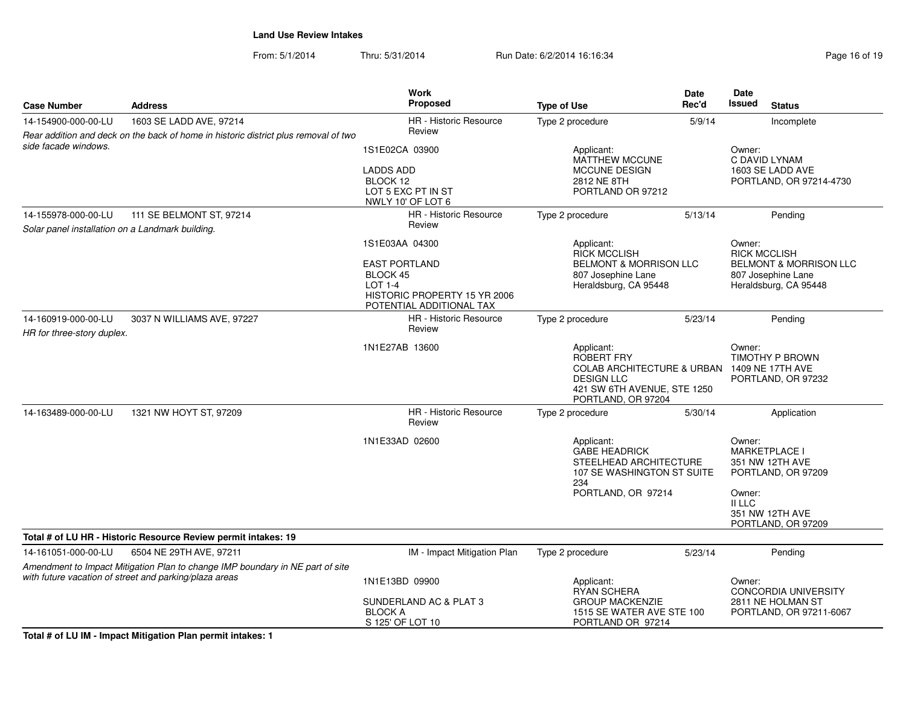From: 5/1/2014Thru: 5/31/2014 Run Date: 6/2/2014 16:16:34 Run Date: 6/2/2014 16:16:34

| <b>Case Number</b>                                     | <b>Address</b>                                                                      | Work<br>Proposed                                                                                               | <b>Type of Use</b>                                                                                                                          | Date<br>Rec'd | Date<br><b>Issued</b><br><b>Status</b>                                                                  |  |
|--------------------------------------------------------|-------------------------------------------------------------------------------------|----------------------------------------------------------------------------------------------------------------|---------------------------------------------------------------------------------------------------------------------------------------------|---------------|---------------------------------------------------------------------------------------------------------|--|
| 14-154900-000-00-LU                                    | 1603 SE LADD AVE, 97214                                                             | HR - Historic Resource                                                                                         | Type 2 procedure                                                                                                                            | 5/9/14        | Incomplete                                                                                              |  |
|                                                        | Rear addition and deck on the back of home in historic district plus removal of two | Review                                                                                                         |                                                                                                                                             |               |                                                                                                         |  |
| side facade windows.                                   |                                                                                     | 1S1E02CA 03900                                                                                                 | Applicant:<br><b>MATTHEW MCCUNE</b><br><b>MCCUNE DESIGN</b><br>2812 NE 8TH<br>PORTLAND OR 97212                                             |               | Owner:<br>C DAVID LYNAM                                                                                 |  |
|                                                        |                                                                                     | <b>LADDS ADD</b><br>BLOCK 12<br>LOT 5 EXC PT IN ST                                                             |                                                                                                                                             |               | 1603 SE LADD AVE<br>PORTLAND, OR 97214-4730                                                             |  |
|                                                        |                                                                                     | NWLY 10' OF LOT 6                                                                                              |                                                                                                                                             |               |                                                                                                         |  |
| 14-155978-000-00-LU                                    | 111 SE BELMONT ST, 97214                                                            | <b>HR</b> - Historic Resource<br>Review                                                                        | Type 2 procedure                                                                                                                            | 5/13/14       | Pending                                                                                                 |  |
| Solar panel installation on a Landmark building.       |                                                                                     |                                                                                                                |                                                                                                                                             |               | Owner:                                                                                                  |  |
|                                                        |                                                                                     | 1S1E03AA 04300                                                                                                 | RICK MCCLISH                                                                                                                                | Applicant:    |                                                                                                         |  |
|                                                        |                                                                                     | <b>EAST PORTLAND</b><br>BLOCK 45<br><b>LOT 1-4</b><br>HISTORIC PROPERTY 15 YR 2006<br>POTENTIAL ADDITIONAL TAX | <b>BELMONT &amp; MORRISON LLC</b><br>807 Josephine Lane<br>Heraldsburg, CA 95448                                                            |               | <b>RICK MCCLISH</b><br><b>BELMONT &amp; MORRISON LLC</b><br>807 Josephine Lane<br>Heraldsburg, CA 95448 |  |
| 14-160919-000-00-LU<br>HR for three-story duplex.      | 3037 N WILLIAMS AVE, 97227                                                          | HR - Historic Resource<br>Review                                                                               | Type 2 procedure<br>5/23/14                                                                                                                 |               | Pending                                                                                                 |  |
|                                                        |                                                                                     | 1N1E27AB 13600                                                                                                 | Applicant:<br>ROBERT FRY<br><b>COLAB ARCHITECTURE &amp; URBAN</b><br><b>DESIGN LLC</b><br>421 SW 6TH AVENUE, STE 1250<br>PORTLAND, OR 97204 |               | Owner:<br><b>TIMOTHY P BROWN</b><br>1409 NE 17TH AVE<br>PORTLAND, OR 97232                              |  |
| 14-163489-000-00-LU                                    | 1321 NW HOYT ST, 97209                                                              | <b>HR</b> - Historic Resource<br>Review                                                                        | Type 2 procedure                                                                                                                            | 5/30/14       | Application                                                                                             |  |
|                                                        |                                                                                     | 1N1E33AD 02600                                                                                                 | Applicant:<br><b>GABE HEADRICK</b><br>STEELHEAD ARCHITECTURE<br>107 SE WASHINGTON ST SUITE<br>234                                           |               | Owner:<br><b>MARKETPLACE I</b><br>351 NW 12TH AVE<br>PORTLAND, OR 97209                                 |  |
|                                                        |                                                                                     |                                                                                                                | PORTLAND, OR 97214                                                                                                                          |               | Owner:<br>II LLC<br>351 NW 12TH AVE<br>PORTLAND, OR 97209                                               |  |
|                                                        | Total # of LU HR - Historic Resource Review permit intakes: 19                      |                                                                                                                |                                                                                                                                             |               |                                                                                                         |  |
| 14-161051-000-00-LU                                    | 6504 NE 29TH AVE, 97211                                                             | IM - Impact Mitigation Plan                                                                                    | Type 2 procedure                                                                                                                            | 5/23/14       | Pending                                                                                                 |  |
|                                                        | Amendment to Impact Mitigation Plan to change IMP boundary in NE part of site       |                                                                                                                |                                                                                                                                             |               |                                                                                                         |  |
| with future vacation of street and parking/plaza areas |                                                                                     | 1N1E13BD 09900                                                                                                 | Applicant:<br>Owner:<br>RYAN SCHERA<br><b>GROUP MACKENZIE</b><br>1515 SE WATER AVE STE 100<br>PORTLAND OR 97214                             |               | <b>CONCORDIA UNIVERSITY</b>                                                                             |  |
|                                                        |                                                                                     | SUNDERLAND AC & PLAT 3<br><b>BLOCK A</b><br>S 125' OF LOT 10                                                   |                                                                                                                                             |               | 2811 NE HOLMAN ST<br>PORTLAND, OR 97211-6067                                                            |  |

**Total # of LU IM - Impact Mitigation Plan permit intakes: 1**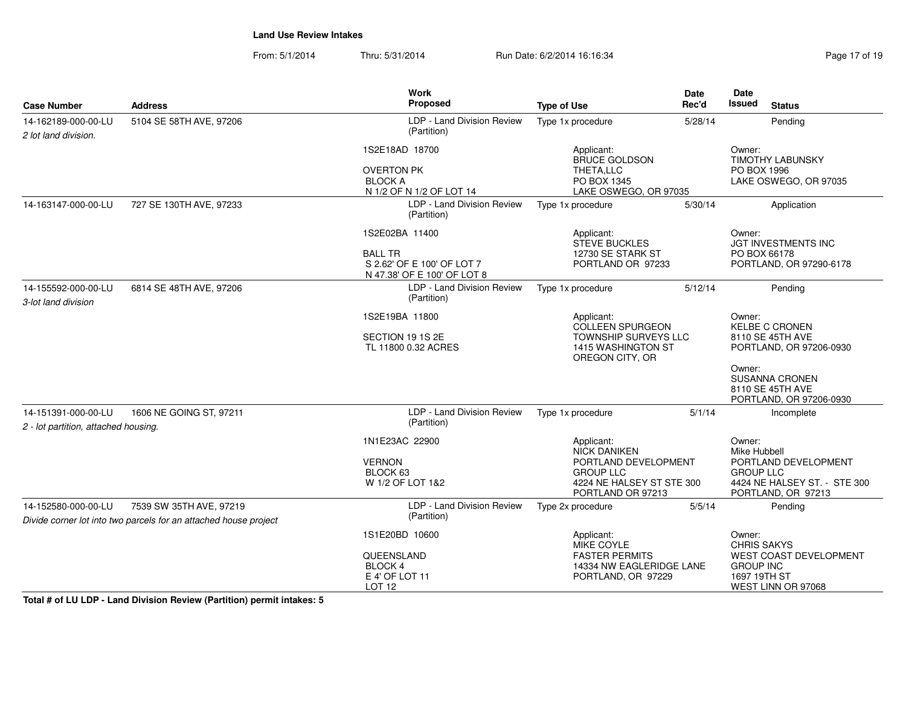From: 5/1/2014Thru: 5/31/2014 Run Date: 6/2/2014 16:16:34 Run Date: 6/2/2014 16:16:34

| <b>Case Number</b>                                          | <b>Address</b>                                                                              | <b>Work</b><br>Proposed                                                                       | <b>Type of Use</b>                                                                                                              | <b>Date</b><br>Rec'd                                                                                                     | Date<br>Issued<br><b>Status</b>                                                                                                                                  |  |
|-------------------------------------------------------------|---------------------------------------------------------------------------------------------|-----------------------------------------------------------------------------------------------|---------------------------------------------------------------------------------------------------------------------------------|--------------------------------------------------------------------------------------------------------------------------|------------------------------------------------------------------------------------------------------------------------------------------------------------------|--|
| 14-162189-000-00-LU<br>2 lot land division.                 | 5104 SE 58TH AVE, 97206                                                                     | LDP - Land Division Review<br>(Partition)                                                     | Type 1x procedure                                                                                                               | 5/28/14                                                                                                                  | Pending                                                                                                                                                          |  |
|                                                             |                                                                                             | 1S2E18AD 18700<br><b>OVERTON PK</b><br><b>BLOCK A</b><br>N 1/2 OF N 1/2 OF LOT 14             | Applicant:<br><b>BRUCE GOLDSON</b><br>THETA,LLC<br>PO BOX 1345<br>LAKE OSWEGO, OR 97035                                         |                                                                                                                          | Owner:<br><b>TIMOTHY LABUNSKY</b><br>PO BOX 1996<br>LAKE OSWEGO, OR 97035                                                                                        |  |
| 14-163147-000-00-LU                                         | 727 SE 130TH AVE, 97233                                                                     | LDP - Land Division Review<br>(Partition)                                                     | Type 1x procedure                                                                                                               | 5/30/14                                                                                                                  | Application                                                                                                                                                      |  |
|                                                             |                                                                                             | 1S2E02BA 11400<br><b>BALL TR</b><br>S 2.62' OF E 100' OF LOT 7<br>N 47.38' OF E 100' OF LOT 8 | Applicant:<br><b>STEVE BUCKLES</b><br>12730 SE STARK ST<br>PORTLAND OR 97233                                                    |                                                                                                                          | Owner:<br><b>JGT INVESTMENTS INC</b><br>PO BOX 66178<br>PORTLAND, OR 97290-6178                                                                                  |  |
| 14-155592-000-00-LU<br>3-lot land division                  | 6814 SE 48TH AVE, 97206                                                                     | LDP - Land Division Review<br>(Partition)                                                     | Type 1x procedure                                                                                                               | 5/12/14                                                                                                                  | Pending                                                                                                                                                          |  |
|                                                             |                                                                                             | 1S2E19BA 11800<br>SECTION 19 1S 2E<br>TL 11800 0.32 ACRES                                     | Applicant:<br><b>COLLEEN SPURGEON</b><br><b>TOWNSHIP SURVEYS LLC</b><br>1415 WASHINGTON ST<br>OREGON CITY, OR                   |                                                                                                                          | Owner:<br><b>KELBE C CRONEN</b><br>8110 SE 45TH AVE<br>PORTLAND, OR 97206-0930<br>Owner:<br><b>SUSANNA CRONEN</b><br>8110 SE 45TH AVE<br>PORTLAND, OR 97206-0930 |  |
| 14-151391-000-00-LU<br>2 - lot partition, attached housing. | 1606 NE GOING ST, 97211                                                                     | LDP - Land Division Review<br>(Partition)                                                     | Type 1x procedure                                                                                                               | 5/1/14                                                                                                                   | Incomplete                                                                                                                                                       |  |
|                                                             |                                                                                             | 1N1E23AC 22900<br><b>VERNON</b><br>BLOCK 63<br>W 1/2 OF LOT 1&2                               | Applicant:<br><b>NICK DANIKEN</b><br>PORTLAND DEVELOPMENT<br><b>GROUP LLC</b><br>4224 NE HALSEY ST STE 300<br>PORTLAND OR 97213 | Owner:<br>Mike Hubbell<br>PORTLAND DEVELOPMENT<br><b>GROUP LLC</b><br>4424 NE HALSEY ST. - STE 300<br>PORTLAND, OR 97213 |                                                                                                                                                                  |  |
| 14-152580-000-00-LU                                         | 7539 SW 35TH AVE, 97219<br>Divide corner lot into two parcels for an attached house project | LDP - Land Division Review<br>(Partition)                                                     | Type 2x procedure                                                                                                               | 5/5/14                                                                                                                   | Pending                                                                                                                                                          |  |
|                                                             |                                                                                             | 1S1E20BD 10600<br>QUEENSLAND<br><b>BLOCK4</b><br>E 4' OF LOT 11<br>LOT <sub>12</sub>          | Applicant:<br><b>MIKE COYLE</b><br><b>FASTER PERMITS</b><br>14334 NW EAGLERIDGE LANE<br>PORTLAND, OR 97229                      |                                                                                                                          | Owner:<br><b>CHRIS SAKYS</b><br>WEST COAST DEVELOPMENT<br><b>GROUP INC</b><br>1697 19TH ST<br>WEST LINN OR 97068                                                 |  |

**Total # of LU LDP - Land Division Review (Partition) permit intakes: 5**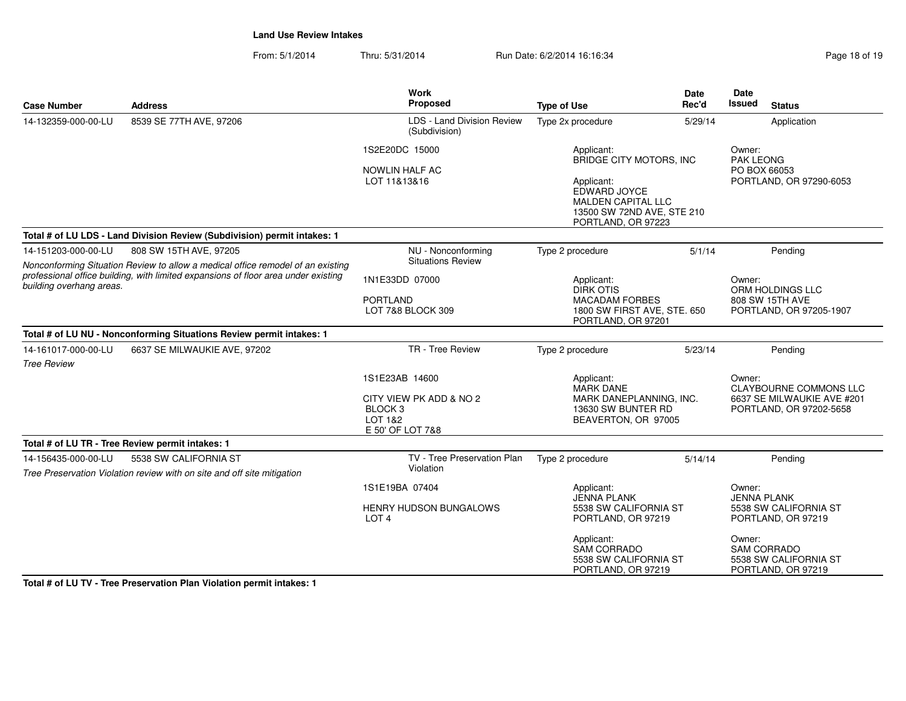From: 5/1/2014Thru: 5/31/2014 Run Date: 6/2/2014 16:16:34

| Page 18 of 19 |  |  |  |
|---------------|--|--|--|
|---------------|--|--|--|

| <b>Case Number</b>                        | <b>Address</b>                                                                                                                                                        | <b>Work</b><br>Proposed                                                            | <b>Type of Use</b>                                                                                                                                   | <b>Date</b><br>Rec'd | <b>Date</b><br>Issued                                                    | <b>Status</b>                                                                          |  |
|-------------------------------------------|-----------------------------------------------------------------------------------------------------------------------------------------------------------------------|------------------------------------------------------------------------------------|------------------------------------------------------------------------------------------------------------------------------------------------------|----------------------|--------------------------------------------------------------------------|----------------------------------------------------------------------------------------|--|
| 14-132359-000-00-LU                       | 8539 SE 77TH AVE, 97206                                                                                                                                               | LDS - Land Division Review<br>(Subdivision)                                        | Type 2x procedure                                                                                                                                    | 5/29/14              |                                                                          | Application                                                                            |  |
|                                           |                                                                                                                                                                       | 1S2E20DC 15000<br><b>NOWLIN HALF AC</b><br>LOT 11&13&16                            | Applicant:<br>BRIDGE CITY MOTORS, INC<br>Applicant:<br>EDWARD JOYCE<br><b>MALDEN CAPITAL LLC</b><br>13500 SW 72ND AVE, STE 210<br>PORTLAND, OR 97223 |                      |                                                                          | Owner:<br><b>PAK LEONG</b><br>PO BOX 66053<br>PORTLAND, OR 97290-6053                  |  |
|                                           | Total # of LU LDS - Land Division Review (Subdivision) permit intakes: 1                                                                                              |                                                                                    |                                                                                                                                                      |                      |                                                                          |                                                                                        |  |
| 14-151203-000-00-LU                       | 808 SW 15TH AVE, 97205                                                                                                                                                | NU - Nonconforming                                                                 | Type 2 procedure                                                                                                                                     | 5/1/14               |                                                                          | Pending                                                                                |  |
| building overhang areas.                  | Nonconforming Situation Review to allow a medical office remodel of an existing<br>professional office building, with limited expansions of floor area under existing | <b>Situations Review</b><br>1N1E33DD 07000<br><b>PORTLAND</b><br>LOT 7&8 BLOCK 309 | Applicant:<br><b>DIRK OTIS</b><br><b>MACADAM FORBES</b><br>1800 SW FIRST AVE, STE. 650<br>PORTLAND, OR 97201                                         |                      | Owner:<br>ORM HOLDINGS LLC<br>808 SW 15TH AVE<br>PORTLAND, OR 97205-1907 |                                                                                        |  |
|                                           | Total # of LU NU - Nonconforming Situations Review permit intakes: 1                                                                                                  |                                                                                    |                                                                                                                                                      |                      |                                                                          |                                                                                        |  |
| 14-161017-000-00-LU<br><b>Tree Review</b> | 6637 SE MILWAUKIE AVE, 97202                                                                                                                                          | TR - Tree Review                                                                   | Type 2 procedure                                                                                                                                     | 5/23/14              |                                                                          | Pending                                                                                |  |
|                                           | 1S1E23AB 14600<br>Applicant:<br><b>MARK DANE</b><br>CITY VIEW PK ADD & NO 2<br>BLOCK <sub>3</sub><br>LOT 1&2<br>E 50' OF LOT 7&8                                      |                                                                                    | MARK DANEPLANNING, INC.<br>13630 SW BUNTER RD<br>BEAVERTON, OR 97005                                                                                 | Owner:               |                                                                          | <b>CLAYBOURNE COMMONS LLC</b><br>6637 SE MILWAUKIE AVE #201<br>PORTLAND, OR 97202-5658 |  |
|                                           | Total # of LU TR - Tree Review permit intakes: 1                                                                                                                      |                                                                                    |                                                                                                                                                      |                      |                                                                          |                                                                                        |  |
| 14-156435-000-00-LU                       | 5538 SW CALIFORNIA ST<br>Tree Preservation Violation review with on site and off site mitigation                                                                      | TV - Tree Preservation Plan<br>Violation                                           | Type 2 procedure                                                                                                                                     | 5/14/14              |                                                                          | Pending                                                                                |  |
|                                           |                                                                                                                                                                       | 1S1E19BA 07404<br>HENRY HUDSON BUNGALOWS<br>LOT <sub>4</sub>                       | Applicant:<br><b>JENNA PLANK</b><br>5538 SW CALIFORNIA ST<br>PORTLAND, OR 97219                                                                      |                      | Owner:<br><b>JENNA PLANK</b>                                             | 5538 SW CALIFORNIA ST<br>PORTLAND, OR 97219                                            |  |
|                                           |                                                                                                                                                                       |                                                                                    | Applicant:<br>SAM CORRADO<br>5538 SW CALIFORNIA ST<br>PORTLAND, OR 97219                                                                             |                      | Owner:                                                                   | <b>SAM CORRADO</b><br>5538 SW CALIFORNIA ST<br>PORTLAND, OR 97219                      |  |

**Total # of LU TV - Tree Preservation Plan Violation permit intakes: 1**